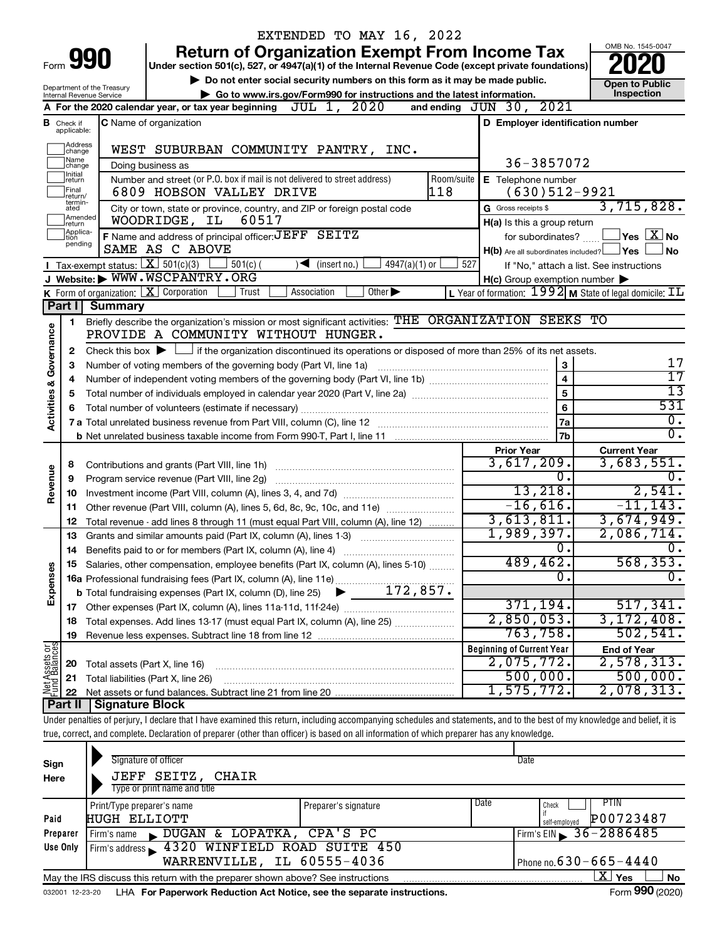|                         |                               |                                                                   | EXTENDED TO MAY 16, 2022                                                                                                                                                   |                                                     |                                                                        |
|-------------------------|-------------------------------|-------------------------------------------------------------------|----------------------------------------------------------------------------------------------------------------------------------------------------------------------------|-----------------------------------------------------|------------------------------------------------------------------------|
|                         |                               |                                                                   | <b>Return of Organization Exempt From Income Tax</b>                                                                                                                       |                                                     | OMB No. 1545-0047                                                      |
|                         |                               | Form 990                                                          | Under section 501(c), 527, or 4947(a)(1) of the Internal Revenue Code (except private foundations)                                                                         |                                                     |                                                                        |
|                         |                               |                                                                   | Do not enter social security numbers on this form as it may be made public.                                                                                                |                                                     | <b>Open to Public</b>                                                  |
|                         |                               | Department of the Treasury<br>Internal Revenue Service            | Go to www.irs.gov/Form990 for instructions and the latest information.                                                                                                     |                                                     | Inspection                                                             |
|                         |                               |                                                                   | JUL 1, 2020<br>A For the 2020 calendar year, or tax year beginning                                                                                                         | and ending JUN 30, 2021                             |                                                                        |
|                         | <b>B</b> Check if applicable: |                                                                   | <b>C</b> Name of organization                                                                                                                                              | D Employer identification number                    |                                                                        |
|                         | Address<br>change             |                                                                   | WEST SUBURBAN COMMUNITY PANTRY, INC.                                                                                                                                       |                                                     |                                                                        |
|                         | Name<br>change                |                                                                   | Doing business as                                                                                                                                                          | 36-3857072                                          |                                                                        |
|                         | Initial<br>∣return            |                                                                   | Number and street (or P.O. box if mail is not delivered to street address)<br>Room/suite                                                                                   | E Telephone number                                  |                                                                        |
|                         | Final<br>return/<br>termin-   |                                                                   | 118<br>6809 HOBSON VALLEY DRIVE                                                                                                                                            | $(630)512-9921$                                     | 3,715,828.                                                             |
|                         | ated<br>Amended               |                                                                   | City or town, state or province, country, and ZIP or foreign postal code<br>60517<br>WOODRIDGE, IL                                                                         | G Gross receipts \$                                 |                                                                        |
|                         | Ireturn<br>Applica-           |                                                                   | F Name and address of principal officer: JEFF SEITZ                                                                                                                        | H(a) Is this a group return<br>for subordinates?    | $ {\mathsf Y}\mathsf{es}\,\lfloor \overline{{\mathbf X}} \rfloor$ No   |
|                         | tion<br>pending               |                                                                   | SAME AS C ABOVE                                                                                                                                                            | $H(b)$ Are all subordinates included? $\Box$ Yes    | No.                                                                    |
|                         |                               | Tax-exempt status: $X \over 301(c)(3)$                            | $501(c)$ (<br>$4947(a)(1)$ or<br>$\sqrt{\bullet}$ (insert no.)                                                                                                             | 527                                                 | If "No," attach a list. See instructions                               |
|                         |                               |                                                                   | J Website: WWW.WSCPANTRY.ORG                                                                                                                                               | $H(c)$ Group exemption number $\blacktriangleright$ |                                                                        |
|                         |                               |                                                                   | <b>K</b> Form of organization: $\boxed{\mathbf{X}}$ Corporation<br>Other $\blacktriangleright$<br>Trust<br>Association                                                     |                                                     | L Year of formation: $1992$ M State of legal domicile: $\overline{11}$ |
|                         | Part I                        | <b>Summary</b>                                                    |                                                                                                                                                                            |                                                     |                                                                        |
|                         | 1                             |                                                                   | Briefly describe the organization's mission or most significant activities: THE ORGANIZATION SEEKS TO                                                                      |                                                     |                                                                        |
| Governance              |                               |                                                                   | PROVIDE A COMMUNITY WITHOUT HUNGER.                                                                                                                                        |                                                     |                                                                        |
|                         | 2                             |                                                                   | Check this box $\blacktriangleright$ $\Box$ if the organization discontinued its operations or disposed of more than 25% of its net assets.                                |                                                     |                                                                        |
|                         | 3                             | Number of voting members of the governing body (Part VI, line 1a) | 3                                                                                                                                                                          | 17                                                  |                                                                        |
|                         | 4                             |                                                                   |                                                                                                                                                                            | $\overline{\mathbf{4}}$                             | 17                                                                     |
|                         | 5                             |                                                                   | $\overline{13}$                                                                                                                                                            |                                                     |                                                                        |
| <b>Activities &amp;</b> | 6                             |                                                                   |                                                                                                                                                                            | 6                                                   | 531                                                                    |
|                         |                               |                                                                   |                                                                                                                                                                            | 7a                                                  | $\overline{0}$ .                                                       |
|                         |                               |                                                                   |                                                                                                                                                                            | 7 <sub>b</sub>                                      | $\overline{0}$ .                                                       |
|                         |                               |                                                                   |                                                                                                                                                                            | <b>Prior Year</b>                                   | <b>Current Year</b>                                                    |
|                         | 8                             |                                                                   |                                                                                                                                                                            | 3,617,209.                                          | 3,683,551.                                                             |
| Revenue                 | 9                             |                                                                   | Program service revenue (Part VIII, line 2g)                                                                                                                               | $\overline{0}$ .                                    | Ο.                                                                     |
|                         | 10                            |                                                                   |                                                                                                                                                                            | 13,218.                                             | 2,541.<br>$-11, 143.$                                                  |
|                         | 11                            |                                                                   | Other revenue (Part VIII, column (A), lines 5, 6d, 8c, 9c, 10c, and 11e)                                                                                                   | $-16,616.$<br>3,613,811.                            | 3,674,949.                                                             |
|                         | 12                            |                                                                   | Total revenue - add lines 8 through 11 (must equal Part VIII, column (A), line 12)                                                                                         | 1,989,397.                                          | 2,086,714.                                                             |
|                         | 13                            |                                                                   | Grants and similar amounts paid (Part IX, column (A), lines 1-3)                                                                                                           | $\overline{0}$ .                                    | $\overline{0}$ .                                                       |
| Expenses                |                               |                                                                   | Salaries, other compensation, employee benefits (Part IX, column (A), lines 5-10)                                                                                          | 489,462.                                            | 568, 353.                                                              |
|                         |                               |                                                                   |                                                                                                                                                                            | $\overline{0}$ .                                    | σ.                                                                     |
|                         |                               |                                                                   |                                                                                                                                                                            |                                                     |                                                                        |
|                         |                               |                                                                   |                                                                                                                                                                            | 371,194.                                            | 517,341.                                                               |
|                         | 18                            |                                                                   | Total expenses. Add lines 13-17 (must equal Part IX, column (A), line 25)                                                                                                  | 2,850,053.                                          | 3,172,408.                                                             |
|                         | 19                            |                                                                   |                                                                                                                                                                            | 763,758.                                            | 502, 541.                                                              |
|                         |                               |                                                                   |                                                                                                                                                                            | <b>Beginning of Current Year</b>                    | <b>End of Year</b>                                                     |
|                         | 20                            | Total assets (Part X, line 16)                                    |                                                                                                                                                                            | 2,075,772.                                          | 2,578,313.                                                             |
|                         | 21                            |                                                                   | Total liabilities (Part X, line 26)                                                                                                                                        | 500,000.                                            | 500,000.                                                               |
| Net Assets or           | 22                            |                                                                   |                                                                                                                                                                            | 1,575,772.                                          | 2,078,313.                                                             |
|                         | <b>Part II</b>                | <b>Signature Block</b>                                            |                                                                                                                                                                            |                                                     |                                                                        |
|                         |                               |                                                                   | Under penalties of perjury, I declare that I have examined this return, including accompanying schedules and statements, and to the best of my knowledge and belief, it is |                                                     |                                                                        |
|                         |                               |                                                                   | true, correct, and complete. Declaration of preparer (other than officer) is based on all information of which preparer has any knowledge.                                 |                                                     |                                                                        |
|                         |                               |                                                                   |                                                                                                                                                                            |                                                     |                                                                        |
| Sign                    |                               |                                                                   | Signature of officer                                                                                                                                                       | Date                                                |                                                                        |

| Here     | JEFF SEITZ, CHAIR                                                                                              |                      |                              |                                   |  |  |  |  |  |
|----------|----------------------------------------------------------------------------------------------------------------|----------------------|------------------------------|-----------------------------------|--|--|--|--|--|
|          | Type or print name and title                                                                                   |                      |                              |                                   |  |  |  |  |  |
|          | Print/Type preparer's name                                                                                     | Preparer's signature | Date                         | PTIN<br>Check                     |  |  |  |  |  |
| Paid     | <b>HUGH ELLIOTT</b>                                                                                            |                      |                              | P00723487<br>self-emploved        |  |  |  |  |  |
| Preparer | NUGAN & LOPATKA, CPA'S PC<br>Firm's name                                                                       |                      |                              | Firm's EIN $\frac{36-2886485}{ }$ |  |  |  |  |  |
| Use Only | Firm's address 3320 WINFIELD ROAD SUITE 450                                                                    |                      |                              |                                   |  |  |  |  |  |
|          | WARRENVILLE, IL 60555-4036                                                                                     |                      | Phone no. $630 - 665 - 4440$ |                                   |  |  |  |  |  |
|          | May the IRS discuss this return with the preparer shown above? See instructions                                |                      |                              | ΧI<br>l Yes<br><b>No</b>          |  |  |  |  |  |
|          | and the company of the Law Demonstrate Deploishers And Nation and the computer included in the computer of the |                      |                              | $T_{\text{max}}$ 000 (0000)       |  |  |  |  |  |

032001 12-23-20 LHA For Paperwork Reduction Act Notice, see the separate instructions. Form 990 (2020)

Form **990** (2020)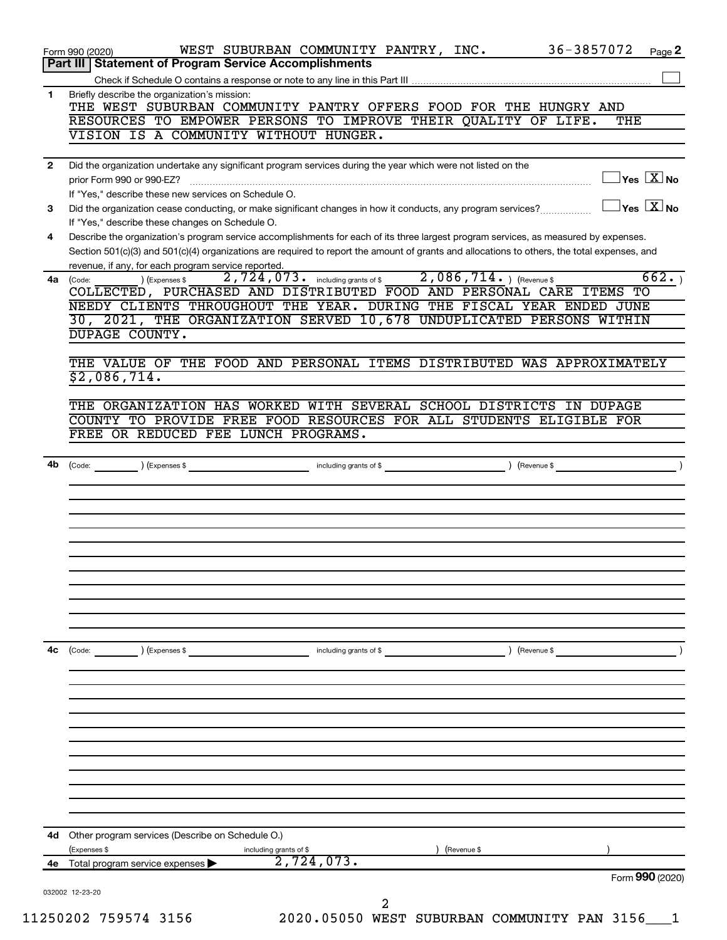|                | 36-3857072<br>WEST SUBURBAN COMMUNITY PANTRY, INC.<br>Form 990 (2020)<br>Page 2                                                                                                         |
|----------------|-----------------------------------------------------------------------------------------------------------------------------------------------------------------------------------------|
|                | Part III   Statement of Program Service Accomplishments                                                                                                                                 |
|                |                                                                                                                                                                                         |
| 1              | Briefly describe the organization's mission:<br>THE WEST SUBURBAN COMMUNITY PANTRY OFFERS FOOD FOR THE HUNGRY AND                                                                       |
|                | RESOURCES TO EMPOWER PERSONS TO IMPROVE THEIR QUALITY OF LIFE.<br>THE                                                                                                                   |
|                | VISION IS A COMMUNITY WITHOUT HUNGER.                                                                                                                                                   |
| $\mathbf{2}$   | Did the organization undertake any significant program services during the year which were not listed on the                                                                            |
|                | $\overline{X}$ Yes $\overline{X}$ No<br>prior Form 990 or 990-EZ?                                                                                                                       |
|                | If "Yes," describe these new services on Schedule O.                                                                                                                                    |
| 3              | $ {\mathsf Y}{\mathsf e}{\mathsf s}^\top\overline{{\mathbf X}}$ No<br>Did the organization cease conducting, or make significant changes in how it conducts, any program services?      |
| 4              | If "Yes," describe these changes on Schedule O.<br>Describe the organization's program service accomplishments for each of its three largest program services, as measured by expenses. |
|                | Section 501(c)(3) and 501(c)(4) organizations are required to report the amount of grants and allocations to others, the total expenses, and                                            |
|                | revenue, if any, for each program service reported.                                                                                                                                     |
|                | 2,724,073. including grants of \$2,086,714. ) (Revenue \$<br>662.<br>) (Expenses \$<br>4a (Code:                                                                                        |
|                | COLLECTED, PURCHASED AND DISTRIBUTED FOOD AND PERSONAL CARE ITEMS TO                                                                                                                    |
|                | NEEDY CLIENTS THROUGHOUT THE YEAR. DURING THE FISCAL YEAR ENDED JUNE                                                                                                                    |
|                | 30, 2021, THE ORGANIZATION SERVED 10,678 UNDUPLICATED PERSONS WITHIN<br>DUPAGE COUNTY.                                                                                                  |
|                |                                                                                                                                                                                         |
|                | THE VALUE OF THE FOOD AND PERSONAL ITEMS DISTRIBUTED WAS APPROXIMATELY                                                                                                                  |
|                | \$2,086,714.                                                                                                                                                                            |
|                |                                                                                                                                                                                         |
|                | THE ORGANIZATION HAS WORKED WITH SEVERAL SCHOOL DISTRICTS IN DUPAGE                                                                                                                     |
|                | COUNTY TO PROVIDE FREE FOOD RESOURCES FOR ALL STUDENTS ELIGIBLE FOR                                                                                                                     |
|                | FREE OR REDUCED FEE LUNCH PROGRAMS.                                                                                                                                                     |
|                | (Expenses \$<br>including grants of \$<br>) (Revenue \$<br>(Code:                                                                                                                       |
|                |                                                                                                                                                                                         |
|                |                                                                                                                                                                                         |
|                |                                                                                                                                                                                         |
|                |                                                                                                                                                                                         |
|                |                                                                                                                                                                                         |
|                |                                                                                                                                                                                         |
|                |                                                                                                                                                                                         |
|                | ) (Expenses \$<br>including grants of \$<br>) (Revenue \$<br>$\begin{array}{ c c }\n\hline\n\text{Code:} & \text{\quad} & \text{\quad} \quad\end{array}$                                |
|                |                                                                                                                                                                                         |
|                |                                                                                                                                                                                         |
|                |                                                                                                                                                                                         |
|                |                                                                                                                                                                                         |
|                |                                                                                                                                                                                         |
|                |                                                                                                                                                                                         |
|                |                                                                                                                                                                                         |
|                |                                                                                                                                                                                         |
|                |                                                                                                                                                                                         |
|                |                                                                                                                                                                                         |
| 4b<br>4с<br>4d | Other program services (Describe on Schedule O.)<br>(Expenses \$<br>including grants of \$<br>(Revenue \$                                                                               |
|                | 2,724,073.<br>Total program service expenses<br>Form 990 (2020)                                                                                                                         |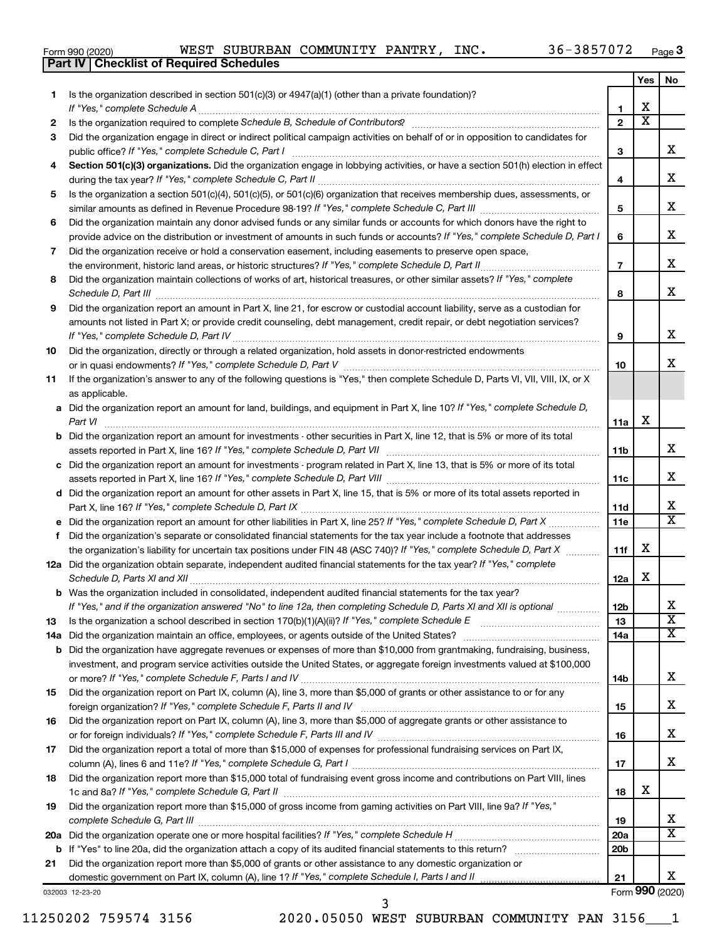|  | Form 990 (2020) |
|--|-----------------|
|  |                 |

**Part IV Checklist of Required Schedules**

|     |                                                                                                                                                                                                                                                       |                 | Yes                     | No                           |
|-----|-------------------------------------------------------------------------------------------------------------------------------------------------------------------------------------------------------------------------------------------------------|-----------------|-------------------------|------------------------------|
| 1   | Is the organization described in section $501(c)(3)$ or $4947(a)(1)$ (other than a private foundation)?                                                                                                                                               |                 |                         |                              |
|     |                                                                                                                                                                                                                                                       | 1               | x                       |                              |
| 2   | Is the organization required to complete Schedule B, Schedule of Contributors? [11] The organization required to complete Schedule B, Schedule of Contributors?                                                                                       | $\overline{2}$  | $\overline{\textbf{X}}$ |                              |
| З   | Did the organization engage in direct or indirect political campaign activities on behalf of or in opposition to candidates for                                                                                                                       |                 |                         |                              |
|     | public office? If "Yes," complete Schedule C, Part I                                                                                                                                                                                                  | з               |                         | х                            |
| 4   | Section 501(c)(3) organizations. Did the organization engage in lobbying activities, or have a section 501(h) election in effect                                                                                                                      |                 |                         |                              |
|     |                                                                                                                                                                                                                                                       | 4               |                         | х                            |
| 5   | Is the organization a section 501(c)(4), 501(c)(5), or 501(c)(6) organization that receives membership dues, assessments, or                                                                                                                          | 5               |                         | х                            |
| 6   | Did the organization maintain any donor advised funds or any similar funds or accounts for which donors have the right to                                                                                                                             |                 |                         |                              |
|     | provide advice on the distribution or investment of amounts in such funds or accounts? If "Yes," complete Schedule D, Part I                                                                                                                          | 6               |                         | х                            |
| 7   | Did the organization receive or hold a conservation easement, including easements to preserve open space,<br>.                                                                                                                                        | $\overline{7}$  |                         | х                            |
| 8   | Did the organization maintain collections of works of art, historical treasures, or other similar assets? If "Yes," complete                                                                                                                          |                 |                         |                              |
|     | Schedule D, Part III <b>Marting Community Contract Contract Contract Contract Contract Contract Contract Contract Contract Contract Contract Contract Contract Contract Contract Contract Contract Contract Contract Contract Co</b>                  | 8               |                         | х                            |
| 9   | Did the organization report an amount in Part X, line 21, for escrow or custodial account liability, serve as a custodian for                                                                                                                         |                 |                         |                              |
|     | amounts not listed in Part X; or provide credit counseling, debt management, credit repair, or debt negotiation services?                                                                                                                             | 9               |                         | х                            |
| 10  | Did the organization, directly or through a related organization, hold assets in donor-restricted endowments                                                                                                                                          |                 |                         |                              |
|     |                                                                                                                                                                                                                                                       | 10              |                         | х                            |
| 11  | If the organization's answer to any of the following questions is "Yes," then complete Schedule D, Parts VI, VII, VIII, IX, or X                                                                                                                      |                 |                         |                              |
|     | as applicable.                                                                                                                                                                                                                                        |                 |                         |                              |
|     | a Did the organization report an amount for land, buildings, and equipment in Part X, line 10? If "Yes," complete Schedule D,                                                                                                                         |                 |                         |                              |
|     |                                                                                                                                                                                                                                                       | 11a             | х                       |                              |
|     | <b>b</b> Did the organization report an amount for investments - other securities in Part X, line 12, that is 5% or more of its total                                                                                                                 |                 |                         | х                            |
|     | c Did the organization report an amount for investments - program related in Part X, line 13, that is 5% or more of its total                                                                                                                         | 11b             |                         |                              |
|     |                                                                                                                                                                                                                                                       | 11c             |                         | х                            |
|     | d Did the organization report an amount for other assets in Part X, line 15, that is 5% or more of its total assets reported in                                                                                                                       |                 |                         |                              |
|     |                                                                                                                                                                                                                                                       | 11d             |                         | x                            |
|     |                                                                                                                                                                                                                                                       | 11e             |                         | $\overline{\mathbf{x}}$      |
| f   | Did the organization's separate or consolidated financial statements for the tax year include a footnote that addresses                                                                                                                               |                 |                         |                              |
|     | the organization's liability for uncertain tax positions under FIN 48 (ASC 740)? If "Yes," complete Schedule D, Part X                                                                                                                                | 11f             | х                       |                              |
|     | 12a Did the organization obtain separate, independent audited financial statements for the tax year? If "Yes," complete                                                                                                                               |                 |                         |                              |
|     | Schedule D, Parts XI and XII                                                                                                                                                                                                                          | 12a             | х                       |                              |
|     | <b>b</b> Was the organization included in consolidated, independent audited financial statements for the tax year?                                                                                                                                    |                 |                         |                              |
|     | If "Yes," and if the organization answered "No" to line 12a, then completing Schedule D, Parts XI and XII is optional                                                                                                                                 | 12 <sub>b</sub> |                         | Χ<br>$\overline{\mathbf{X}}$ |
| 13  |                                                                                                                                                                                                                                                       | 13              |                         | X                            |
| 14a |                                                                                                                                                                                                                                                       | 14a             |                         |                              |
| b   | Did the organization have aggregate revenues or expenses of more than \$10,000 from grantmaking, fundraising, business,<br>investment, and program service activities outside the United States, or aggregate foreign investments valued at \$100,000 |                 |                         |                              |
|     |                                                                                                                                                                                                                                                       | 14b             |                         | х                            |
| 15  | Did the organization report on Part IX, column (A), line 3, more than \$5,000 of grants or other assistance to or for any                                                                                                                             |                 |                         |                              |
|     |                                                                                                                                                                                                                                                       | 15              |                         | x                            |
| 16  | Did the organization report on Part IX, column (A), line 3, more than \$5,000 of aggregate grants or other assistance to                                                                                                                              |                 |                         |                              |
|     |                                                                                                                                                                                                                                                       | 16              |                         | x                            |
| 17  | Did the organization report a total of more than \$15,000 of expenses for professional fundraising services on Part IX,                                                                                                                               |                 |                         |                              |
|     |                                                                                                                                                                                                                                                       | 17              |                         | x                            |
| 18  | Did the organization report more than \$15,000 total of fundraising event gross income and contributions on Part VIII, lines                                                                                                                          | 18              | х                       |                              |
| 19  | Did the organization report more than \$15,000 of gross income from gaming activities on Part VIII, line 9a? If "Yes,"                                                                                                                                |                 |                         |                              |
|     |                                                                                                                                                                                                                                                       | 19              |                         | x                            |
|     |                                                                                                                                                                                                                                                       | 20a             |                         | $\overline{\text{X}}$        |
| b   |                                                                                                                                                                                                                                                       | 20 <sub>b</sub> |                         |                              |
| 21  | Did the organization report more than \$5,000 of grants or other assistance to any domestic organization or                                                                                                                                           |                 |                         |                              |
|     |                                                                                                                                                                                                                                                       | 21              |                         | х                            |
|     | 032003 12-23-20                                                                                                                                                                                                                                       |                 |                         | Form 990 (2020)              |

3

11250202 759574 3156 2020.05050 WEST SUBURBAN COMMUNITY PAN 3156\_\_\_1

Form (2020) **990**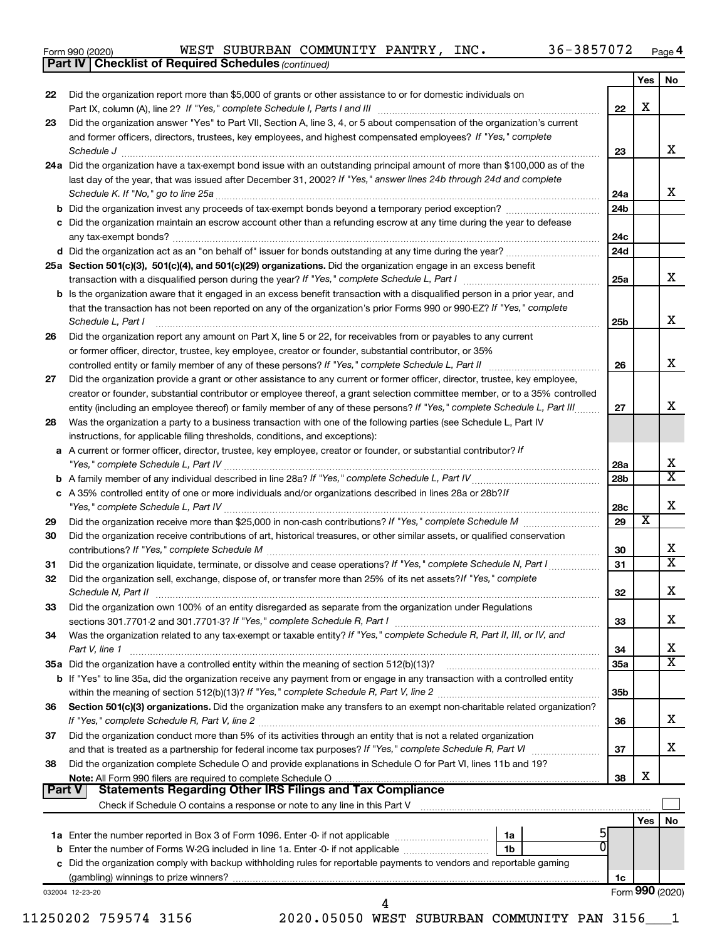| Form 990 (2020) |
|-----------------|
|-----------------|

**Part IV Checklist of Required Schedules**

*(continued)*

|    |                                                                                                                                                                                                                                                                                                                                                                                          |                 | Yes   No        |                         |
|----|------------------------------------------------------------------------------------------------------------------------------------------------------------------------------------------------------------------------------------------------------------------------------------------------------------------------------------------------------------------------------------------|-----------------|-----------------|-------------------------|
| 22 | Did the organization report more than \$5,000 of grants or other assistance to or for domestic individuals on                                                                                                                                                                                                                                                                            |                 | X               |                         |
| 23 | Did the organization answer "Yes" to Part VII, Section A, line 3, 4, or 5 about compensation of the organization's current                                                                                                                                                                                                                                                               | 22              |                 |                         |
|    | and former officers, directors, trustees, key employees, and highest compensated employees? If "Yes," complete                                                                                                                                                                                                                                                                           |                 |                 |                         |
|    | $\textit{Schedule J} \textit{ \textbf{} \textbf{} \textbf{} \textbf{} \textbf{} \textbf{} \textbf{} \textbf{} \textbf{} \textbf{} \textbf{} \textbf{} \textbf{} \textbf{} \textbf{} \textbf{} \textbf{} \textbf{} \textbf{} \textbf{} \textbf{} \textbf{} \textbf{} \textbf{} \textbf{} \textbf{} \textbf{} \textbf{} \textbf{} \textbf{} \textbf{} \textbf{} \textbf{} \textbf{} \text$ | 23              |                 | x                       |
|    | 24a Did the organization have a tax-exempt bond issue with an outstanding principal amount of more than \$100,000 as of the                                                                                                                                                                                                                                                              |                 |                 |                         |
|    | last day of the year, that was issued after December 31, 2002? If "Yes," answer lines 24b through 24d and complete                                                                                                                                                                                                                                                                       |                 |                 |                         |
|    |                                                                                                                                                                                                                                                                                                                                                                                          | 24a             |                 | x                       |
|    |                                                                                                                                                                                                                                                                                                                                                                                          | 24 <sub>b</sub> |                 |                         |
|    | c Did the organization maintain an escrow account other than a refunding escrow at any time during the year to defease                                                                                                                                                                                                                                                                   |                 |                 |                         |
|    |                                                                                                                                                                                                                                                                                                                                                                                          | 24c<br>24d      |                 |                         |
|    | 25a Section 501(c)(3), 501(c)(4), and 501(c)(29) organizations. Did the organization engage in an excess benefit                                                                                                                                                                                                                                                                         |                 |                 |                         |
|    | transaction with a disqualified person during the year? If "Yes," complete Schedule L, Part I manufaction with a disqualified person during the year? If "Yes," complete Schedule L, Part I                                                                                                                                                                                              | 25a             |                 | x                       |
|    | <b>b</b> Is the organization aware that it engaged in an excess benefit transaction with a disqualified person in a prior year, and                                                                                                                                                                                                                                                      |                 |                 |                         |
|    | that the transaction has not been reported on any of the organization's prior Forms 990 or 990-EZ? If "Yes," complete                                                                                                                                                                                                                                                                    |                 |                 | x                       |
| 26 | Schedule L, Part I<br>Did the organization report any amount on Part X, line 5 or 22, for receivables from or payables to any current                                                                                                                                                                                                                                                    | 25b             |                 |                         |
|    | or former officer, director, trustee, key employee, creator or founder, substantial contributor, or 35%                                                                                                                                                                                                                                                                                  |                 |                 |                         |
|    |                                                                                                                                                                                                                                                                                                                                                                                          | 26              |                 | X                       |
| 27 | Did the organization provide a grant or other assistance to any current or former officer, director, trustee, key employee,                                                                                                                                                                                                                                                              |                 |                 |                         |
|    | creator or founder, substantial contributor or employee thereof, a grant selection committee member, or to a 35% controlled                                                                                                                                                                                                                                                              |                 |                 |                         |
|    | entity (including an employee thereof) or family member of any of these persons? If "Yes," complete Schedule L, Part III                                                                                                                                                                                                                                                                 | 27              |                 | x                       |
| 28 | Was the organization a party to a business transaction with one of the following parties (see Schedule L, Part IV<br>instructions, for applicable filing thresholds, conditions, and exceptions):                                                                                                                                                                                        |                 |                 |                         |
|    | a A current or former officer, director, trustee, key employee, creator or founder, or substantial contributor? If                                                                                                                                                                                                                                                                       |                 |                 |                         |
|    |                                                                                                                                                                                                                                                                                                                                                                                          | 28a             |                 | Х                       |
|    |                                                                                                                                                                                                                                                                                                                                                                                          | 28 <sub>b</sub> |                 | $\overline{\texttt{x}}$ |
|    | c A 35% controlled entity of one or more individuals and/or organizations described in lines 28a or 28b?/f                                                                                                                                                                                                                                                                               | 28c             |                 | х                       |
| 29 |                                                                                                                                                                                                                                                                                                                                                                                          | 29              | х               |                         |
| 30 | Did the organization receive contributions of art, historical treasures, or other similar assets, or qualified conservation                                                                                                                                                                                                                                                              |                 |                 | х                       |
| 31 | Did the organization liquidate, terminate, or dissolve and cease operations? If "Yes," complete Schedule N, Part I                                                                                                                                                                                                                                                                       | 30<br>31        |                 | $\overline{\textbf{x}}$ |
| 32 | Did the organization sell, exchange, dispose of, or transfer more than 25% of its net assets? If "Yes," complete                                                                                                                                                                                                                                                                         |                 |                 |                         |
|    |                                                                                                                                                                                                                                                                                                                                                                                          | 32              |                 | Х                       |
| 33 | Did the organization own 100% of an entity disregarded as separate from the organization under Regulations                                                                                                                                                                                                                                                                               |                 |                 | х                       |
| 34 | Was the organization related to any tax-exempt or taxable entity? If "Yes," complete Schedule R, Part II, III, or IV, and                                                                                                                                                                                                                                                                | 33              |                 |                         |
|    | Part V, line 1                                                                                                                                                                                                                                                                                                                                                                           | 34              |                 | x                       |
|    |                                                                                                                                                                                                                                                                                                                                                                                          | 35a             |                 | $\overline{\mathbf{X}}$ |
|    | b If "Yes" to line 35a, did the organization receive any payment from or engage in any transaction with a controlled entity                                                                                                                                                                                                                                                              |                 |                 |                         |
|    |                                                                                                                                                                                                                                                                                                                                                                                          | 35b             |                 |                         |
| 36 | Section 501(c)(3) organizations. Did the organization make any transfers to an exempt non-charitable related organization?                                                                                                                                                                                                                                                               | 36              |                 | x                       |
| 37 | Did the organization conduct more than 5% of its activities through an entity that is not a related organization                                                                                                                                                                                                                                                                         |                 |                 |                         |
|    |                                                                                                                                                                                                                                                                                                                                                                                          | 37              |                 | x                       |
| 38 | Did the organization complete Schedule O and provide explanations in Schedule O for Part VI, lines 11b and 19?                                                                                                                                                                                                                                                                           |                 |                 |                         |
|    |                                                                                                                                                                                                                                                                                                                                                                                          | 38              | X               |                         |
|    | Part V<br><b>Statements Regarding Other IRS Filings and Tax Compliance</b>                                                                                                                                                                                                                                                                                                               |                 |                 |                         |
|    | Check if Schedule O contains a response or note to any line in this Part V <b>Construct Contains and Contains and Contains</b>                                                                                                                                                                                                                                                           |                 |                 |                         |
|    |                                                                                                                                                                                                                                                                                                                                                                                          |                 | Yes $ $         | No                      |
|    | 1a<br>$\Omega$<br>1 <sub>b</sub>                                                                                                                                                                                                                                                                                                                                                         |                 |                 |                         |
|    | c Did the organization comply with backup withholding rules for reportable payments to vendors and reportable gaming                                                                                                                                                                                                                                                                     |                 |                 |                         |
|    |                                                                                                                                                                                                                                                                                                                                                                                          | 1c              |                 |                         |
|    | 032004 12-23-20                                                                                                                                                                                                                                                                                                                                                                          |                 | Form 990 (2020) |                         |
|    |                                                                                                                                                                                                                                                                                                                                                                                          |                 |                 |                         |
|    | 2020.05050 WEST SUBURBAN COMMUNITY PAN 3156<br>11250202 759574 3156                                                                                                                                                                                                                                                                                                                      |                 |                 |                         |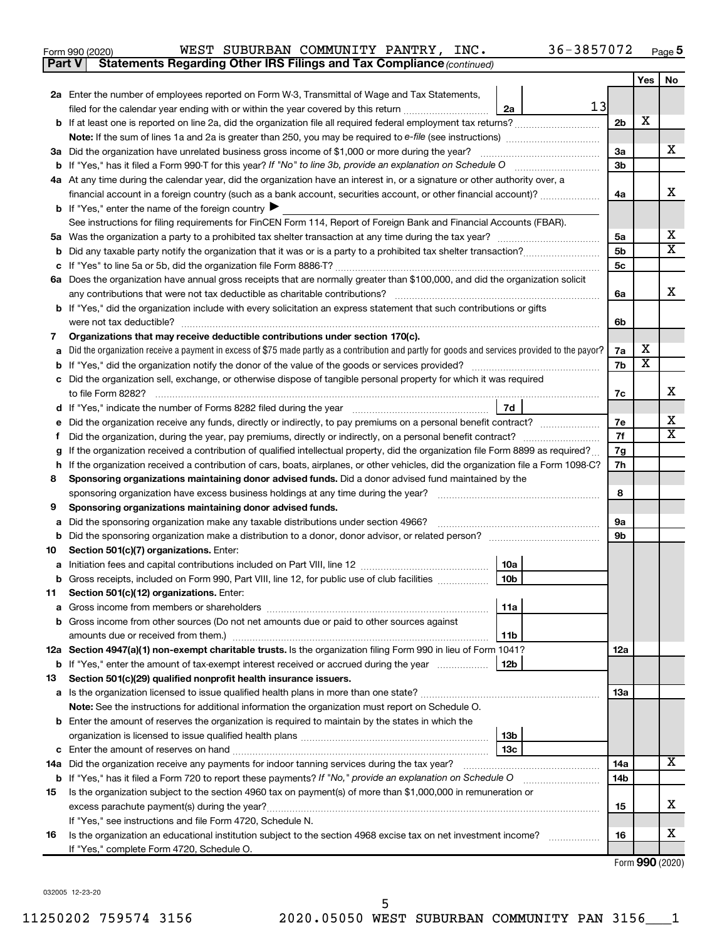| Form 990 (2020) |  |  |  | WEST SUBURBAN COMMUNITY PANTRY, |  | INC. | $36 - 3857072$ | Page |  |
|-----------------|--|--|--|---------------------------------|--|------|----------------|------|--|
|-----------------|--|--|--|---------------------------------|--|------|----------------|------|--|

**Part V Statements Regarding Other IRS Filings and Tax Compliance**

*(continued)*

|        |                                                                                                                                                                                                                                     |                | Yes | No     |  |  |  |  |
|--------|-------------------------------------------------------------------------------------------------------------------------------------------------------------------------------------------------------------------------------------|----------------|-----|--------|--|--|--|--|
|        | 2a Enter the number of employees reported on Form W-3, Transmittal of Wage and Tax Statements,                                                                                                                                      |                |     |        |  |  |  |  |
|        | 13<br>filed for the calendar year ending with or within the year covered by this return <i>[[[[[[[[[[[[[[]]]]</i> ]]<br>2a                                                                                                          |                |     |        |  |  |  |  |
|        |                                                                                                                                                                                                                                     | 2 <sub>b</sub> | Х   |        |  |  |  |  |
|        |                                                                                                                                                                                                                                     |                |     |        |  |  |  |  |
|        | 3a Did the organization have unrelated business gross income of \$1,000 or more during the year?                                                                                                                                    | 3a             |     | х      |  |  |  |  |
|        |                                                                                                                                                                                                                                     | 3b             |     |        |  |  |  |  |
|        | 4a At any time during the calendar year, did the organization have an interest in, or a signature or other authority over, a                                                                                                        |                |     |        |  |  |  |  |
|        | financial account in a foreign country (such as a bank account, securities account, or other financial account)?                                                                                                                    | 4a             |     | х      |  |  |  |  |
|        | <b>b</b> If "Yes," enter the name of the foreign country $\blacktriangleright$                                                                                                                                                      |                |     |        |  |  |  |  |
|        | See instructions for filing requirements for FinCEN Form 114, Report of Foreign Bank and Financial Accounts (FBAR).                                                                                                                 |                |     | х      |  |  |  |  |
| 5а     |                                                                                                                                                                                                                                     | 5a<br>5b       |     | х      |  |  |  |  |
| b      |                                                                                                                                                                                                                                     | 5c             |     |        |  |  |  |  |
|        | 6a Does the organization have annual gross receipts that are normally greater than \$100,000, and did the organization solicit                                                                                                      |                |     |        |  |  |  |  |
|        | any contributions that were not tax deductible as charitable contributions?                                                                                                                                                         |                |     |        |  |  |  |  |
|        | b If "Yes," did the organization include with every solicitation an express statement that such contributions or gifts                                                                                                              | 6a             |     | х      |  |  |  |  |
|        | were not tax deductible?                                                                                                                                                                                                            | 6b             |     |        |  |  |  |  |
| 7      | Organizations that may receive deductible contributions under section 170(c).                                                                                                                                                       |                |     |        |  |  |  |  |
|        | Did the organization receive a payment in excess of \$75 made partly as a contribution and partly for goods and services provided to the payor?                                                                                     | 7a             | х   |        |  |  |  |  |
| b      |                                                                                                                                                                                                                                     | 7b             | х   |        |  |  |  |  |
|        | Did the organization sell, exchange, or otherwise dispose of tangible personal property for which it was required                                                                                                                   |                |     |        |  |  |  |  |
|        | to file Form 8282?                                                                                                                                                                                                                  | 7c             |     | х      |  |  |  |  |
|        | 7d                                                                                                                                                                                                                                  |                |     |        |  |  |  |  |
|        |                                                                                                                                                                                                                                     | 7е             |     | х<br>х |  |  |  |  |
| f      | Did the organization, during the year, pay premiums, directly or indirectly, on a personal benefit contract?                                                                                                                        |                |     |        |  |  |  |  |
| g      | If the organization received a contribution of qualified intellectual property, did the organization file Form 8899 as required?                                                                                                    |                |     |        |  |  |  |  |
| h      | If the organization received a contribution of cars, boats, airplanes, or other vehicles, did the organization file a Form 1098-C?                                                                                                  |                |     |        |  |  |  |  |
| 8      | Sponsoring organizations maintaining donor advised funds. Did a donor advised fund maintained by the                                                                                                                                |                |     |        |  |  |  |  |
|        |                                                                                                                                                                                                                                     | 8              |     |        |  |  |  |  |
| 9      | Sponsoring organizations maintaining donor advised funds.                                                                                                                                                                           |                |     |        |  |  |  |  |
| а<br>b | Did the sponsoring organization make any taxable distributions under section 4966?                                                                                                                                                  | 9а<br>9b       |     |        |  |  |  |  |
| 10     | Section 501(c)(7) organizations. Enter:                                                                                                                                                                                             |                |     |        |  |  |  |  |
| а      | 10a                                                                                                                                                                                                                                 |                |     |        |  |  |  |  |
| b      | 10 <sub>b</sub><br>Gross receipts, included on Form 990, Part VIII, line 12, for public use of club facilities                                                                                                                      |                |     |        |  |  |  |  |
| 11     | Section 501(c)(12) organizations. Enter:                                                                                                                                                                                            |                |     |        |  |  |  |  |
|        | 11a                                                                                                                                                                                                                                 |                |     |        |  |  |  |  |
|        | b Gross income from other sources (Do not net amounts due or paid to other sources against                                                                                                                                          |                |     |        |  |  |  |  |
|        | 11b                                                                                                                                                                                                                                 |                |     |        |  |  |  |  |
|        | 12a Section 4947(a)(1) non-exempt charitable trusts. Is the organization filing Form 990 in lieu of Form 1041?                                                                                                                      | 12a            |     |        |  |  |  |  |
|        | 12 <sub>b</sub><br><b>b</b> If "Yes," enter the amount of tax-exempt interest received or accrued during the year                                                                                                                   |                |     |        |  |  |  |  |
| 13     | Section 501(c)(29) qualified nonprofit health insurance issuers.                                                                                                                                                                    |                |     |        |  |  |  |  |
|        | a Is the organization licensed to issue qualified health plans in more than one state?                                                                                                                                              | 13a            |     |        |  |  |  |  |
|        | Note: See the instructions for additional information the organization must report on Schedule O.                                                                                                                                   |                |     |        |  |  |  |  |
|        | <b>b</b> Enter the amount of reserves the organization is required to maintain by the states in which the                                                                                                                           |                |     |        |  |  |  |  |
|        | 13b                                                                                                                                                                                                                                 |                |     |        |  |  |  |  |
|        | 13 <sub>c</sub>                                                                                                                                                                                                                     |                |     | x      |  |  |  |  |
|        | 14a Did the organization receive any payments for indoor tanning services during the tax year?                                                                                                                                      | 14a            |     |        |  |  |  |  |
|        | <b>b</b> If "Yes," has it filed a Form 720 to report these payments? If "No," provide an explanation on Schedule O<br>Is the organization subject to the section 4960 tax on payment(s) of more than \$1,000,000 in remuneration or | 14b            |     |        |  |  |  |  |
| 15     |                                                                                                                                                                                                                                     | 15             |     | x      |  |  |  |  |
|        | If "Yes," see instructions and file Form 4720, Schedule N.                                                                                                                                                                          |                |     |        |  |  |  |  |
| 16     | Is the organization an educational institution subject to the section 4968 excise tax on net investment income?                                                                                                                     | 16             |     | x      |  |  |  |  |
|        | If "Yes," complete Form 4720, Schedule O.                                                                                                                                                                                           |                |     |        |  |  |  |  |

Form (2020) **990**

032005 12-23-20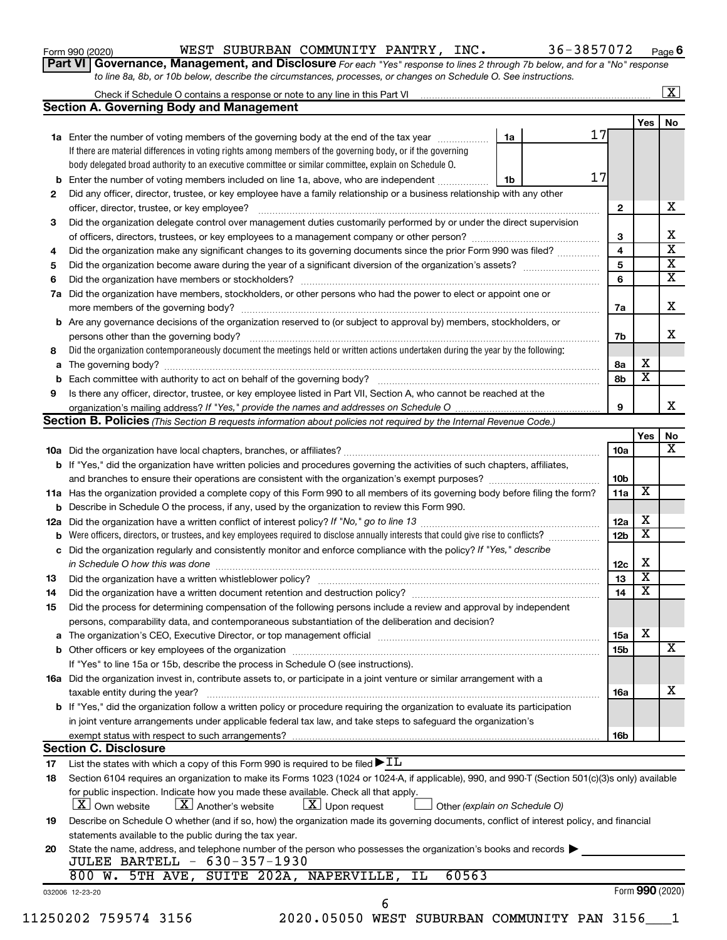| Form 990 (2020) |  |
|-----------------|--|
|-----------------|--|

#### Form 990 (2020) Page WEST SUBURBAN COMMUNITY PANTRY, INC. 36-3857072

**Part VI** Governance, Management, and Disclosure For each "Yes" response to lines 2 through 7b below, and for a "No" response *to line 8a, 8b, or 10b below, describe the circumstances, processes, or changes on Schedule O. See instructions.*

|                |                                                                                                                                                  |    |    |    |                 |                         | $\mathbf{X}$ |  |
|----------------|--------------------------------------------------------------------------------------------------------------------------------------------------|----|----|----|-----------------|-------------------------|--------------|--|
|                | <b>Section A. Governing Body and Management</b>                                                                                                  |    |    |    |                 |                         |              |  |
|                |                                                                                                                                                  |    |    | 17 |                 | Yes                     | No           |  |
|                | 1a Enter the number of voting members of the governing body at the end of the tax year                                                           |    | 1a |    |                 |                         |              |  |
|                | If there are material differences in voting rights among members of the governing body, or if the governing                                      |    |    |    |                 |                         |              |  |
|                | body delegated broad authority to an executive committee or similar committee, explain on Schedule O.                                            |    |    |    |                 |                         |              |  |
|                | <b>b</b> Enter the number of voting members included on line 1a, above, who are independent                                                      | 1b |    | 17 |                 |                         |              |  |
| 2              | Did any officer, director, trustee, or key employee have a family relationship or a business relationship with any other                         |    |    |    |                 |                         |              |  |
|                | officer, director, trustee, or key employee?                                                                                                     |    |    |    | $\mathbf{2}$    |                         |              |  |
| 3              | Did the organization delegate control over management duties customarily performed by or under the direct supervision                            |    |    |    |                 |                         |              |  |
|                |                                                                                                                                                  |    |    |    | 3               |                         |              |  |
| 4              | Did the organization make any significant changes to its governing documents since the prior Form 990 was filed?                                 |    |    |    | 4               |                         |              |  |
| 5              |                                                                                                                                                  |    |    |    | 5               |                         |              |  |
| 6              |                                                                                                                                                  |    |    |    | 6               |                         |              |  |
| 7a             | Did the organization have members, stockholders, or other persons who had the power to elect or appoint one or                                   |    |    |    |                 |                         |              |  |
|                |                                                                                                                                                  |    |    |    |                 |                         |              |  |
|                | <b>b</b> Are any governance decisions of the organization reserved to (or subject to approval by) members, stockholders, or                      |    |    |    |                 |                         |              |  |
|                |                                                                                                                                                  |    |    |    |                 |                         |              |  |
| 8              | Did the organization contemporaneously document the meetings held or written actions undertaken during the year by the following:                |    |    |    |                 |                         |              |  |
| a              |                                                                                                                                                  |    |    |    | 8а              | х                       |              |  |
|                |                                                                                                                                                  |    |    |    | 8b              | $\overline{\mathbf{x}}$ |              |  |
| 9              | Is there any officer, director, trustee, or key employee listed in Part VII, Section A, who cannot be reached at the                             |    |    |    |                 |                         |              |  |
|                |                                                                                                                                                  |    |    |    | 9               |                         |              |  |
|                | <b>Section B. Policies</b> (This Section B requests information about policies not required by the Internal Revenue Code.)                       |    |    |    |                 |                         |              |  |
|                |                                                                                                                                                  |    |    |    |                 | Yes                     |              |  |
|                |                                                                                                                                                  |    |    |    | 10a             |                         |              |  |
|                | b If "Yes," did the organization have written policies and procedures governing the activities of such chapters, affiliates,                     |    |    |    |                 |                         |              |  |
|                |                                                                                                                                                  |    |    |    | 10 <sub>b</sub> |                         |              |  |
|                | 11a Has the organization provided a complete copy of this Form 990 to all members of its governing body before filing the form?                  |    |    |    | 11a             | X                       |              |  |
|                | <b>b</b> Describe in Schedule O the process, if any, used by the organization to review this Form 990.                                           |    |    |    |                 |                         |              |  |
| 12a            |                                                                                                                                                  |    |    |    | 12a             | х                       |              |  |
|                | <b>b</b> Were officers, directors, or trustees, and key employees required to disclose annually interests that could give rise to conflicts?     |    |    |    | 12 <sub>b</sub> | $\overline{\textbf{x}}$ |              |  |
| с              | Did the organization regularly and consistently monitor and enforce compliance with the policy? If "Yes," describe                               |    |    |    |                 |                         |              |  |
|                |                                                                                                                                                  |    |    |    | 12c             | Х                       |              |  |
| 13             |                                                                                                                                                  |    |    |    | 13              | $\overline{\mathbf{X}}$ |              |  |
| 14             | Did the organization have a written document retention and destruction policy? [11] manufaction manufaction in                                   |    |    |    | 14              | $\overline{\mathbf{X}}$ |              |  |
| 15             | Did the process for determining compensation of the following persons include a review and approval by independent                               |    |    |    |                 |                         |              |  |
|                | persons, comparability data, and contemporaneous substantiation of the deliberation and decision?                                                |    |    |    |                 |                         |              |  |
|                |                                                                                                                                                  |    |    |    | 15a             | х                       |              |  |
|                |                                                                                                                                                  |    |    |    |                 |                         |              |  |
|                |                                                                                                                                                  |    |    |    | 15b             |                         |              |  |
|                | If "Yes" to line 15a or 15b, describe the process in Schedule O (see instructions).                                                              |    |    |    |                 |                         |              |  |
|                | 16a Did the organization invest in, contribute assets to, or participate in a joint venture or similar arrangement with a                        |    |    |    |                 |                         |              |  |
|                | taxable entity during the year?                                                                                                                  |    |    |    | 16a             |                         |              |  |
|                | <b>b</b> If "Yes," did the organization follow a written policy or procedure requiring the organization to evaluate its participation            |    |    |    |                 |                         |              |  |
|                | in joint venture arrangements under applicable federal tax law, and take steps to safeguard the organization's                                   |    |    |    |                 |                         |              |  |
|                | exempt status with respect to such arrangements?                                                                                                 |    |    |    | 16b             |                         |              |  |
|                |                                                                                                                                                  |    |    |    |                 |                         |              |  |
|                | <b>Section C. Disclosure</b>                                                                                                                     |    |    |    |                 |                         |              |  |
|                | List the states with which a copy of this Form 990 is required to be filed $\blacktriangleright$ IL                                              |    |    |    |                 |                         |              |  |
|                | Section 6104 requires an organization to make its Forms 1023 (1024 or 1024-A, if applicable), 990, and 990-T (Section 501(c)(3)s only) available |    |    |    |                 |                         |              |  |
|                | for public inspection. Indicate how you made these available. Check all that apply.                                                              |    |    |    |                 |                         |              |  |
|                | $\lfloor x \rfloor$ Upon request<br>$ \mathbf{X} $ Own website<br>$ \mathbf{X} $ Another's website<br>Other (explain on Schedule O)              |    |    |    |                 |                         |              |  |
|                | Describe on Schedule O whether (and if so, how) the organization made its governing documents, conflict of interest policy, and financial        |    |    |    |                 |                         |              |  |
| 17<br>18<br>19 | statements available to the public during the tax year.                                                                                          |    |    |    |                 |                         |              |  |
| 20             | State the name, address, and telephone number of the person who possesses the organization's books and records                                   |    |    |    |                 |                         |              |  |
|                | <b>JULEE BARTELL - 630-357-1930</b>                                                                                                              |    |    |    |                 |                         |              |  |
|                | 60563<br>800 W. 5TH AVE, SUITE 202A, NAPERVILLE,<br>IL                                                                                           |    |    |    |                 |                         |              |  |
|                | 032006 12-23-20<br>6                                                                                                                             |    |    |    |                 | Form 990 (2020)         |              |  |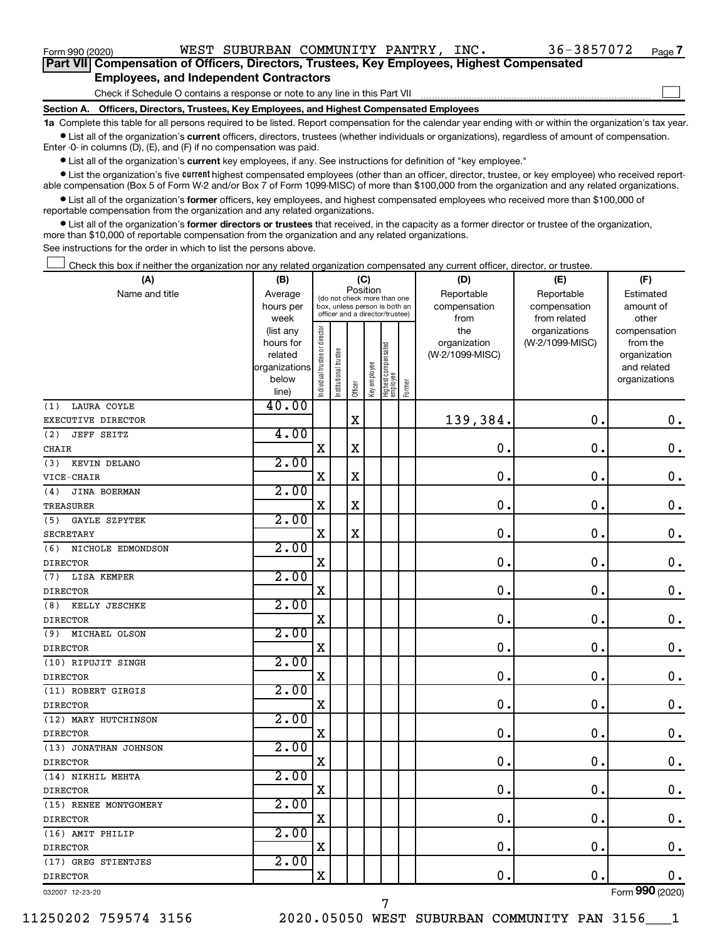| Form 990 (2020)                                                                                    |  |  | WEST SUBURBAN COMMUNITY PANTRY,                                                 |  | INC. | 36-3857072 | Page 7 |  |  |
|----------------------------------------------------------------------------------------------------|--|--|---------------------------------------------------------------------------------|--|------|------------|--------|--|--|
| <b>Part VIII Compensation of Officers, Directors, Trustees, Key Employees, Highest Compensated</b> |  |  |                                                                                 |  |      |            |        |  |  |
| <b>Employees, and Independent Contractors</b>                                                      |  |  |                                                                                 |  |      |            |        |  |  |
|                                                                                                    |  |  | Check if Schedule O contains a response or note to any line in this Part VII    |  |      |            |        |  |  |
| <b>Section A.</b>                                                                                  |  |  | Officers, Directors, Trustees, Key Employees, and Highest Compensated Employees |  |      |            |        |  |  |

**1a**  Complete this table for all persons required to be listed. Report compensation for the calendar year ending with or within the organization's tax year.  $\bullet$  List all of the organization's current officers, directors, trustees (whether individuals or organizations), regardless of amount of compensation.

Enter -0- in columns (D), (E), and (F) if no compensation was paid.

**•** List all of the organization's current key employees, if any. See instructions for definition of "key employee."

**•** List the organization's five *current* highest compensated employees (other than an officer, director, trustee, or key employee) who received reportable compensation (Box 5 of Form W-2 and/or Box 7 of Form 1099-MISC) of more than \$100,000 from the organization and any related organizations.

 $\bullet$  List all of the organization's former officers, key employees, and highest compensated employees who received more than \$100,000 of reportable compensation from the organization and any related organizations.

**•** List all of the organization's former directors or trustees that received, in the capacity as a former director or trustee of the organization, more than \$10,000 of reportable compensation from the organization and any related organizations.

See instructions for the order in which to list the persons above.

Check this box if neither the organization nor any related organization compensated any current officer, director, or trustee.  $\mathcal{L}^{\text{eff}}$ 

| (A)                      | (B)                  |                                         |                                                                  | (C)                     |              |                                 |        | (D)                             | (E)             | (F)                      |
|--------------------------|----------------------|-----------------------------------------|------------------------------------------------------------------|-------------------------|--------------|---------------------------------|--------|---------------------------------|-----------------|--------------------------|
| Name and title           | Average              | Position<br>(do not check more than one |                                                                  | Reportable              | Reportable   | Estimated                       |        |                                 |                 |                          |
|                          | hours per            |                                         | box, unless person is both an<br>officer and a director/trustee) |                         |              |                                 |        | compensation                    | compensation    | amount of                |
|                          | week                 |                                         |                                                                  |                         |              |                                 |        | from                            | from related    | other                    |
|                          | (list any            |                                         |                                                                  |                         |              |                                 |        | the                             | organizations   | compensation             |
|                          | hours for<br>related |                                         |                                                                  |                         |              |                                 |        | organization<br>(W-2/1099-MISC) | (W-2/1099-MISC) | from the<br>organization |
|                          | organizations        |                                         |                                                                  |                         |              |                                 |        |                                 |                 | and related              |
|                          | below                |                                         |                                                                  |                         |              |                                 |        |                                 |                 | organizations            |
|                          | line)                | ndividual trustee or director           | Institutional trustee                                            | Officer                 | Key employee | Highest compensated<br>employee | Former |                                 |                 |                          |
| LAURA COYLE<br>(1)       | 40.00                |                                         |                                                                  |                         |              |                                 |        |                                 |                 |                          |
| EXECUTIVE DIRECTOR       |                      |                                         |                                                                  | $\overline{\mathbf{X}}$ |              |                                 |        | 139,384.                        | $\mathbf 0$ .   | $\mathbf 0$ .            |
| (2)<br><b>JEFF SEITZ</b> | 4.00                 |                                         |                                                                  |                         |              |                                 |        |                                 |                 |                          |
| <b>CHAIR</b>             |                      | $\mathbf X$                             |                                                                  | $\mathbf x$             |              |                                 |        | $\mathbf 0$                     | $\mathbf 0$ .   | $\mathbf 0$ .            |
| KEVIN DELANO<br>(3)      | 2.00                 |                                         |                                                                  |                         |              |                                 |        |                                 |                 |                          |
| VICE-CHAIR               |                      | $\mathbf X$                             |                                                                  | $\mathbf x$             |              |                                 |        | $\mathbf 0$                     | $\mathbf 0$ .   | $\mathbf 0$ .            |
| JINA BOERMAN<br>(4)      | 2.00                 |                                         |                                                                  |                         |              |                                 |        |                                 |                 |                          |
| <b>TREASURER</b>         |                      | $\mathbf X$                             |                                                                  | $\mathbf X$             |              |                                 |        | $\mathbf 0$ .                   | $\mathbf 0$     | $\mathbf 0$ .            |
| GAYLE SZPYTEK<br>(5)     | 2.00                 |                                         |                                                                  |                         |              |                                 |        |                                 |                 |                          |
| <b>SECRETARY</b>         |                      | X                                       |                                                                  | X                       |              |                                 |        | $\mathbf 0$                     | $\mathbf 0$     | $\mathbf 0$ .            |
| NICHOLE EDMONDSON<br>(6) | 2.00                 |                                         |                                                                  |                         |              |                                 |        |                                 |                 |                          |
| <b>DIRECTOR</b>          |                      | X                                       |                                                                  |                         |              |                                 |        | $\mathbf 0$                     | $\mathbf 0$     | $\mathbf 0$ .            |
| LISA KEMPER<br>(7)       | 2.00                 |                                         |                                                                  |                         |              |                                 |        |                                 |                 |                          |
| <b>DIRECTOR</b>          |                      | X                                       |                                                                  |                         |              |                                 |        | 0.                              | $\mathbf 0$ .   | $0$ .                    |
| KELLY JESCHKE<br>(8)     | 2.00                 |                                         |                                                                  |                         |              |                                 |        |                                 |                 |                          |
| <b>DIRECTOR</b>          |                      | X                                       |                                                                  |                         |              |                                 |        | $\mathbf 0$ .                   | $\mathbf 0$ .   | $\mathbf 0$ .            |
| (9)<br>MICHAEL OLSON     | 2.00                 |                                         |                                                                  |                         |              |                                 |        |                                 |                 |                          |
| <b>DIRECTOR</b>          |                      | X                                       |                                                                  |                         |              |                                 |        | 0.                              | $\mathbf 0$ .   | $\mathbf 0$ .            |
| (10) RIPUJIT SINGH       | 2.00                 |                                         |                                                                  |                         |              |                                 |        |                                 |                 |                          |
| <b>DIRECTOR</b>          |                      | $\mathbf X$                             |                                                                  |                         |              |                                 |        | $\mathbf 0$ .                   | $\mathbf 0$ .   | $0$ .                    |
| (11) ROBERT GIRGIS       | 2.00                 |                                         |                                                                  |                         |              |                                 |        |                                 |                 |                          |
| <b>DIRECTOR</b>          |                      | $\mathbf X$                             |                                                                  |                         |              |                                 |        | 0.                              | $\mathbf 0$ .   | $\mathbf 0$ .            |
| (12) MARY HUTCHINSON     | 2.00                 |                                         |                                                                  |                         |              |                                 |        |                                 |                 |                          |
| <b>DIRECTOR</b>          |                      | $\mathbf X$                             |                                                                  |                         |              |                                 |        | 0.                              | $\mathbf 0$ .   | $\mathbf 0$ .            |
| (13) JONATHAN JOHNSON    | 2.00                 |                                         |                                                                  |                         |              |                                 |        |                                 |                 |                          |
| <b>DIRECTOR</b>          |                      | $\mathbf X$                             |                                                                  |                         |              |                                 |        | $\mathbf 0$                     | 0.              | $\mathbf 0$ .            |
| (14) NIKHIL MEHTA        | 2.00                 |                                         |                                                                  |                         |              |                                 |        |                                 |                 |                          |
| <b>DIRECTOR</b>          |                      | $\rm X$                                 |                                                                  |                         |              |                                 |        | $\mathbf 0$                     | $\mathbf 0$     | $\boldsymbol{0}$ .       |
| (15) RENEE MONTGOMERY    | 2.00                 |                                         |                                                                  |                         |              |                                 |        |                                 |                 |                          |
| <b>DIRECTOR</b>          |                      | X                                       |                                                                  |                         |              |                                 |        | 0.                              | 0.              | 0.                       |
| (16) AMIT PHILIP         | 2.00                 |                                         |                                                                  |                         |              |                                 |        |                                 |                 |                          |
| <b>DIRECTOR</b>          |                      | X                                       |                                                                  |                         |              |                                 |        | $\mathbf 0$                     | $\mathbf 0$ .   | $\mathbf 0$ .            |
| (17) GREG STIENTJES      | 2.00                 |                                         |                                                                  |                         |              |                                 |        |                                 |                 |                          |
| <b>DIRECTOR</b>          |                      | $\mathbf x$                             |                                                                  |                         |              |                                 |        | $\mathbf 0$                     | $\mathbf 0$ .   | $0$ .                    |
|                          |                      |                                         |                                                                  |                         |              |                                 |        |                                 |                 | $000$ ( $000$            |

7

032007 12-23-20

Form (2020) **990**

11250202 759574 3156 2020.05050 WEST SUBURBAN COMMUNITY PAN 3156\_\_\_1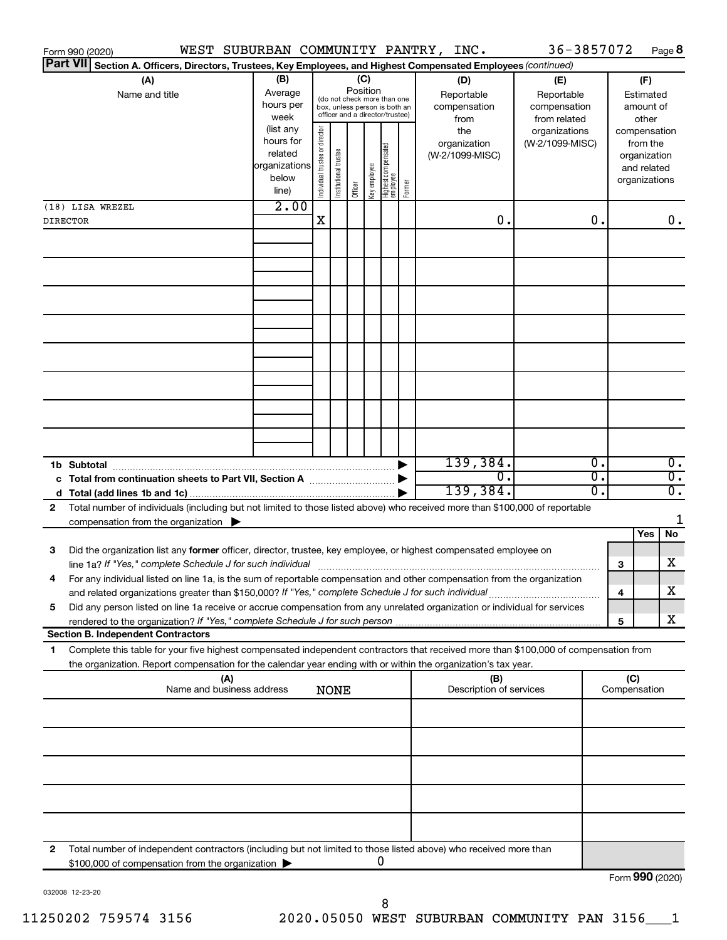|                 | WEST SUBURBAN COMMUNITY PANTRY, INC.<br>Form 990 (2020)                                                                                                                                                                                                |                                                                                                                                        |                                |                       |                 |              |                                   |        |                                           |            | 36-3857072                                        |                  |     |                                                                          | Page 8                 |
|-----------------|--------------------------------------------------------------------------------------------------------------------------------------------------------------------------------------------------------------------------------------------------------|----------------------------------------------------------------------------------------------------------------------------------------|--------------------------------|-----------------------|-----------------|--------------|-----------------------------------|--------|-------------------------------------------|------------|---------------------------------------------------|------------------|-----|--------------------------------------------------------------------------|------------------------|
| <b>Part VII</b> | Section A. Officers, Directors, Trustees, Key Employees, and Highest Compensated Employees (continued)                                                                                                                                                 |                                                                                                                                        |                                |                       |                 |              |                                   |        |                                           |            |                                                   |                  |     |                                                                          |                        |
|                 | (A)<br>Name and title                                                                                                                                                                                                                                  | (B)<br>Average<br>(do not check more than one<br>hours per<br>box, unless person is both an<br>officer and a director/trustee)<br>week |                                |                       | (C)<br>Position |              |                                   |        | (D)<br>Reportable<br>compensation<br>from |            | (E)<br>Reportable<br>compensation<br>from related |                  |     | (F)<br>Estimated<br>amount of<br>other                                   |                        |
|                 |                                                                                                                                                                                                                                                        | (list any<br>hours for<br>related<br>organizations<br>below<br>line)                                                                   | Individual trustee or director | Institutional trustee | Officer         | Key employee | Highest compensated<br>  employee | Former | the<br>organization<br>(W-2/1099-MISC)    |            | organizations<br>(W-2/1099-MISC)                  |                  |     | compensation<br>from the<br>organization<br>and related<br>organizations |                        |
|                 | (18) LISA WREZEL                                                                                                                                                                                                                                       | 2.00                                                                                                                                   |                                |                       |                 |              |                                   |        |                                           |            |                                                   |                  |     |                                                                          |                        |
|                 | <b>DIRECTOR</b>                                                                                                                                                                                                                                        |                                                                                                                                        | X                              |                       |                 |              |                                   |        |                                           | 0.         |                                                   | 0.               |     |                                                                          | $0$ .                  |
|                 |                                                                                                                                                                                                                                                        |                                                                                                                                        |                                |                       |                 |              |                                   |        |                                           |            |                                                   |                  |     |                                                                          |                        |
|                 |                                                                                                                                                                                                                                                        |                                                                                                                                        |                                |                       |                 |              |                                   |        |                                           |            |                                                   |                  |     |                                                                          |                        |
|                 |                                                                                                                                                                                                                                                        |                                                                                                                                        |                                |                       |                 |              |                                   |        |                                           |            |                                                   |                  |     |                                                                          |                        |
|                 |                                                                                                                                                                                                                                                        |                                                                                                                                        |                                |                       |                 |              |                                   |        |                                           |            |                                                   |                  |     |                                                                          |                        |
|                 | 1b Subtotal                                                                                                                                                                                                                                            |                                                                                                                                        |                                |                       |                 |              |                                   |        | 139,384.                                  |            |                                                   | $\overline{0}$ . |     |                                                                          | $\overline{0}$ .       |
|                 |                                                                                                                                                                                                                                                        |                                                                                                                                        |                                |                       |                 |              |                                   |        | 139,384.                                  | $\Omega$ . |                                                   | σ.<br>σ.         |     |                                                                          | $\overline{0}$ .<br>σ. |
| 2               | Total number of individuals (including but not limited to those listed above) who received more than \$100,000 of reportable                                                                                                                           |                                                                                                                                        |                                |                       |                 |              |                                   |        |                                           |            |                                                   |                  |     |                                                                          |                        |
|                 | compensation from the organization $\blacktriangleright$                                                                                                                                                                                               |                                                                                                                                        |                                |                       |                 |              |                                   |        |                                           |            |                                                   |                  |     |                                                                          | 1                      |
|                 |                                                                                                                                                                                                                                                        |                                                                                                                                        |                                |                       |                 |              |                                   |        |                                           |            |                                                   |                  |     | Yes                                                                      | No                     |
| 3               | Did the organization list any former officer, director, trustee, key employee, or highest compensated employee on                                                                                                                                      |                                                                                                                                        |                                |                       |                 |              |                                   |        |                                           |            |                                                   |                  | 3   |                                                                          | x                      |
|                 | For any individual listed on line 1a, is the sum of reportable compensation and other compensation from the organization                                                                                                                               |                                                                                                                                        |                                |                       |                 |              |                                   |        |                                           |            |                                                   |                  |     |                                                                          | х                      |
| 5               | and related organizations greater than \$150,000? If "Yes," complete Schedule J for such individual<br>Did any person listed on line 1a receive or accrue compensation from any unrelated organization or individual for services                      |                                                                                                                                        |                                |                       |                 |              |                                   |        |                                           |            |                                                   |                  | 4   |                                                                          |                        |
|                 | rendered to the organization? If "Yes," complete Schedule J for such person.                                                                                                                                                                           |                                                                                                                                        |                                |                       |                 |              |                                   |        |                                           |            |                                                   |                  | 5   |                                                                          | x                      |
|                 | <b>Section B. Independent Contractors</b>                                                                                                                                                                                                              |                                                                                                                                        |                                |                       |                 |              |                                   |        |                                           |            |                                                   |                  |     |                                                                          |                        |
| 1               | Complete this table for your five highest compensated independent contractors that received more than \$100,000 of compensation from<br>the organization. Report compensation for the calendar year ending with or within the organization's tax year. |                                                                                                                                        |                                |                       |                 |              |                                   |        |                                           |            |                                                   |                  |     |                                                                          |                        |
|                 | (A)<br>Name and business address                                                                                                                                                                                                                       |                                                                                                                                        |                                | <b>NONE</b>           |                 |              |                                   |        | (B)<br>Description of services            |            |                                                   |                  | (C) | Compensation                                                             |                        |
|                 |                                                                                                                                                                                                                                                        |                                                                                                                                        |                                |                       |                 |              |                                   |        |                                           |            |                                                   |                  |     |                                                                          |                        |
|                 |                                                                                                                                                                                                                                                        |                                                                                                                                        |                                |                       |                 |              |                                   |        |                                           |            |                                                   |                  |     |                                                                          |                        |
|                 |                                                                                                                                                                                                                                                        |                                                                                                                                        |                                |                       |                 |              |                                   |        |                                           |            |                                                   |                  |     |                                                                          |                        |
|                 |                                                                                                                                                                                                                                                        |                                                                                                                                        |                                |                       |                 |              |                                   |        |                                           |            |                                                   |                  |     |                                                                          |                        |
|                 |                                                                                                                                                                                                                                                        |                                                                                                                                        |                                |                       |                 |              |                                   |        |                                           |            |                                                   |                  |     |                                                                          |                        |
|                 |                                                                                                                                                                                                                                                        |                                                                                                                                        |                                |                       |                 |              |                                   |        |                                           |            |                                                   |                  |     |                                                                          |                        |
| 2               | Total number of independent contractors (including but not limited to those listed above) who received more than                                                                                                                                       |                                                                                                                                        |                                |                       |                 |              | 0                                 |        |                                           |            |                                                   |                  |     |                                                                          |                        |
|                 | \$100,000 of compensation from the organization                                                                                                                                                                                                        |                                                                                                                                        |                                |                       |                 |              |                                   |        |                                           |            |                                                   |                  |     | Form 990 (2020)                                                          |                        |

032008 12-23-20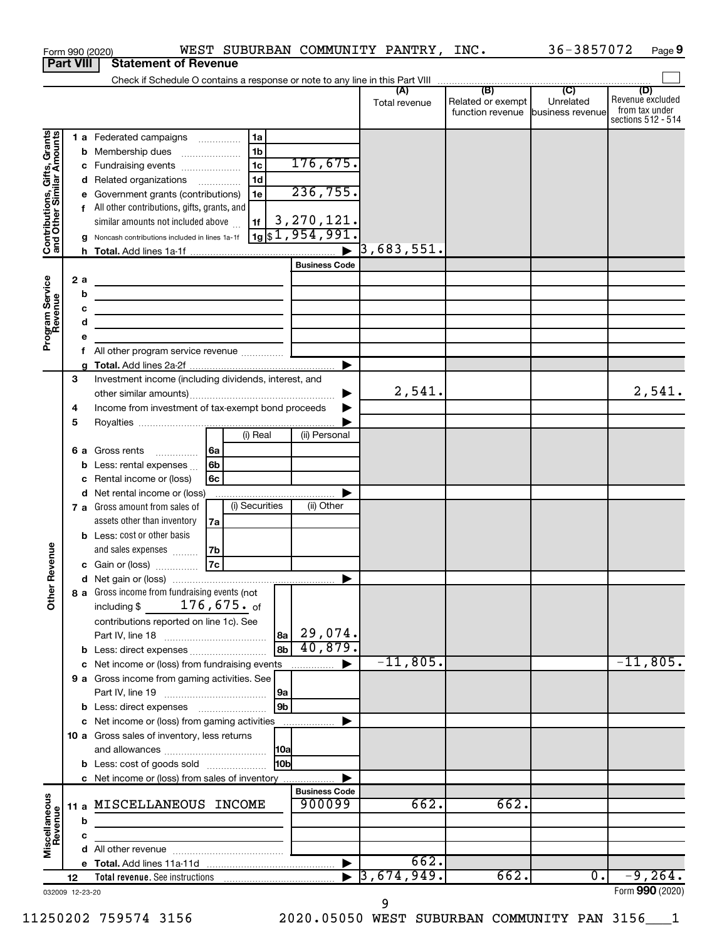|                                                           |    |         | WEST SUBURBAN COMMUNITY PANTRY, INC.<br>Form 990 (2020)                                                                                                                                                                                         |                             |                          |                          | 36-3857072                                                       | Page 9                                                          |
|-----------------------------------------------------------|----|---------|-------------------------------------------------------------------------------------------------------------------------------------------------------------------------------------------------------------------------------------------------|-----------------------------|--------------------------|--------------------------|------------------------------------------------------------------|-----------------------------------------------------------------|
| <b>Part VIII</b>                                          |    |         | <b>Statement of Revenue</b>                                                                                                                                                                                                                     |                             |                          |                          |                                                                  |                                                                 |
|                                                           |    |         |                                                                                                                                                                                                                                                 |                             |                          |                          |                                                                  |                                                                 |
|                                                           |    |         |                                                                                                                                                                                                                                                 |                             | (A)<br>Total revenue     | (B)<br>Related or exempt | $\overline{C}$<br>Unrelated<br>function revenue business revenue | (D)<br>Revenue excluded<br>from tax under<br>sections 512 - 514 |
|                                                           |    |         | 1a<br>1 a Federated campaigns                                                                                                                                                                                                                   |                             |                          |                          |                                                                  |                                                                 |
| Contributions, Gifts, Grants<br>and Other Similar Amounts |    |         | 1 <sub>b</sub><br><b>b</b> Membership dues<br>$\ldots \ldots \ldots \ldots \ldots$                                                                                                                                                              |                             |                          |                          |                                                                  |                                                                 |
|                                                           |    | с       | 1 <sub>c</sub><br>Fundraising events                                                                                                                                                                                                            | 176,675.                    |                          |                          |                                                                  |                                                                 |
|                                                           |    |         | 1 <sub>d</sub><br>d Related organizations                                                                                                                                                                                                       |                             |                          |                          |                                                                  |                                                                 |
|                                                           |    | е       | 1e<br>Government grants (contributions)                                                                                                                                                                                                         | 236,755.                    |                          |                          |                                                                  |                                                                 |
|                                                           |    | f       | All other contributions, gifts, grants, and                                                                                                                                                                                                     |                             |                          |                          |                                                                  |                                                                 |
|                                                           |    |         | similar amounts not included above<br>1f                                                                                                                                                                                                        | 3,270,121.                  |                          |                          |                                                                  |                                                                 |
|                                                           |    |         | Noncash contributions included in lines 1a-1f                                                                                                                                                                                                   | $\frac{1}{19}$ \$1,954,991. |                          |                          |                                                                  |                                                                 |
|                                                           |    |         |                                                                                                                                                                                                                                                 |                             | $\overline{3}$ ,683,551. |                          |                                                                  |                                                                 |
|                                                           |    |         |                                                                                                                                                                                                                                                 | <b>Business Code</b>        |                          |                          |                                                                  |                                                                 |
|                                                           |    | 2a<br>b | <u> 1989 - Johann Barn, fransk politik (d. 1989)</u>                                                                                                                                                                                            |                             |                          |                          |                                                                  |                                                                 |
|                                                           |    | с       | <u>and the state of the state of the state of the state of the state of the state of the state of the state of the state of the state of the state of the state of the state of the state of the state of the state of the state</u>            |                             |                          |                          |                                                                  |                                                                 |
|                                                           |    | d       | <u> 1989 - Johann Barbara, martin amerikan basal dan berasal dalam basal dalam basal dalam basal dalam basal dala</u><br><u> 1989 - Johann Barbara, martin a bhaile an t-Alban an t-Alban an t-Alban an t-Alban an t-Alban an t-Alban an t-</u> |                             |                          |                          |                                                                  |                                                                 |
| Program Service<br>Revenue                                |    | е       |                                                                                                                                                                                                                                                 |                             |                          |                          |                                                                  |                                                                 |
|                                                           |    | f       | All other program service revenue                                                                                                                                                                                                               |                             |                          |                          |                                                                  |                                                                 |
|                                                           |    |         |                                                                                                                                                                                                                                                 |                             |                          |                          |                                                                  |                                                                 |
|                                                           | 3  |         | Investment income (including dividends, interest, and                                                                                                                                                                                           |                             |                          |                          |                                                                  |                                                                 |
|                                                           |    |         |                                                                                                                                                                                                                                                 |                             | 2,541.                   |                          |                                                                  | 2,541.                                                          |
|                                                           | 4  |         | Income from investment of tax-exempt bond proceeds                                                                                                                                                                                              |                             |                          |                          |                                                                  |                                                                 |
|                                                           | 5  |         |                                                                                                                                                                                                                                                 |                             |                          |                          |                                                                  |                                                                 |
|                                                           |    |         | (i) Real                                                                                                                                                                                                                                        | (ii) Personal               |                          |                          |                                                                  |                                                                 |
|                                                           |    | 6а      | l 6a<br>Gross rents                                                                                                                                                                                                                             |                             |                          |                          |                                                                  |                                                                 |
|                                                           |    | b       | 6 <sub>b</sub><br>Less: rental expenses                                                                                                                                                                                                         |                             |                          |                          |                                                                  |                                                                 |
|                                                           |    | c       | 6c<br>Rental income or (loss)<br>d Net rental income or (loss)                                                                                                                                                                                  |                             |                          |                          |                                                                  |                                                                 |
|                                                           |    |         | (i) Securities<br>7 a Gross amount from sales of                                                                                                                                                                                                | (ii) Other                  |                          |                          |                                                                  |                                                                 |
|                                                           |    |         | assets other than inventory<br>7a                                                                                                                                                                                                               |                             |                          |                          |                                                                  |                                                                 |
|                                                           |    |         | <b>b</b> Less: cost or other basis                                                                                                                                                                                                              |                             |                          |                          |                                                                  |                                                                 |
|                                                           |    |         | and sales expenses<br>  7b                                                                                                                                                                                                                      |                             |                          |                          |                                                                  |                                                                 |
| evenue                                                    |    |         | 7c<br>c Gain or (loss)                                                                                                                                                                                                                          |                             |                          |                          |                                                                  |                                                                 |
|                                                           |    |         |                                                                                                                                                                                                                                                 |                             |                          |                          |                                                                  |                                                                 |
| Other <sub>R</sub>                                        |    |         | 8 a Gross income from fundraising events (not                                                                                                                                                                                                   |                             |                          |                          |                                                                  |                                                                 |
|                                                           |    |         | including $$176,675.$ of                                                                                                                                                                                                                        |                             |                          |                          |                                                                  |                                                                 |
|                                                           |    |         | contributions reported on line 1c). See                                                                                                                                                                                                         |                             |                          |                          |                                                                  |                                                                 |
|                                                           |    |         |                                                                                                                                                                                                                                                 | $ 8a $ 29,074.              |                          |                          |                                                                  |                                                                 |
|                                                           |    |         | 8b<br><b>b</b> Less: direct expenses                                                                                                                                                                                                            | 40,879.                     |                          |                          |                                                                  |                                                                 |
|                                                           |    |         | c Net income or (loss) from fundraising events                                                                                                                                                                                                  | ▶                           | $-11,805.$               |                          |                                                                  | $-11,805.$                                                      |
|                                                           |    |         | 9 a Gross income from gaming activities. See                                                                                                                                                                                                    |                             |                          |                          |                                                                  |                                                                 |
|                                                           |    |         | 9a<br>9 <sub>b</sub><br><b>b</b> Less: direct expenses <b>manually</b>                                                                                                                                                                          |                             |                          |                          |                                                                  |                                                                 |
|                                                           |    |         | c Net income or (loss) from gaming activities                                                                                                                                                                                                   |                             |                          |                          |                                                                  |                                                                 |
|                                                           |    |         | 10 a Gross sales of inventory, less returns                                                                                                                                                                                                     |                             |                          |                          |                                                                  |                                                                 |
|                                                           |    |         |                                                                                                                                                                                                                                                 |                             |                          |                          |                                                                  |                                                                 |
|                                                           |    |         | 10b<br><b>b</b> Less: cost of goods sold                                                                                                                                                                                                        |                             |                          |                          |                                                                  |                                                                 |
|                                                           |    |         | c Net income or (loss) from sales of inventory                                                                                                                                                                                                  |                             |                          |                          |                                                                  |                                                                 |
|                                                           |    |         |                                                                                                                                                                                                                                                 | <b>Business Code</b>        |                          |                          |                                                                  |                                                                 |
| Miscellaneous<br>Revenue                                  |    |         | 11 a MISCELLANEOUS INCOME                                                                                                                                                                                                                       | 900099                      | 662.                     | 662.                     |                                                                  |                                                                 |
|                                                           |    | b       |                                                                                                                                                                                                                                                 |                             |                          |                          |                                                                  |                                                                 |
|                                                           |    | c       |                                                                                                                                                                                                                                                 |                             |                          |                          |                                                                  |                                                                 |
|                                                           |    |         |                                                                                                                                                                                                                                                 |                             | 662.                     |                          |                                                                  |                                                                 |
|                                                           |    |         |                                                                                                                                                                                                                                                 |                             | 3,674,949.               | 662.                     | 0.                                                               | $-9,264.$                                                       |
| 032009 12-23-20                                           | 12 |         |                                                                                                                                                                                                                                                 |                             |                          |                          |                                                                  | Form 990 (2020)                                                 |
|                                                           |    |         |                                                                                                                                                                                                                                                 |                             |                          |                          |                                                                  |                                                                 |

9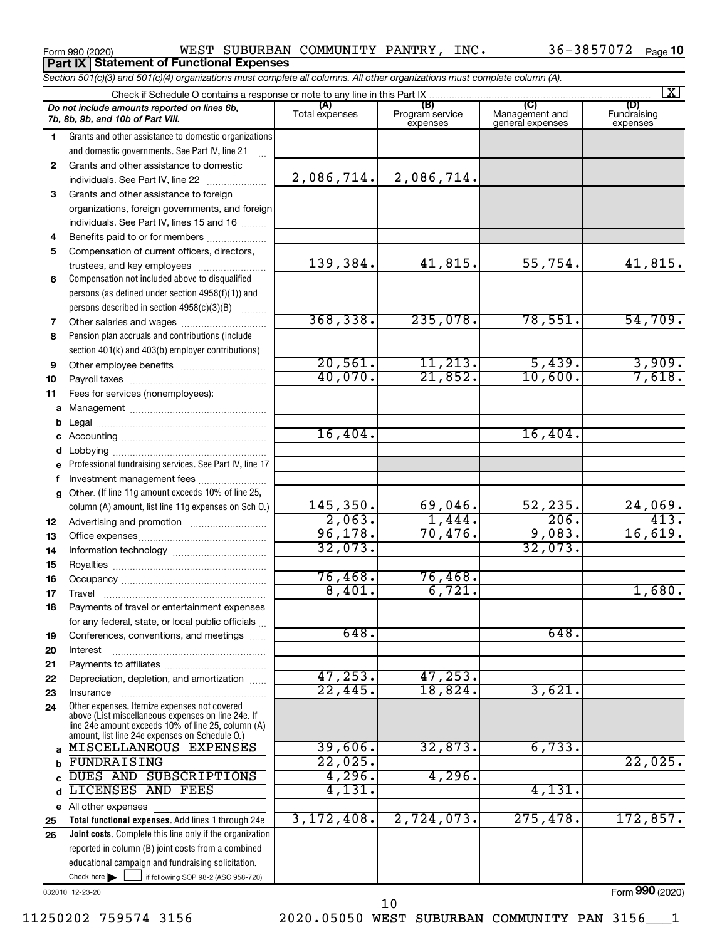**Part IX Statement of Functional Expenses**

Form 990 (2020) WEST SUBURBAN COMMUNITY PANTRY, INC. 36-3857072  $\,$  Page

|    | Section 501(c)(3) and 501(c)(4) organizations must complete all columns. All other organizations must complete column (A).                                 |                |                             |                                    | $\overline{\mathbf{x}}$ |
|----|------------------------------------------------------------------------------------------------------------------------------------------------------------|----------------|-----------------------------|------------------------------------|-------------------------|
|    | Check if Schedule O contains a response or note to any line in this Part IX                                                                                | (A)            | (B)                         | (C)                                | (D)                     |
|    | Do not include amounts reported on lines 6b,<br>7b, 8b, 9b, and 10b of Part VIII.                                                                          | Total expenses | Program service<br>expenses | Management and<br>general expenses | Fundraising<br>expenses |
| 1. | Grants and other assistance to domestic organizations                                                                                                      |                |                             |                                    |                         |
|    | and domestic governments. See Part IV, line 21                                                                                                             |                |                             |                                    |                         |
| 2  | Grants and other assistance to domestic                                                                                                                    |                |                             |                                    |                         |
|    | individuals. See Part IV, line 22                                                                                                                          | 2,086,714.     | 2,086,714.                  |                                    |                         |
| 3  | Grants and other assistance to foreign                                                                                                                     |                |                             |                                    |                         |
|    | organizations, foreign governments, and foreign                                                                                                            |                |                             |                                    |                         |
|    | individuals. See Part IV, lines 15 and 16                                                                                                                  |                |                             |                                    |                         |
| 4  | Benefits paid to or for members                                                                                                                            |                |                             |                                    |                         |
| 5  | Compensation of current officers, directors,                                                                                                               |                |                             |                                    |                         |
|    | trustees, and key employees                                                                                                                                | 139,384.       | 41,815.                     | 55,754.                            | 41,815.                 |
| 6  | Compensation not included above to disqualified                                                                                                            |                |                             |                                    |                         |
|    | persons (as defined under section 4958(f)(1)) and                                                                                                          |                |                             |                                    |                         |
|    | persons described in section 4958(c)(3)(B)                                                                                                                 |                |                             |                                    |                         |
| 7  |                                                                                                                                                            | 368, 338.      | 235,078.                    | 78,551.                            | 54,709.                 |
| 8  | Pension plan accruals and contributions (include                                                                                                           |                |                             |                                    |                         |
|    | section 401(k) and 403(b) employer contributions)                                                                                                          |                |                             |                                    |                         |
| 9  |                                                                                                                                                            | 20,561.        | 11, 213.                    | 5,439.                             | $\frac{3,909}{7,618}$   |
| 10 |                                                                                                                                                            | 40,070.        | 21,852.                     | 10,600.                            |                         |
| 11 | Fees for services (nonemployees):                                                                                                                          |                |                             |                                    |                         |
| a  |                                                                                                                                                            |                |                             |                                    |                         |
| b  |                                                                                                                                                            |                |                             |                                    |                         |
| c  |                                                                                                                                                            | 16,404.        |                             | 16,404.                            |                         |
|    |                                                                                                                                                            |                |                             |                                    |                         |
| е  | Professional fundraising services. See Part IV, line 17                                                                                                    |                |                             |                                    |                         |
| f. | Investment management fees                                                                                                                                 |                |                             |                                    |                         |
|    | g Other. (If line 11g amount exceeds 10% of line 25,                                                                                                       |                |                             |                                    |                         |
|    | column (A) amount, list line 11g expenses on Sch O.)                                                                                                       | 145,350.       | 69,046.                     | 52,235.<br>206.                    | $\frac{24,069}{413}$    |
| 12 |                                                                                                                                                            | 2,063.         | 1,444.                      |                                    |                         |
| 13 |                                                                                                                                                            | 96,178.        | 70,476.                     | 9,083.                             | 16,619.                 |
| 14 |                                                                                                                                                            | 32,073.        |                             | 32,073.                            |                         |
| 15 |                                                                                                                                                            |                |                             |                                    |                         |
| 16 |                                                                                                                                                            | 76,468.        | 76,468.                     |                                    |                         |
| 17 |                                                                                                                                                            | 8,401.         | 6,721.                      |                                    | 1,680.                  |
| 18 | Payments of travel or entertainment expenses                                                                                                               |                |                             |                                    |                         |
|    | for any federal, state, or local public officials                                                                                                          |                |                             |                                    |                         |
| 19 | Conferences, conventions, and meetings                                                                                                                     | 648.           |                             | 648                                |                         |
| 20 | Interest                                                                                                                                                   |                |                             |                                    |                         |
| 21 |                                                                                                                                                            | 47, 253.       | 47, 253.                    |                                    |                         |
| 22 | Depreciation, depletion, and amortization                                                                                                                  | 22,445.        | 18,824.                     | 3,621.                             |                         |
| 23 | Insurance<br>Other expenses. Itemize expenses not covered                                                                                                  |                |                             |                                    |                         |
| 24 | above (List miscellaneous expenses on line 24e. If<br>line 24e amount exceeds 10% of line 25, column (A)<br>amount, list line 24e expenses on Schedule O.) |                |                             |                                    |                         |
| a  | MISCELLANEOUS EXPENSES                                                                                                                                     | 39,606.        | 32,873.                     | 6,733.                             |                         |
| b  | FUNDRAISING                                                                                                                                                | 22,025.        |                             |                                    | 22,025.                 |
| c  | DUES AND SUBSCRIPTIONS                                                                                                                                     | 4,296.         | 4,296.                      |                                    |                         |
| d  | LICENSES AND FEES                                                                                                                                          | 4,131.         |                             | 4,131.                             |                         |
|    | e All other expenses                                                                                                                                       |                |                             |                                    |                         |
| 25 | Total functional expenses. Add lines 1 through 24e                                                                                                         | 3, 172, 408.   | 2,724,073.                  | 275,478.                           | 172,857.                |
| 26 | Joint costs. Complete this line only if the organization                                                                                                   |                |                             |                                    |                         |
|    | reported in column (B) joint costs from a combined                                                                                                         |                |                             |                                    |                         |
|    | educational campaign and fundraising solicitation.                                                                                                         |                |                             |                                    |                         |
|    | Check here $\blacktriangleright$<br>if following SOP 98-2 (ASC 958-720)                                                                                    |                |                             |                                    |                         |

032010 12-23-20

Form (2020) **990**

11250202 759574 3156 2020.05050 WEST SUBURBAN COMMUNITY PAN 3156\_\_\_1

10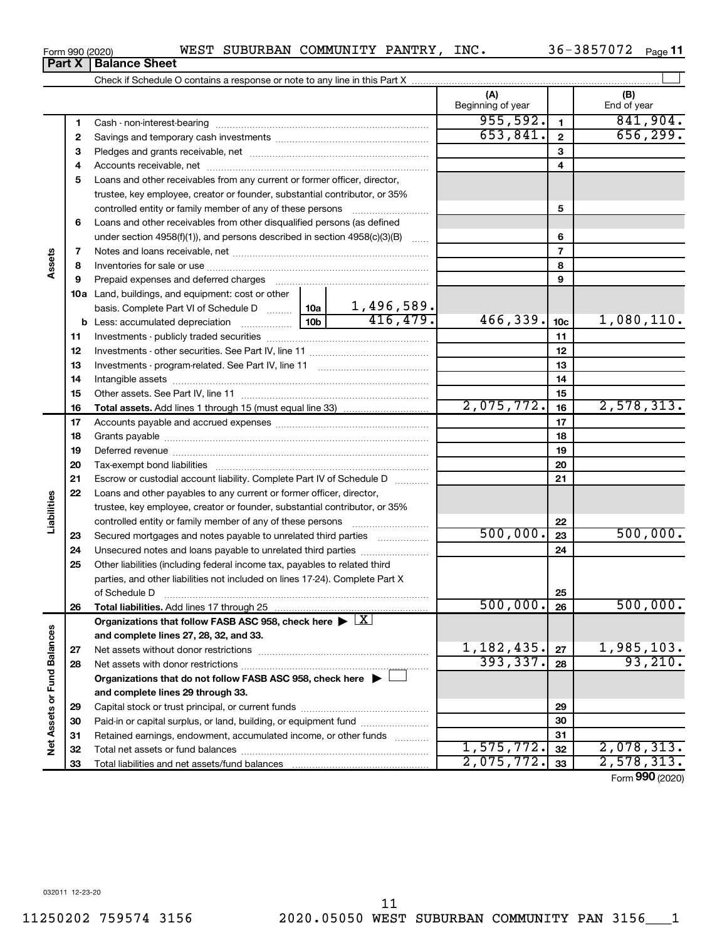#### Form 990 (2020) WEST SUBURBAN COMMUNITY PANTRY, INC. 36-3857072  $\,$  Page  $\,$ **Part X** | Balance Sheet

**(A) (B)** Check if Schedule O contains a response or note to any line in this Part X Beginning of year  $\vert$  | End of year

36-3857072 Page 11

| 1  |                                                                                    | 955,592.   | 1               | 841,904.        |
|----|------------------------------------------------------------------------------------|------------|-----------------|-----------------|
| 2  |                                                                                    | 653,841.   | $\mathbf{2}$    | 656, 299.       |
| 3  |                                                                                    |            | 3               |                 |
| 4  |                                                                                    |            | 4               |                 |
| 5  | Loans and other receivables from any current or former officer, director,          |            |                 |                 |
|    | trustee, key employee, creator or founder, substantial contributor, or 35%         |            |                 |                 |
|    | controlled entity or family member of any of these persons                         |            | 5               |                 |
| 6  | Loans and other receivables from other disqualified persons (as defined            |            |                 |                 |
|    | under section 4958(f)(1)), and persons described in section 4958(c)(3)(B)          |            | 6               |                 |
| 7  |                                                                                    |            | $\overline{7}$  |                 |
| 8  |                                                                                    |            | 8               |                 |
| 9  |                                                                                    |            | 9               |                 |
|    | 10a Land, buildings, and equipment: cost or other                                  |            |                 |                 |
|    |                                                                                    |            |                 |                 |
| b  |                                                                                    | 466,339.   | 10 <sub>c</sub> | 1,080,110.      |
| 11 |                                                                                    |            | 11              |                 |
| 12 |                                                                                    |            | 12              |                 |
| 13 |                                                                                    |            | 13              |                 |
|    |                                                                                    |            | 14              |                 |
| 14 |                                                                                    |            | 15              |                 |
| 15 |                                                                                    | 2,075,772. | 16              | 2,578,313.      |
| 16 |                                                                                    |            | 17              |                 |
| 17 |                                                                                    |            |                 |                 |
| 18 |                                                                                    |            | 18              |                 |
| 19 |                                                                                    |            | 19              |                 |
| 20 |                                                                                    |            | 20              |                 |
| 21 | Escrow or custodial account liability. Complete Part IV of Schedule D              |            | 21              |                 |
| 22 | Loans and other payables to any current or former officer, director,               |            |                 |                 |
|    | trustee, key employee, creator or founder, substantial contributor, or 35%         |            |                 |                 |
|    | controlled entity or family member of any of these persons                         | 500,000.   | 22              |                 |
| 23 | Secured mortgages and notes payable to unrelated third parties                     |            | 23              | 500,000.        |
| 24 | Unsecured notes and loans payable to unrelated third parties                       |            | 24              |                 |
| 25 | Other liabilities (including federal income tax, payables to related third         |            |                 |                 |
|    | parties, and other liabilities not included on lines 17-24). Complete Part X       |            |                 |                 |
|    | of Schedule D                                                                      |            | 25              |                 |
| 26 | Total liabilities. Add lines 17 through 25                                         | 500,000.   | 26              | 500,000.        |
|    | Organizations that follow FASB ASC 958, check here $\blacktriangleright \boxed{X}$ |            |                 |                 |
|    | and complete lines 27, 28, 32, and 33.                                             |            |                 |                 |
| 27 |                                                                                    | 1,182,435. | 27              | 1,985,103.      |
| 28 |                                                                                    | 393,337.   | 28              | 93, 210.        |
|    | Organizations that do not follow FASB ASC 958, check here $\blacktriangleright$    |            |                 |                 |
|    | and complete lines 29 through 33.                                                  |            |                 |                 |
| 29 |                                                                                    |            | 29              |                 |
| 30 | Paid-in or capital surplus, or land, building, or equipment fund                   |            | 30              |                 |
| 31 | Retained earnings, endowment, accumulated income, or other funds                   |            | 31              |                 |
| 32 |                                                                                    | 1,575,772. | 32              | 2,078,313.      |
| 33 |                                                                                    | 2,075,772. | 33              | 2,578,313.      |
|    |                                                                                    |            |                 | Form 990 (2020) |

**Assets**

**Liabilities**

**Net Assets or Fund Balances**

Net Assets or Fund Balances

 $\mathbf{r}$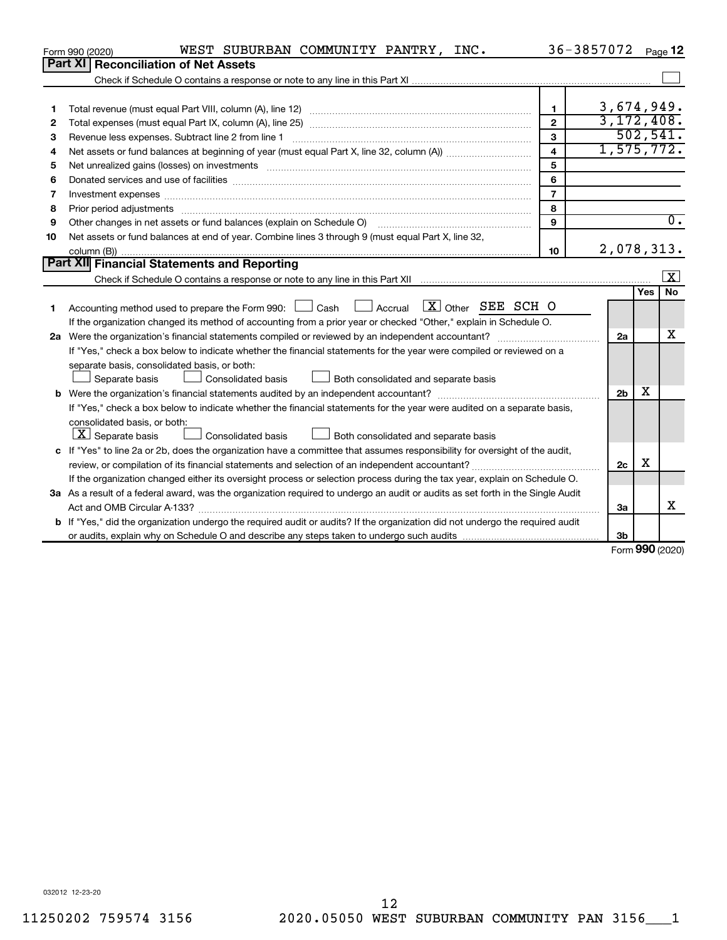|    | WEST SUBURBAN COMMUNITY PANTRY, INC.<br>Form 990 (2020)                                                                         |                         | 36-3857072     |     | Page 12                 |
|----|---------------------------------------------------------------------------------------------------------------------------------|-------------------------|----------------|-----|-------------------------|
|    | Part XI   Reconciliation of Net Assets                                                                                          |                         |                |     |                         |
|    |                                                                                                                                 |                         |                |     |                         |
|    |                                                                                                                                 |                         |                |     |                         |
| 1  |                                                                                                                                 | $\mathbf{1}$            | 3,674,949.     |     |                         |
| 2  |                                                                                                                                 | $\overline{2}$          | 3, 172, 408.   |     |                         |
| З  | Revenue less expenses. Subtract line 2 from line 1                                                                              | 3                       |                |     | 502, 541.               |
| 4  |                                                                                                                                 | $\overline{\mathbf{4}}$ | 1,575,772.     |     |                         |
| 5  |                                                                                                                                 | 5                       |                |     |                         |
| 6  |                                                                                                                                 | 6                       |                |     |                         |
| 7  | Investment expenses www.communication.com/www.communication.com/www.communication.com/www.com                                   | $\overline{7}$          |                |     |                         |
| 8  |                                                                                                                                 | 8                       |                |     |                         |
| 9  | Other changes in net assets or fund balances (explain on Schedule O) manufactured in the state of the state of                  | 9                       |                |     | $\overline{0}$ .        |
| 10 | Net assets or fund balances at end of year. Combine lines 3 through 9 (must equal Part X, line 32,                              |                         |                |     |                         |
|    |                                                                                                                                 | 10                      | 2,078,313.     |     |                         |
|    | Part XII Financial Statements and Reporting                                                                                     |                         |                |     |                         |
|    |                                                                                                                                 |                         |                |     | $\overline{\mathbf{x}}$ |
|    |                                                                                                                                 |                         |                | Yes | No                      |
| 1  | Accounting method used to prepare the Form 990: $\Box$ Cash $\Box$ Accrual $\Box X$ Other SEE SCH O                             |                         |                |     |                         |
|    | If the organization changed its method of accounting from a prior year or checked "Other," explain in Schedule O.               |                         |                |     |                         |
|    |                                                                                                                                 |                         | 2a             |     | х                       |
|    | If "Yes," check a box below to indicate whether the financial statements for the year were compiled or reviewed on a            |                         |                |     |                         |
|    | separate basis, consolidated basis, or both:                                                                                    |                         |                |     |                         |
|    | Both consolidated and separate basis<br>Separate basis<br>Consolidated basis                                                    |                         |                |     |                         |
|    |                                                                                                                                 |                         | 2 <sub>b</sub> | х   |                         |
|    | If "Yes," check a box below to indicate whether the financial statements for the year were audited on a separate basis,         |                         |                |     |                         |
|    | consolidated basis, or both:                                                                                                    |                         |                |     |                         |
|    | $ \mathbf{X} $ Separate basis<br>Consolidated basis<br>Both consolidated and separate basis                                     |                         |                |     |                         |
|    | c If "Yes" to line 2a or 2b, does the organization have a committee that assumes responsibility for oversight of the audit,     |                         |                |     |                         |
|    |                                                                                                                                 |                         | 2c             | х   |                         |
|    | If the organization changed either its oversight process or selection process during the tax year, explain on Schedule O.       |                         |                |     |                         |
|    | 3a As a result of a federal award, was the organization required to undergo an audit or audits as set forth in the Single Audit |                         |                |     |                         |
|    | Act and OMB Circular A-133?                                                                                                     |                         | 3a             |     | x                       |
|    | b If "Yes," did the organization undergo the required audit or audits? If the organization did not undergo the required audit   |                         |                |     |                         |
|    |                                                                                                                                 |                         | 3 <sub>b</sub> |     |                         |

Form (2020) **990**

032012 12-23-20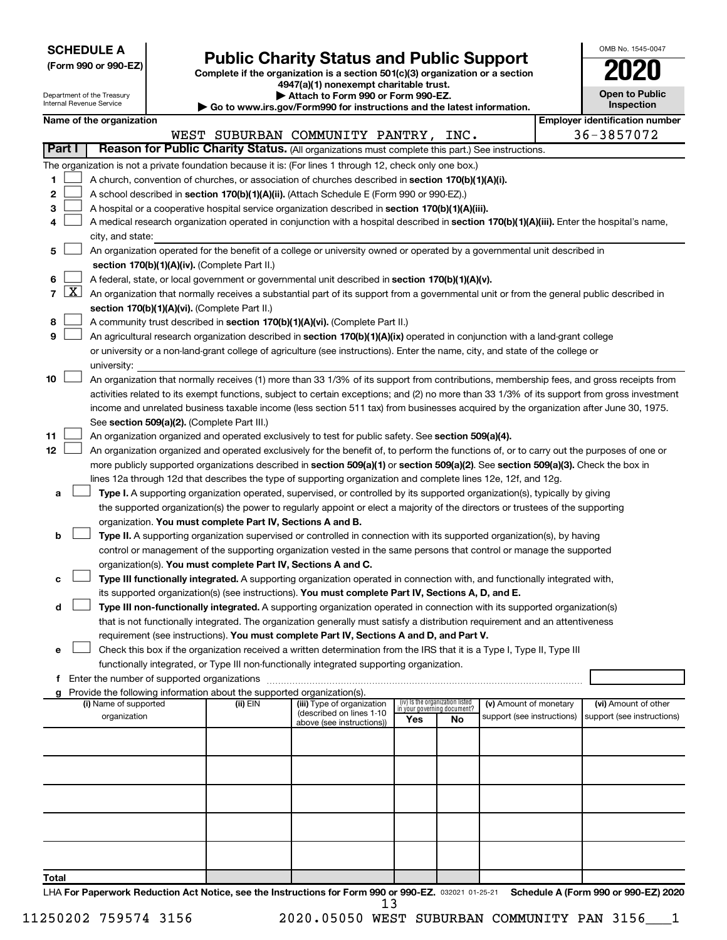**SCHEDULE A**

# **(Form 990 or 990-EZ) Complete if the organization is a section 501(c)(3) organization or a section Public Charity Status and Public Support 2020**

**4947(a)(1) nonexempt charitable trust.**

| OMB No. 1545-0047                   |
|-------------------------------------|
| 2020                                |
| <b>Open to Public</b><br>Inspection |
|                                     |

 $\Box$ 

 $\mathbf I$ 

|       |                                                                                                                                    | Department of the Treasury<br>Attach to Form 990 or Form 990-EZ.<br>Internal Revenue Service<br>Go to www.irs.gov/Form990 for instructions and the latest information. |  |                                                                                    |                                                                                                                                              | <b>Open to Public</b><br>Inspection |                                 |                            |  |                                       |  |  |
|-------|------------------------------------------------------------------------------------------------------------------------------------|------------------------------------------------------------------------------------------------------------------------------------------------------------------------|--|------------------------------------------------------------------------------------|----------------------------------------------------------------------------------------------------------------------------------------------|-------------------------------------|---------------------------------|----------------------------|--|---------------------------------------|--|--|
|       |                                                                                                                                    | Name of the organization                                                                                                                                               |  |                                                                                    |                                                                                                                                              |                                     |                                 |                            |  | <b>Employer identification number</b> |  |  |
|       |                                                                                                                                    |                                                                                                                                                                        |  |                                                                                    | WEST SUBURBAN COMMUNITY PANTRY, INC.                                                                                                         |                                     |                                 |                            |  | 36-3857072                            |  |  |
|       | Part I                                                                                                                             |                                                                                                                                                                        |  |                                                                                    | Reason for Public Charity Status. (All organizations must complete this part.) See instructions.                                             |                                     |                                 |                            |  |                                       |  |  |
|       |                                                                                                                                    |                                                                                                                                                                        |  |                                                                                    | The organization is not a private foundation because it is: (For lines 1 through 12, check only one box.)                                    |                                     |                                 |                            |  |                                       |  |  |
| 1.    |                                                                                                                                    |                                                                                                                                                                        |  |                                                                                    | A church, convention of churches, or association of churches described in section 170(b)(1)(A)(i).                                           |                                     |                                 |                            |  |                                       |  |  |
| 2     |                                                                                                                                    |                                                                                                                                                                        |  |                                                                                    | A school described in section 170(b)(1)(A)(ii). (Attach Schedule E (Form 990 or 990-EZ).)                                                    |                                     |                                 |                            |  |                                       |  |  |
| з     |                                                                                                                                    |                                                                                                                                                                        |  |                                                                                    | A hospital or a cooperative hospital service organization described in section 170(b)(1)(A)(iii).                                            |                                     |                                 |                            |  |                                       |  |  |
| 4     |                                                                                                                                    |                                                                                                                                                                        |  |                                                                                    | A medical research organization operated in conjunction with a hospital described in section 170(b)(1)(A)(iii). Enter the hospital's name,   |                                     |                                 |                            |  |                                       |  |  |
|       |                                                                                                                                    | city, and state:                                                                                                                                                       |  |                                                                                    |                                                                                                                                              |                                     |                                 |                            |  |                                       |  |  |
| 5     |                                                                                                                                    |                                                                                                                                                                        |  |                                                                                    | An organization operated for the benefit of a college or university owned or operated by a governmental unit described in                    |                                     |                                 |                            |  |                                       |  |  |
|       |                                                                                                                                    |                                                                                                                                                                        |  | section 170(b)(1)(A)(iv). (Complete Part II.)                                      |                                                                                                                                              |                                     |                                 |                            |  |                                       |  |  |
| 6     |                                                                                                                                    |                                                                                                                                                                        |  |                                                                                    | A federal, state, or local government or governmental unit described in section 170(b)(1)(A)(v).                                             |                                     |                                 |                            |  |                                       |  |  |
|       | $7 \mid X \mid$                                                                                                                    |                                                                                                                                                                        |  |                                                                                    | An organization that normally receives a substantial part of its support from a governmental unit or from the general public described in    |                                     |                                 |                            |  |                                       |  |  |
|       | section 170(b)(1)(A)(vi). (Complete Part II.)                                                                                      |                                                                                                                                                                        |  |                                                                                    |                                                                                                                                              |                                     |                                 |                            |  |                                       |  |  |
| 8     |                                                                                                                                    |                                                                                                                                                                        |  |                                                                                    | A community trust described in section 170(b)(1)(A)(vi). (Complete Part II.)                                                                 |                                     |                                 |                            |  |                                       |  |  |
| 9     |                                                                                                                                    |                                                                                                                                                                        |  |                                                                                    | An agricultural research organization described in section 170(b)(1)(A)(ix) operated in conjunction with a land-grant college                |                                     |                                 |                            |  |                                       |  |  |
|       |                                                                                                                                    |                                                                                                                                                                        |  |                                                                                    | or university or a non-land-grant college of agriculture (see instructions). Enter the name, city, and state of the college or               |                                     |                                 |                            |  |                                       |  |  |
|       |                                                                                                                                    | university:                                                                                                                                                            |  |                                                                                    |                                                                                                                                              |                                     |                                 |                            |  |                                       |  |  |
| 10    |                                                                                                                                    |                                                                                                                                                                        |  |                                                                                    | An organization that normally receives (1) more than 33 1/3% of its support from contributions, membership fees, and gross receipts from     |                                     |                                 |                            |  |                                       |  |  |
|       |                                                                                                                                    |                                                                                                                                                                        |  |                                                                                    | activities related to its exempt functions, subject to certain exceptions; and (2) no more than 33 1/3% of its support from gross investment |                                     |                                 |                            |  |                                       |  |  |
|       |                                                                                                                                    |                                                                                                                                                                        |  |                                                                                    | income and unrelated business taxable income (less section 511 tax) from businesses acquired by the organization after June 30, 1975.        |                                     |                                 |                            |  |                                       |  |  |
|       |                                                                                                                                    |                                                                                                                                                                        |  | See section 509(a)(2). (Complete Part III.)                                        |                                                                                                                                              |                                     |                                 |                            |  |                                       |  |  |
| 11    |                                                                                                                                    |                                                                                                                                                                        |  |                                                                                    | An organization organized and operated exclusively to test for public safety. See section 509(a)(4).                                         |                                     |                                 |                            |  |                                       |  |  |
| 12    |                                                                                                                                    | An organization organized and operated exclusively for the benefit of, to perform the functions of, or to carry out the purposes of one or                             |  |                                                                                    |                                                                                                                                              |                                     |                                 |                            |  |                                       |  |  |
|       | more publicly supported organizations described in section 509(a)(1) or section 509(a)(2). See section 509(a)(3). Check the box in |                                                                                                                                                                        |  |                                                                                    |                                                                                                                                              |                                     |                                 |                            |  |                                       |  |  |
|       |                                                                                                                                    |                                                                                                                                                                        |  |                                                                                    | lines 12a through 12d that describes the type of supporting organization and complete lines 12e, 12f, and 12g.                               |                                     |                                 |                            |  |                                       |  |  |
| a     |                                                                                                                                    |                                                                                                                                                                        |  |                                                                                    | Type I. A supporting organization operated, supervised, or controlled by its supported organization(s), typically by giving                  |                                     |                                 |                            |  |                                       |  |  |
|       |                                                                                                                                    |                                                                                                                                                                        |  |                                                                                    | the supported organization(s) the power to regularly appoint or elect a majority of the directors or trustees of the supporting              |                                     |                                 |                            |  |                                       |  |  |
|       |                                                                                                                                    |                                                                                                                                                                        |  | organization. You must complete Part IV, Sections A and B.                         |                                                                                                                                              |                                     |                                 |                            |  |                                       |  |  |
| b     |                                                                                                                                    |                                                                                                                                                                        |  |                                                                                    | Type II. A supporting organization supervised or controlled in connection with its supported organization(s), by having                      |                                     |                                 |                            |  |                                       |  |  |
|       |                                                                                                                                    |                                                                                                                                                                        |  |                                                                                    | control or management of the supporting organization vested in the same persons that control or manage the supported                         |                                     |                                 |                            |  |                                       |  |  |
|       |                                                                                                                                    |                                                                                                                                                                        |  | organization(s). You must complete Part IV, Sections A and C.                      |                                                                                                                                              |                                     |                                 |                            |  |                                       |  |  |
| с     |                                                                                                                                    |                                                                                                                                                                        |  |                                                                                    | Type III functionally integrated. A supporting organization operated in connection with, and functionally integrated with,                   |                                     |                                 |                            |  |                                       |  |  |
|       |                                                                                                                                    |                                                                                                                                                                        |  |                                                                                    | its supported organization(s) (see instructions). You must complete Part IV, Sections A, D, and E.                                           |                                     |                                 |                            |  |                                       |  |  |
| d     |                                                                                                                                    |                                                                                                                                                                        |  |                                                                                    | Type III non-functionally integrated. A supporting organization operated in connection with its supported organization(s)                    |                                     |                                 |                            |  |                                       |  |  |
|       |                                                                                                                                    |                                                                                                                                                                        |  |                                                                                    | that is not functionally integrated. The organization generally must satisfy a distribution requirement and an attentiveness                 |                                     |                                 |                            |  |                                       |  |  |
|       |                                                                                                                                    |                                                                                                                                                                        |  |                                                                                    | requirement (see instructions). You must complete Part IV, Sections A and D, and Part V.                                                     |                                     |                                 |                            |  |                                       |  |  |
| e     |                                                                                                                                    |                                                                                                                                                                        |  |                                                                                    | Check this box if the organization received a written determination from the IRS that it is a Type I, Type II, Type III                      |                                     |                                 |                            |  |                                       |  |  |
|       |                                                                                                                                    |                                                                                                                                                                        |  |                                                                                    | functionally integrated, or Type III non-functionally integrated supporting organization.                                                    |                                     |                                 |                            |  |                                       |  |  |
| f     |                                                                                                                                    |                                                                                                                                                                        |  |                                                                                    |                                                                                                                                              |                                     |                                 |                            |  |                                       |  |  |
|       |                                                                                                                                    | (i) Name of supported                                                                                                                                                  |  | Provide the following information about the supported organization(s).<br>(ii) EIN | (iii) Type of organization                                                                                                                   |                                     | (iv) Is the organization listed | (v) Amount of monetary     |  | (vi) Amount of other                  |  |  |
|       |                                                                                                                                    | organization                                                                                                                                                           |  |                                                                                    | (described on lines 1-10                                                                                                                     |                                     | in your governing document?     | support (see instructions) |  | support (see instructions)            |  |  |
|       |                                                                                                                                    |                                                                                                                                                                        |  |                                                                                    | above (see instructions))                                                                                                                    | Yes                                 | No                              |                            |  |                                       |  |  |
|       |                                                                                                                                    |                                                                                                                                                                        |  |                                                                                    |                                                                                                                                              |                                     |                                 |                            |  |                                       |  |  |
|       |                                                                                                                                    |                                                                                                                                                                        |  |                                                                                    |                                                                                                                                              |                                     |                                 |                            |  |                                       |  |  |
|       |                                                                                                                                    |                                                                                                                                                                        |  |                                                                                    |                                                                                                                                              |                                     |                                 |                            |  |                                       |  |  |
|       |                                                                                                                                    |                                                                                                                                                                        |  |                                                                                    |                                                                                                                                              |                                     |                                 |                            |  |                                       |  |  |
|       |                                                                                                                                    |                                                                                                                                                                        |  |                                                                                    |                                                                                                                                              |                                     |                                 |                            |  |                                       |  |  |
|       |                                                                                                                                    |                                                                                                                                                                        |  |                                                                                    |                                                                                                                                              |                                     |                                 |                            |  |                                       |  |  |
|       |                                                                                                                                    |                                                                                                                                                                        |  |                                                                                    |                                                                                                                                              |                                     |                                 |                            |  |                                       |  |  |
|       |                                                                                                                                    |                                                                                                                                                                        |  |                                                                                    |                                                                                                                                              |                                     |                                 |                            |  |                                       |  |  |
|       |                                                                                                                                    |                                                                                                                                                                        |  |                                                                                    |                                                                                                                                              |                                     |                                 |                            |  |                                       |  |  |
|       |                                                                                                                                    |                                                                                                                                                                        |  |                                                                                    |                                                                                                                                              |                                     |                                 |                            |  |                                       |  |  |
| Total |                                                                                                                                    |                                                                                                                                                                        |  |                                                                                    |                                                                                                                                              |                                     |                                 |                            |  |                                       |  |  |

LHA For Paperwork Reduction Act Notice, see the Instructions for Form 990 or 990-EZ. 032021 01-25-21 Schedule A (Form 990 or 990-EZ) 2020 13

11250202 759574 3156 2020.05050 WEST SUBURBAN COMMUNITY PAN 3156\_\_\_1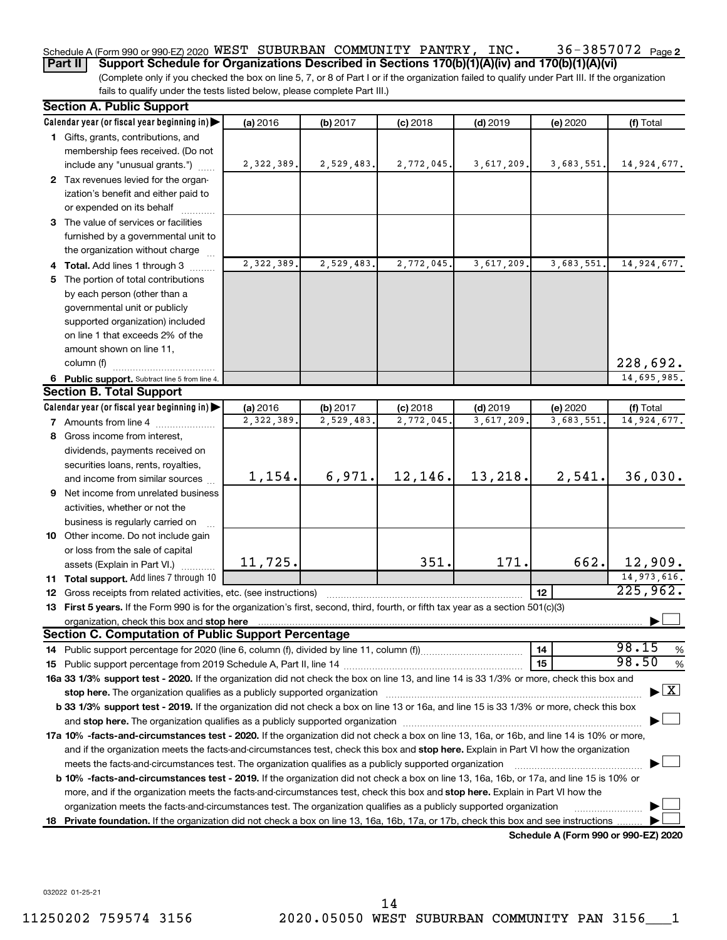#### 36-3857072 Page 2 Schedule A (Form 990 or 990-EZ) 2020 <code>WEST SUBURBAN COMMUNITY PANTRY</code> , <code>INC</code> .  $36$  –  $3857072$  <code>Page</code>

**Part II** | Support Schedule for Organizations Described in Sections 170(b)(1)(A)(iv) and 170(b)(1)(A)(vi)

(Complete only if you checked the box on line 5, 7, or 8 of Part I or if the organization failed to qualify under Part III. If the organization fails to qualify under the tests listed below, please complete Part III.)

|    | <b>Section A. Public Support</b>                                                                                                                                                                                               |              |            |            |            |                                      |                                    |
|----|--------------------------------------------------------------------------------------------------------------------------------------------------------------------------------------------------------------------------------|--------------|------------|------------|------------|--------------------------------------|------------------------------------|
|    | Calendar year (or fiscal year beginning in)                                                                                                                                                                                    | (a) 2016     | (b) 2017   | $(c)$ 2018 | $(d)$ 2019 | (e) 2020                             | (f) Total                          |
|    | 1 Gifts, grants, contributions, and                                                                                                                                                                                            |              |            |            |            |                                      |                                    |
|    | membership fees received. (Do not                                                                                                                                                                                              |              |            |            |            |                                      |                                    |
|    | include any "unusual grants.")                                                                                                                                                                                                 | 2, 322, 389. | 2,529,483. | 2,772,045. | 3,617,209. | 3,683,551.                           | 14,924,677.                        |
|    | 2 Tax revenues levied for the organ-                                                                                                                                                                                           |              |            |            |            |                                      |                                    |
|    | ization's benefit and either paid to                                                                                                                                                                                           |              |            |            |            |                                      |                                    |
|    | or expended on its behalf                                                                                                                                                                                                      |              |            |            |            |                                      |                                    |
|    | 3 The value of services or facilities                                                                                                                                                                                          |              |            |            |            |                                      |                                    |
|    | furnished by a governmental unit to                                                                                                                                                                                            |              |            |            |            |                                      |                                    |
|    | the organization without charge                                                                                                                                                                                                |              |            |            |            |                                      |                                    |
|    | 4 Total. Add lines 1 through 3                                                                                                                                                                                                 | 2,322,389    | 2,529,483. | 2,772,045  | 3,617,209  | 3,683,551.                           | 14,924,677.                        |
|    | 5 The portion of total contributions                                                                                                                                                                                           |              |            |            |            |                                      |                                    |
|    | by each person (other than a                                                                                                                                                                                                   |              |            |            |            |                                      |                                    |
|    | governmental unit or publicly                                                                                                                                                                                                  |              |            |            |            |                                      |                                    |
|    | supported organization) included                                                                                                                                                                                               |              |            |            |            |                                      |                                    |
|    | on line 1 that exceeds 2% of the                                                                                                                                                                                               |              |            |            |            |                                      |                                    |
|    | amount shown on line 11,                                                                                                                                                                                                       |              |            |            |            |                                      |                                    |
|    | column (f)                                                                                                                                                                                                                     |              |            |            |            |                                      | 228,692.                           |
|    | 6 Public support. Subtract line 5 from line 4.                                                                                                                                                                                 |              |            |            |            |                                      | 14,695,985.                        |
|    | <b>Section B. Total Support</b>                                                                                                                                                                                                |              |            |            |            |                                      |                                    |
|    | Calendar year (or fiscal year beginning in)                                                                                                                                                                                    | (a) 2016     | (b) 2017   | $(c)$ 2018 | $(d)$ 2019 | (e) 2020                             | (f) Total                          |
|    | <b>7</b> Amounts from line 4                                                                                                                                                                                                   | 2,322,389    | 2,529,483. | 2,772,045  | 3,617,209  | 3,683,551                            | 14,924,677.                        |
|    | 8 Gross income from interest,                                                                                                                                                                                                  |              |            |            |            |                                      |                                    |
|    | dividends, payments received on                                                                                                                                                                                                |              |            |            |            |                                      |                                    |
|    | securities loans, rents, royalties,                                                                                                                                                                                            |              |            |            |            |                                      |                                    |
|    | and income from similar sources                                                                                                                                                                                                | 1,154.       | 6,971.     | 12,146.    | 13,218.    | 2,541.                               | 36,030.                            |
|    | 9 Net income from unrelated business                                                                                                                                                                                           |              |            |            |            |                                      |                                    |
|    | activities, whether or not the                                                                                                                                                                                                 |              |            |            |            |                                      |                                    |
|    | business is regularly carried on                                                                                                                                                                                               |              |            |            |            |                                      |                                    |
|    | 10 Other income. Do not include gain                                                                                                                                                                                           |              |            |            |            |                                      |                                    |
|    | or loss from the sale of capital                                                                                                                                                                                               |              |            |            |            |                                      |                                    |
|    | assets (Explain in Part VI.)                                                                                                                                                                                                   | 11,725.      |            | 351.       | 171.       | 662.                                 | 12,909.                            |
|    | 11 Total support. Add lines 7 through 10                                                                                                                                                                                       |              |            |            |            |                                      | 14, 973, 616.                      |
|    | <b>12</b> Gross receipts from related activities, etc. (see instructions)                                                                                                                                                      |              |            |            |            | 12                                   | 225,962.                           |
|    | 13 First 5 years. If the Form 990 is for the organization's first, second, third, fourth, or fifth tax year as a section 501(c)(3)                                                                                             |              |            |            |            |                                      |                                    |
|    |                                                                                                                                                                                                                                |              |            |            |            |                                      |                                    |
|    | <b>Section C. Computation of Public Support Percentage</b>                                                                                                                                                                     |              |            |            |            |                                      | 98.15                              |
|    |                                                                                                                                                                                                                                |              |            |            |            | 14                                   | %<br>98.50                         |
|    |                                                                                                                                                                                                                                |              |            |            |            | 15                                   | %                                  |
|    | 16a 33 1/3% support test - 2020. If the organization did not check the box on line 13, and line 14 is 33 1/3% or more, check this box and                                                                                      |              |            |            |            |                                      |                                    |
|    | stop here. The organization qualifies as a publicly supported organization manufaction manufacture or the organization manufacture or the organization manufacture or the organization manufacture or the state of the state o |              |            |            |            |                                      | $\blacktriangleright$ $\mathbf{X}$ |
|    | b 33 1/3% support test - 2019. If the organization did not check a box on line 13 or 16a, and line 15 is 33 1/3% or more, check this box                                                                                       |              |            |            |            |                                      |                                    |
|    |                                                                                                                                                                                                                                |              |            |            |            |                                      |                                    |
|    | 17a 10% -facts-and-circumstances test - 2020. If the organization did not check a box on line 13, 16a, or 16b, and line 14 is 10% or more,                                                                                     |              |            |            |            |                                      |                                    |
|    | and if the organization meets the facts-and-circumstances test, check this box and stop here. Explain in Part VI how the organization                                                                                          |              |            |            |            |                                      |                                    |
|    | meets the facts-and-circumstances test. The organization qualifies as a publicly supported organization                                                                                                                        |              |            |            |            |                                      |                                    |
|    | <b>b 10%</b> -facts-and-circumstances test - 2019. If the organization did not check a box on line 13, 16a, 16b, or 17a, and line 15 is 10% or                                                                                 |              |            |            |            |                                      |                                    |
|    | more, and if the organization meets the facts-and-circumstances test, check this box and stop here. Explain in Part VI how the                                                                                                 |              |            |            |            |                                      |                                    |
|    | organization meets the facts-and-circumstances test. The organization qualifies as a publicly supported organization                                                                                                           |              |            |            |            |                                      |                                    |
| 18 | Private foundation. If the organization did not check a box on line 13, 16a, 16b, 17a, or 17b, check this box and see instructions.                                                                                            |              |            |            |            |                                      |                                    |
|    |                                                                                                                                                                                                                                |              |            |            |            | Schedule A (Form 990 or 990-EZ) 2020 |                                    |

032022 01-25-21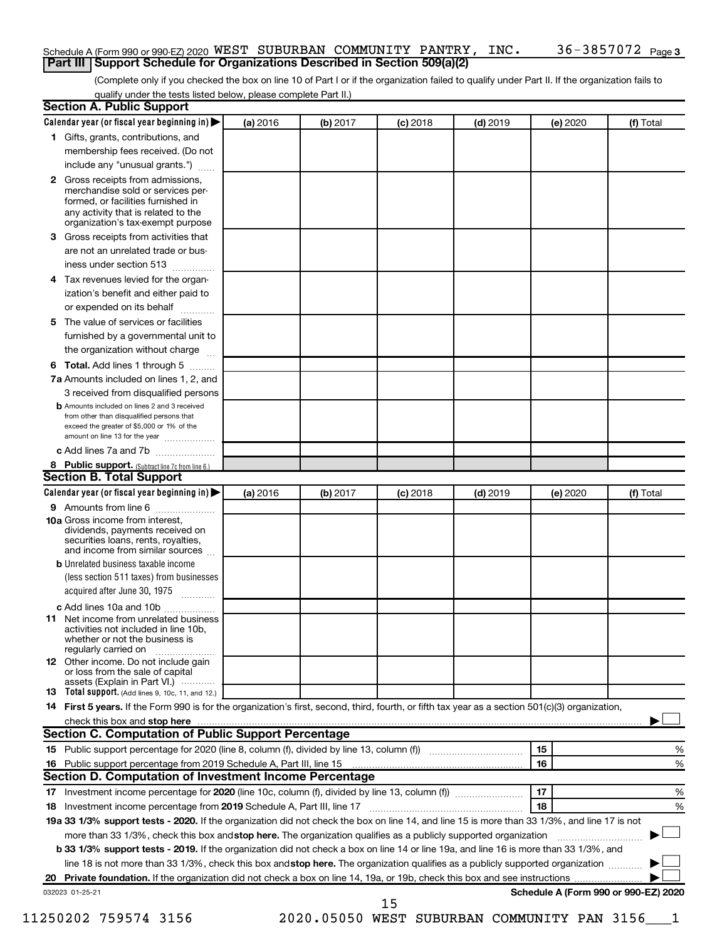#### Schedule A (Form 990 or 990-EZ) 2020 <code>WEST SUBURBAN COMMUNITY PANTRY</code> , <code>INC</code> .  $36$  –  $3857072$  <code>Page</code> **Part III | Support Schedule for Organizations Described in Section 509(a)(2)**

(Complete only if you checked the box on line 10 of Part I or if the organization failed to qualify under Part II. If the organization fails to qualify under the tests listed below, please complete Part II.)

| 3.<br>4<br>5. | 1 Gifts, grants, contributions, and<br>membership fees received. (Do not<br>include any "unusual grants.")<br>2 Gross receipts from admissions,<br>merchandise sold or services per-<br>formed, or facilities furnished in<br>any activity that is related to the<br>organization's tax-exempt purpose<br>Gross receipts from activities that<br>are not an unrelated trade or bus-<br>iness under section 513<br>Tax revenues levied for the organ-<br>ization's benefit and either paid to<br>or expended on its behalf<br>.<br>The value of services or facilities<br>furnished by a governmental unit to<br>the organization without charge<br>6 Total. Add lines 1 through 5<br>7a Amounts included on lines 1, 2, and<br>3 received from disqualified persons<br><b>b</b> Amounts included on lines 2 and 3 received |          |          |            |            |          |                                      |
|---------------|----------------------------------------------------------------------------------------------------------------------------------------------------------------------------------------------------------------------------------------------------------------------------------------------------------------------------------------------------------------------------------------------------------------------------------------------------------------------------------------------------------------------------------------------------------------------------------------------------------------------------------------------------------------------------------------------------------------------------------------------------------------------------------------------------------------------------|----------|----------|------------|------------|----------|--------------------------------------|
|               |                                                                                                                                                                                                                                                                                                                                                                                                                                                                                                                                                                                                                                                                                                                                                                                                                            |          |          |            |            |          |                                      |
|               |                                                                                                                                                                                                                                                                                                                                                                                                                                                                                                                                                                                                                                                                                                                                                                                                                            |          |          |            |            |          |                                      |
|               |                                                                                                                                                                                                                                                                                                                                                                                                                                                                                                                                                                                                                                                                                                                                                                                                                            |          |          |            |            |          |                                      |
|               |                                                                                                                                                                                                                                                                                                                                                                                                                                                                                                                                                                                                                                                                                                                                                                                                                            |          |          |            |            |          |                                      |
|               |                                                                                                                                                                                                                                                                                                                                                                                                                                                                                                                                                                                                                                                                                                                                                                                                                            |          |          |            |            |          |                                      |
|               |                                                                                                                                                                                                                                                                                                                                                                                                                                                                                                                                                                                                                                                                                                                                                                                                                            |          |          |            |            |          |                                      |
|               |                                                                                                                                                                                                                                                                                                                                                                                                                                                                                                                                                                                                                                                                                                                                                                                                                            |          |          |            |            |          |                                      |
|               |                                                                                                                                                                                                                                                                                                                                                                                                                                                                                                                                                                                                                                                                                                                                                                                                                            |          |          |            |            |          |                                      |
|               |                                                                                                                                                                                                                                                                                                                                                                                                                                                                                                                                                                                                                                                                                                                                                                                                                            |          |          |            |            |          |                                      |
|               |                                                                                                                                                                                                                                                                                                                                                                                                                                                                                                                                                                                                                                                                                                                                                                                                                            |          |          |            |            |          |                                      |
|               |                                                                                                                                                                                                                                                                                                                                                                                                                                                                                                                                                                                                                                                                                                                                                                                                                            |          |          |            |            |          |                                      |
|               |                                                                                                                                                                                                                                                                                                                                                                                                                                                                                                                                                                                                                                                                                                                                                                                                                            |          |          |            |            |          |                                      |
|               |                                                                                                                                                                                                                                                                                                                                                                                                                                                                                                                                                                                                                                                                                                                                                                                                                            |          |          |            |            |          |                                      |
|               |                                                                                                                                                                                                                                                                                                                                                                                                                                                                                                                                                                                                                                                                                                                                                                                                                            |          |          |            |            |          |                                      |
|               |                                                                                                                                                                                                                                                                                                                                                                                                                                                                                                                                                                                                                                                                                                                                                                                                                            |          |          |            |            |          |                                      |
|               | from other than disqualified persons that<br>exceed the greater of \$5,000 or 1% of the<br>amount on line 13 for the year                                                                                                                                                                                                                                                                                                                                                                                                                                                                                                                                                                                                                                                                                                  |          |          |            |            |          |                                      |
|               | c Add lines 7a and 7b                                                                                                                                                                                                                                                                                                                                                                                                                                                                                                                                                                                                                                                                                                                                                                                                      |          |          |            |            |          |                                      |
|               | 8 Public support. (Subtract line 7c from line 6.)                                                                                                                                                                                                                                                                                                                                                                                                                                                                                                                                                                                                                                                                                                                                                                          |          |          |            |            |          |                                      |
|               | <b>Section B. Total Support</b>                                                                                                                                                                                                                                                                                                                                                                                                                                                                                                                                                                                                                                                                                                                                                                                            |          |          |            |            |          |                                      |
|               | Calendar year (or fiscal year beginning in)                                                                                                                                                                                                                                                                                                                                                                                                                                                                                                                                                                                                                                                                                                                                                                                | (a) 2016 | (b) 2017 | $(c)$ 2018 | $(d)$ 2019 | (e) 2020 | (f) Total                            |
|               | <b>9</b> Amounts from line 6                                                                                                                                                                                                                                                                                                                                                                                                                                                                                                                                                                                                                                                                                                                                                                                               |          |          |            |            |          |                                      |
|               | <b>10a</b> Gross income from interest,<br>dividends, payments received on<br>securities loans, rents, royalties,<br>and income from similar sources                                                                                                                                                                                                                                                                                                                                                                                                                                                                                                                                                                                                                                                                        |          |          |            |            |          |                                      |
|               | <b>b</b> Unrelated business taxable income                                                                                                                                                                                                                                                                                                                                                                                                                                                                                                                                                                                                                                                                                                                                                                                 |          |          |            |            |          |                                      |
|               | (less section 511 taxes) from businesses<br>acquired after June 30, 1975                                                                                                                                                                                                                                                                                                                                                                                                                                                                                                                                                                                                                                                                                                                                                   |          |          |            |            |          |                                      |
|               | c Add lines 10a and 10b                                                                                                                                                                                                                                                                                                                                                                                                                                                                                                                                                                                                                                                                                                                                                                                                    |          |          |            |            |          |                                      |
|               | 11 Net income from unrelated business<br>activities not included in line 10b.<br>whether or not the business is<br>regularly carried on                                                                                                                                                                                                                                                                                                                                                                                                                                                                                                                                                                                                                                                                                    |          |          |            |            |          |                                      |
|               | <b>12</b> Other income. Do not include gain<br>or loss from the sale of capital<br>assets (Explain in Part VI.)                                                                                                                                                                                                                                                                                                                                                                                                                                                                                                                                                                                                                                                                                                            |          |          |            |            |          |                                      |
|               | <b>13</b> Total support. (Add lines 9, 10c, 11, and 12.)                                                                                                                                                                                                                                                                                                                                                                                                                                                                                                                                                                                                                                                                                                                                                                   |          |          |            |            |          |                                      |
|               | 14 First 5 years. If the Form 990 is for the organization's first, second, third, fourth, or fifth tax year as a section 501(c)(3) organization,                                                                                                                                                                                                                                                                                                                                                                                                                                                                                                                                                                                                                                                                           |          |          |            |            |          |                                      |
|               |                                                                                                                                                                                                                                                                                                                                                                                                                                                                                                                                                                                                                                                                                                                                                                                                                            |          |          |            |            |          |                                      |
|               | Section C. Computation of Public Support Percentage                                                                                                                                                                                                                                                                                                                                                                                                                                                                                                                                                                                                                                                                                                                                                                        |          |          |            |            |          |                                      |
|               |                                                                                                                                                                                                                                                                                                                                                                                                                                                                                                                                                                                                                                                                                                                                                                                                                            |          |          |            |            | 15       | %                                    |
|               |                                                                                                                                                                                                                                                                                                                                                                                                                                                                                                                                                                                                                                                                                                                                                                                                                            |          |          |            |            | 16       | %                                    |
|               | Section D. Computation of Investment Income Percentage                                                                                                                                                                                                                                                                                                                                                                                                                                                                                                                                                                                                                                                                                                                                                                     |          |          |            |            |          |                                      |
|               |                                                                                                                                                                                                                                                                                                                                                                                                                                                                                                                                                                                                                                                                                                                                                                                                                            |          |          |            |            | 17       | %                                    |
|               | 18 Investment income percentage from 2019 Schedule A, Part III, line 17                                                                                                                                                                                                                                                                                                                                                                                                                                                                                                                                                                                                                                                                                                                                                    |          |          |            |            | 18       | %                                    |
|               | 19a 33 1/3% support tests - 2020. If the organization did not check the box on line 14, and line 15 is more than 33 1/3%, and line 17 is not                                                                                                                                                                                                                                                                                                                                                                                                                                                                                                                                                                                                                                                                               |          |          |            |            |          |                                      |
|               |                                                                                                                                                                                                                                                                                                                                                                                                                                                                                                                                                                                                                                                                                                                                                                                                                            |          |          |            |            |          |                                      |
|               | more than 33 1/3%, check this box and stop here. The organization qualifies as a publicly supported organization                                                                                                                                                                                                                                                                                                                                                                                                                                                                                                                                                                                                                                                                                                           |          |          |            |            |          |                                      |
|               | <b>b 33 1/3% support tests - 2019.</b> If the organization did not check a box on line 14 or line 19a, and line 16 is more than 33 1/3%, and                                                                                                                                                                                                                                                                                                                                                                                                                                                                                                                                                                                                                                                                               |          |          |            |            |          |                                      |
|               | line 18 is not more than 33 1/3%, check this box and stop here. The organization qualifies as a publicly supported organization                                                                                                                                                                                                                                                                                                                                                                                                                                                                                                                                                                                                                                                                                            |          |          |            |            |          |                                      |
|               | 032023 01-25-21                                                                                                                                                                                                                                                                                                                                                                                                                                                                                                                                                                                                                                                                                                                                                                                                            |          |          |            |            |          | Schedule A (Form 990 or 990-EZ) 2020 |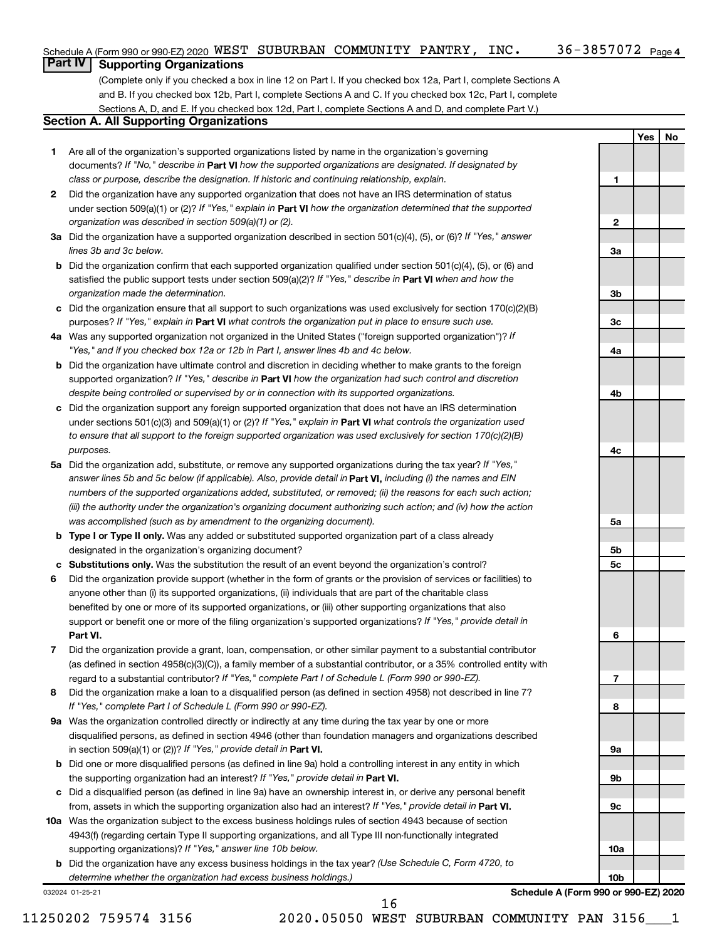### **Part IV Supporting Organizations**

(Complete only if you checked a box in line 12 on Part I. If you checked box 12a, Part I, complete Sections A and B. If you checked box 12b, Part I, complete Sections A and C. If you checked box 12c, Part I, complete Sections A, D, and E. If you checked box 12d, Part I, complete Sections A and D, and complete Part V.)

### **Section A. All Supporting Organizations**

- **1** Are all of the organization's supported organizations listed by name in the organization's governing documents? If "No," describe in Part VI how the supported organizations are designated. If designated by *class or purpose, describe the designation. If historic and continuing relationship, explain.*
- **2** Did the organization have any supported organization that does not have an IRS determination of status under section 509(a)(1) or (2)? If "Yes," explain in Part **VI** how the organization determined that the supported *organization was described in section 509(a)(1) or (2).*
- **3a** Did the organization have a supported organization described in section 501(c)(4), (5), or (6)? If "Yes," answer *lines 3b and 3c below.*
- **b** Did the organization confirm that each supported organization qualified under section 501(c)(4), (5), or (6) and satisfied the public support tests under section 509(a)(2)? If "Yes," describe in Part VI when and how the *organization made the determination.*
- **c** Did the organization ensure that all support to such organizations was used exclusively for section 170(c)(2)(B) purposes? If "Yes," explain in Part VI what controls the organization put in place to ensure such use.
- **4 a** *If* Was any supported organization not organized in the United States ("foreign supported organization")? *"Yes," and if you checked box 12a or 12b in Part I, answer lines 4b and 4c below.*
- **b** Did the organization have ultimate control and discretion in deciding whether to make grants to the foreign supported organization? If "Yes," describe in Part VI how the organization had such control and discretion *despite being controlled or supervised by or in connection with its supported organizations.*
- **c** Did the organization support any foreign supported organization that does not have an IRS determination under sections 501(c)(3) and 509(a)(1) or (2)? If "Yes," explain in Part VI what controls the organization used *to ensure that all support to the foreign supported organization was used exclusively for section 170(c)(2)(B) purposes.*
- **5a** Did the organization add, substitute, or remove any supported organizations during the tax year? If "Yes," answer lines 5b and 5c below (if applicable). Also, provide detail in **Part VI,** including (i) the names and EIN *numbers of the supported organizations added, substituted, or removed; (ii) the reasons for each such action; (iii) the authority under the organization's organizing document authorizing such action; and (iv) how the action was accomplished (such as by amendment to the organizing document).*
- **b Type I or Type II only.** Was any added or substituted supported organization part of a class already designated in the organization's organizing document?
- **c Substitutions only.**  Was the substitution the result of an event beyond the organization's control?
- **6** Did the organization provide support (whether in the form of grants or the provision of services or facilities) to **Part VI.** support or benefit one or more of the filing organization's supported organizations? If "Yes," provide detail in anyone other than (i) its supported organizations, (ii) individuals that are part of the charitable class benefited by one or more of its supported organizations, or (iii) other supporting organizations that also
- **7** Did the organization provide a grant, loan, compensation, or other similar payment to a substantial contributor regard to a substantial contributor? If "Yes," complete Part I of Schedule L (Form 990 or 990-EZ). (as defined in section 4958(c)(3)(C)), a family member of a substantial contributor, or a 35% controlled entity with
- **8** Did the organization make a loan to a disqualified person (as defined in section 4958) not described in line 7? *If "Yes," complete Part I of Schedule L (Form 990 or 990-EZ).*
- **9 a** Was the organization controlled directly or indirectly at any time during the tax year by one or more in section 509(a)(1) or (2))? If "Yes," provide detail in **Part VI.** disqualified persons, as defined in section 4946 (other than foundation managers and organizations described
- **b** Did one or more disqualified persons (as defined in line 9a) hold a controlling interest in any entity in which the supporting organization had an interest? If "Yes," provide detail in Part VI.
- **c** Did a disqualified person (as defined in line 9a) have an ownership interest in, or derive any personal benefit from, assets in which the supporting organization also had an interest? If "Yes," provide detail in Part VI.
- **10 a** Was the organization subject to the excess business holdings rules of section 4943 because of section supporting organizations)? If "Yes," answer line 10b below. 4943(f) (regarding certain Type II supporting organizations, and all Type III non-functionally integrated
	- **b** Did the organization have any excess business holdings in the tax year? (Use Schedule C, Form 4720, to *determine whether the organization had excess business holdings.)*

032024 01-25-21

**Schedule A (Form 990 or 990-EZ) 2020**

**Yes No**

**1**

**2**

**3a**

**3b**

**3c**

**4a**

**4b**

**4c**

**5a**

**5b 5c**

**6**

**7**

**8**

**9a**

**9b**

**9c**

**10a**

**10b**

16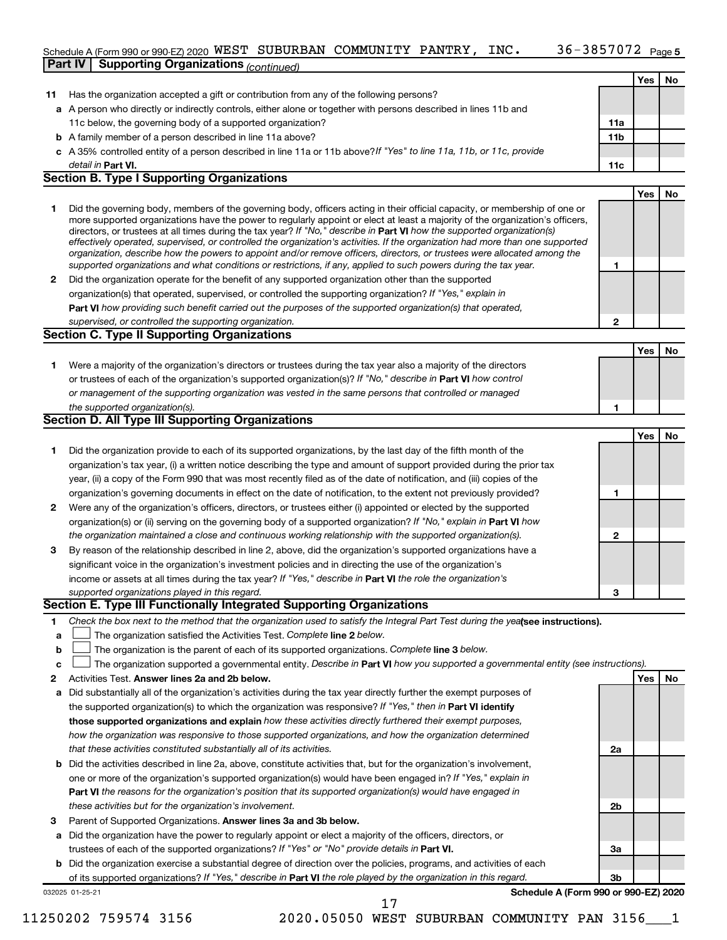#### $36 - 3857072$  Page 5 Schedule A (Form 990 or 990-EZ) 2020 <code>WEST SUBURBAN COMMUNITY PANTRY</code> , <code>INC</code> .  $36$  –  $3857072$  <code>Page</code>

|              | <b>Part IV   Supporting Organizations (continued)</b>                                                                                                                                                                                                                                                                                                                                                                                                                                                                                                                                                                                                |              |     |    |
|--------------|------------------------------------------------------------------------------------------------------------------------------------------------------------------------------------------------------------------------------------------------------------------------------------------------------------------------------------------------------------------------------------------------------------------------------------------------------------------------------------------------------------------------------------------------------------------------------------------------------------------------------------------------------|--------------|-----|----|
|              |                                                                                                                                                                                                                                                                                                                                                                                                                                                                                                                                                                                                                                                      |              | Yes | No |
| 11           | Has the organization accepted a gift or contribution from any of the following persons?                                                                                                                                                                                                                                                                                                                                                                                                                                                                                                                                                              |              |     |    |
|              | a A person who directly or indirectly controls, either alone or together with persons described in lines 11b and                                                                                                                                                                                                                                                                                                                                                                                                                                                                                                                                     |              |     |    |
|              | 11c below, the governing body of a supported organization?                                                                                                                                                                                                                                                                                                                                                                                                                                                                                                                                                                                           | 11a          |     |    |
|              | <b>b</b> A family member of a person described in line 11a above?                                                                                                                                                                                                                                                                                                                                                                                                                                                                                                                                                                                    | 11b          |     |    |
|              | c A 35% controlled entity of a person described in line 11a or 11b above? If "Yes" to line 11a, 11b, or 11c, provide                                                                                                                                                                                                                                                                                                                                                                                                                                                                                                                                 |              |     |    |
|              | detail in Part VI.                                                                                                                                                                                                                                                                                                                                                                                                                                                                                                                                                                                                                                   | 11c          |     |    |
|              | <b>Section B. Type I Supporting Organizations</b>                                                                                                                                                                                                                                                                                                                                                                                                                                                                                                                                                                                                    |              |     |    |
|              |                                                                                                                                                                                                                                                                                                                                                                                                                                                                                                                                                                                                                                                      |              | Yes | No |
| 1            | Did the governing body, members of the governing body, officers acting in their official capacity, or membership of one or<br>more supported organizations have the power to regularly appoint or elect at least a majority of the organization's officers,<br>directors, or trustees at all times during the tax year? If "No," describe in Part VI how the supported organization(s)<br>effectively operated, supervised, or controlled the organization's activities. If the organization had more than one supported<br>organization, describe how the powers to appoint and/or remove officers, directors, or trustees were allocated among the |              |     |    |
|              | supported organizations and what conditions or restrictions, if any, applied to such powers during the tax year.                                                                                                                                                                                                                                                                                                                                                                                                                                                                                                                                     | 1            |     |    |
| 2            | Did the organization operate for the benefit of any supported organization other than the supported                                                                                                                                                                                                                                                                                                                                                                                                                                                                                                                                                  |              |     |    |
|              | organization(s) that operated, supervised, or controlled the supporting organization? If "Yes," explain in                                                                                                                                                                                                                                                                                                                                                                                                                                                                                                                                           |              |     |    |
|              | Part VI how providing such benefit carried out the purposes of the supported organization(s) that operated,                                                                                                                                                                                                                                                                                                                                                                                                                                                                                                                                          |              |     |    |
|              | supervised, or controlled the supporting organization.                                                                                                                                                                                                                                                                                                                                                                                                                                                                                                                                                                                               | $\mathbf{2}$ |     |    |
|              | <b>Section C. Type II Supporting Organizations</b>                                                                                                                                                                                                                                                                                                                                                                                                                                                                                                                                                                                                   |              |     |    |
|              |                                                                                                                                                                                                                                                                                                                                                                                                                                                                                                                                                                                                                                                      |              | Yes | No |
| 1.           | Were a majority of the organization's directors or trustees during the tax year also a majority of the directors                                                                                                                                                                                                                                                                                                                                                                                                                                                                                                                                     |              |     |    |
|              | or trustees of each of the organization's supported organization(s)? If "No," describe in Part VI how control                                                                                                                                                                                                                                                                                                                                                                                                                                                                                                                                        |              |     |    |
|              | or management of the supporting organization was vested in the same persons that controlled or managed                                                                                                                                                                                                                                                                                                                                                                                                                                                                                                                                               |              |     |    |
|              | the supported organization(s).                                                                                                                                                                                                                                                                                                                                                                                                                                                                                                                                                                                                                       | 1            |     |    |
|              | Section D. All Type III Supporting Organizations                                                                                                                                                                                                                                                                                                                                                                                                                                                                                                                                                                                                     |              |     |    |
|              |                                                                                                                                                                                                                                                                                                                                                                                                                                                                                                                                                                                                                                                      |              | Yes | No |
| 1            | Did the organization provide to each of its supported organizations, by the last day of the fifth month of the                                                                                                                                                                                                                                                                                                                                                                                                                                                                                                                                       |              |     |    |
|              | organization's tax year, (i) a written notice describing the type and amount of support provided during the prior tax                                                                                                                                                                                                                                                                                                                                                                                                                                                                                                                                |              |     |    |
|              | year, (ii) a copy of the Form 990 that was most recently filed as of the date of notification, and (iii) copies of the                                                                                                                                                                                                                                                                                                                                                                                                                                                                                                                               |              |     |    |
|              | organization's governing documents in effect on the date of notification, to the extent not previously provided?                                                                                                                                                                                                                                                                                                                                                                                                                                                                                                                                     | 1            |     |    |
| $\mathbf{2}$ | Were any of the organization's officers, directors, or trustees either (i) appointed or elected by the supported                                                                                                                                                                                                                                                                                                                                                                                                                                                                                                                                     |              |     |    |
|              | organization(s) or (ii) serving on the governing body of a supported organization? If "No," explain in Part VI how                                                                                                                                                                                                                                                                                                                                                                                                                                                                                                                                   |              |     |    |
|              | the organization maintained a close and continuous working relationship with the supported organization(s).                                                                                                                                                                                                                                                                                                                                                                                                                                                                                                                                          | $\mathbf{2}$ |     |    |
| 3            | By reason of the relationship described in line 2, above, did the organization's supported organizations have a                                                                                                                                                                                                                                                                                                                                                                                                                                                                                                                                      |              |     |    |
|              | significant voice in the organization's investment policies and in directing the use of the organization's                                                                                                                                                                                                                                                                                                                                                                                                                                                                                                                                           |              |     |    |
|              | income or assets at all times during the tax year? If "Yes," describe in Part VI the role the organization's                                                                                                                                                                                                                                                                                                                                                                                                                                                                                                                                         |              |     |    |
|              | supported organizations played in this regard.                                                                                                                                                                                                                                                                                                                                                                                                                                                                                                                                                                                                       | 3            |     |    |
|              | Section E. Type III Functionally Integrated Supporting Organizations                                                                                                                                                                                                                                                                                                                                                                                                                                                                                                                                                                                 |              |     |    |
| 1.           | Check the box next to the method that the organization used to satisfy the Integral Part Test during the yealsee instructions).                                                                                                                                                                                                                                                                                                                                                                                                                                                                                                                      |              |     |    |
| a            | The organization satisfied the Activities Test. Complete line 2 below.                                                                                                                                                                                                                                                                                                                                                                                                                                                                                                                                                                               |              |     |    |
| b            | The organization is the parent of each of its supported organizations. Complete line 3 below.                                                                                                                                                                                                                                                                                                                                                                                                                                                                                                                                                        |              |     |    |
| с            | The organization supported a governmental entity. Describe in Part VI how you supported a governmental entity (see instructions).                                                                                                                                                                                                                                                                                                                                                                                                                                                                                                                    |              |     |    |
| 2            | Activities Test. Answer lines 2a and 2b below.                                                                                                                                                                                                                                                                                                                                                                                                                                                                                                                                                                                                       |              | Yes | No |
| а            | Did substantially all of the organization's activities during the tax year directly further the exempt purposes of                                                                                                                                                                                                                                                                                                                                                                                                                                                                                                                                   |              |     |    |
|              | the supported organization(s) to which the organization was responsive? If "Yes," then in Part VI identify                                                                                                                                                                                                                                                                                                                                                                                                                                                                                                                                           |              |     |    |
|              | those supported organizations and explain how these activities directly furthered their exempt purposes,                                                                                                                                                                                                                                                                                                                                                                                                                                                                                                                                             |              |     |    |
|              | how the organization was responsive to those supported organizations, and how the organization determined                                                                                                                                                                                                                                                                                                                                                                                                                                                                                                                                            |              |     |    |
|              | that these activities constituted substantially all of its activities.                                                                                                                                                                                                                                                                                                                                                                                                                                                                                                                                                                               | 2a           |     |    |
|              | astivities desaribed in line Oslabous<br>constitute cetivities that but fex the experimetion's involv                                                                                                                                                                                                                                                                                                                                                                                                                                                                                                                                                |              |     |    |

- **b** Did the activities described in line 2a, above, constitute activities that, but for the organization's involvement, **Part VI**  *the reasons for the organization's position that its supported organization(s) would have engaged in* one or more of the organization's supported organization(s) would have been engaged in? If "Yes," explain in *these activities but for the organization's involvement.*
- 3 Parent of Supported Organizations. Answer lines 3a and 3b below.
- **a** Did the organization have the power to regularly appoint or elect a majority of the officers, directors, or trustees of each of the supported organizations? If "Yes" or "No" provide details in Part VI.
- **b** Did the organization exercise a substantial degree of direction over the policies, programs, and activities of each of its supported organizations? If "Yes," describe in Part VI the role played by the organization in this regard.

032025 01-25-21

**Schedule A (Form 990 or 990-EZ) 2020**

**2b**

**3a**

**3b**

17

11250202 759574 3156 2020.05050 WEST SUBURBAN COMMUNITY PAN 3156\_\_\_1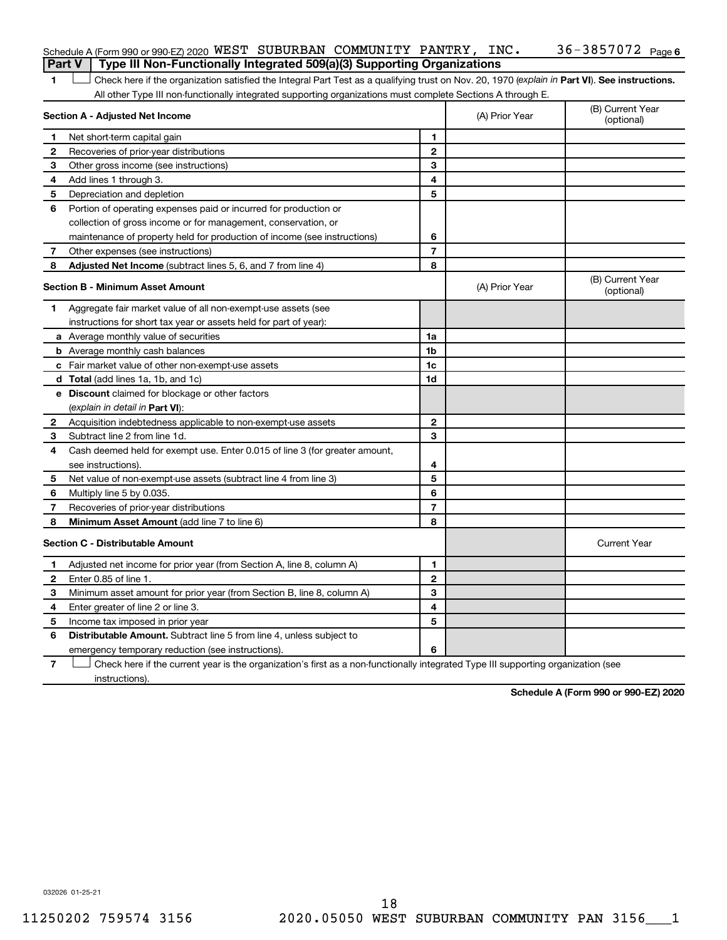| Schedule A (Form 990 or 990-EZ) 2020 WEST SUBURBAN COMMUNITY PANTRY, INC.               |  |  | 36-3857072 <sub>Page 6</sub> |  |
|-----------------------------------------------------------------------------------------|--|--|------------------------------|--|
| <b>Part V</b>   Type III Non-Functionally Integrated 509(a)(3) Supporting Organizations |  |  |                              |  |

1 **I** Check here if the organization satisfied the Integral Part Test as a qualifying trust on Nov. 20, 1970 (explain in Part VI). See instructions. All other Type III non-functionally integrated supporting organizations must complete Sections A through E.

|                                         | Section A - Adjusted Net Income                                             |                | (A) Prior Year | (B) Current Year<br>(optional) |
|-----------------------------------------|-----------------------------------------------------------------------------|----------------|----------------|--------------------------------|
| 1                                       | Net short-term capital gain                                                 | 1              |                |                                |
| 2                                       | Recoveries of prior-year distributions                                      | $\mathbf{2}$   |                |                                |
| З                                       | Other gross income (see instructions)                                       | 3              |                |                                |
| 4                                       | Add lines 1 through 3.                                                      | 4              |                |                                |
| 5                                       | Depreciation and depletion                                                  | 5              |                |                                |
| 6                                       | Portion of operating expenses paid or incurred for production or            |                |                |                                |
|                                         | collection of gross income or for management, conservation, or              |                |                |                                |
|                                         | maintenance of property held for production of income (see instructions)    | 6              |                |                                |
| 7                                       | Other expenses (see instructions)                                           | $\overline{7}$ |                |                                |
| 8                                       | Adjusted Net Income (subtract lines 5, 6, and 7 from line 4)                | 8              |                |                                |
| <b>Section B - Minimum Asset Amount</b> |                                                                             |                | (A) Prior Year | (B) Current Year<br>(optional) |
| 1                                       | Aggregate fair market value of all non-exempt-use assets (see               |                |                |                                |
|                                         | instructions for short tax year or assets held for part of year):           |                |                |                                |
|                                         | a Average monthly value of securities                                       | 1a             |                |                                |
|                                         | <b>b</b> Average monthly cash balances                                      | 1b             |                |                                |
|                                         | c Fair market value of other non-exempt-use assets                          | 1c             |                |                                |
|                                         | d Total (add lines 1a, 1b, and 1c)                                          | 1d             |                |                                |
|                                         | e Discount claimed for blockage or other factors                            |                |                |                                |
|                                         | (explain in detail in Part VI):                                             |                |                |                                |
| 2                                       | Acquisition indebtedness applicable to non-exempt-use assets                | $\mathbf{2}$   |                |                                |
| 3                                       | Subtract line 2 from line 1d.                                               | 3              |                |                                |
| 4                                       | Cash deemed held for exempt use. Enter 0.015 of line 3 (for greater amount, |                |                |                                |
|                                         | see instructions).                                                          | 4              |                |                                |
| 5                                       | Net value of non-exempt-use assets (subtract line 4 from line 3)            | 5              |                |                                |
| 6                                       | Multiply line 5 by 0.035.                                                   | 6              |                |                                |
| 7                                       | Recoveries of prior-year distributions                                      | $\overline{7}$ |                |                                |
| 8                                       | Minimum Asset Amount (add line 7 to line 6)                                 | 8              |                |                                |
|                                         | <b>Section C - Distributable Amount</b>                                     |                |                | <b>Current Year</b>            |
| 1                                       | Adjusted net income for prior year (from Section A, line 8, column A)       | 1              |                |                                |
| 2                                       | Enter 0.85 of line 1.                                                       | $\mathbf{2}$   |                |                                |
| З                                       | Minimum asset amount for prior year (from Section B, line 8, column A)      | 3              |                |                                |
| 4                                       | Enter greater of line 2 or line 3.                                          | 4              |                |                                |
| 5                                       | Income tax imposed in prior year                                            | 5              |                |                                |
| 6                                       | <b>Distributable Amount.</b> Subtract line 5 from line 4, unless subject to |                |                |                                |
|                                         | emergency temporary reduction (see instructions).                           | 6              |                |                                |
|                                         |                                                                             |                |                |                                |

**7** Check here if the current year is the organization's first as a non-functionally integrated Type III supporting organization (see instructions).

**Schedule A (Form 990 or 990-EZ) 2020**

032026 01-25-21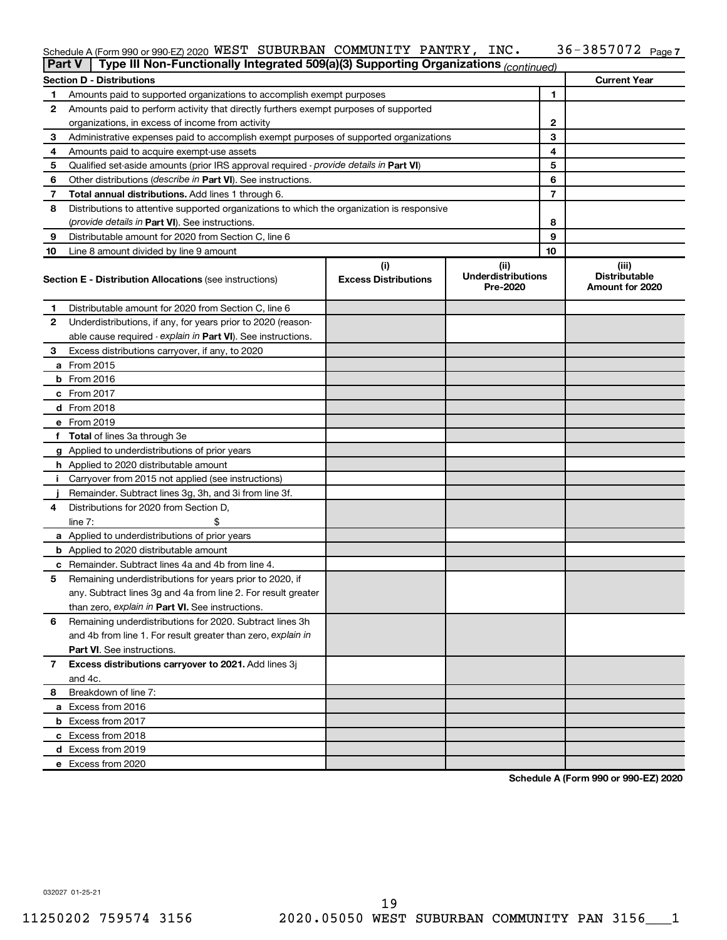#### 36-3857072 Page 7 Schedule A (Form 990 or 990-EZ) 2020 <code>WEST SUBURBAN COMMUNITY PANTRY</code> , <code>INC</code> .  $36$  –  $3857072$  <code>Page</code>

| <b>Part V</b> | Type III Non-Functionally Integrated 509(a)(3) Supporting Organizations (continued)        |                             |                                       |              |                                         |
|---------------|--------------------------------------------------------------------------------------------|-----------------------------|---------------------------------------|--------------|-----------------------------------------|
|               | <b>Section D - Distributions</b>                                                           |                             |                                       |              | <b>Current Year</b>                     |
| 1             | Amounts paid to supported organizations to accomplish exempt purposes                      |                             |                                       | 1            |                                         |
| 2             | Amounts paid to perform activity that directly furthers exempt purposes of supported       |                             |                                       |              |                                         |
|               | organizations, in excess of income from activity                                           |                             |                                       | $\mathbf{2}$ |                                         |
| 3             | Administrative expenses paid to accomplish exempt purposes of supported organizations      |                             |                                       | 3            |                                         |
| 4             | Amounts paid to acquire exempt-use assets                                                  |                             |                                       | 4            |                                         |
| 5             | Qualified set-aside amounts (prior IRS approval required - provide details in Part VI)     |                             | 5                                     |              |                                         |
| 6             | Other distributions (describe in Part VI). See instructions.                               |                             | 6                                     |              |                                         |
| 7             | Total annual distributions. Add lines 1 through 6.                                         |                             | 7                                     |              |                                         |
| 8             | Distributions to attentive supported organizations to which the organization is responsive |                             |                                       |              |                                         |
|               | (provide details in Part VI). See instructions.                                            |                             |                                       | 8            |                                         |
| 9             | Distributable amount for 2020 from Section C, line 6                                       |                             |                                       | 9            |                                         |
| 10            | Line 8 amount divided by line 9 amount                                                     |                             |                                       | 10           |                                         |
|               |                                                                                            | (i)                         | (ii)                                  |              | (iii)                                   |
|               | <b>Section E - Distribution Allocations (see instructions)</b>                             | <b>Excess Distributions</b> | <b>Underdistributions</b><br>Pre-2020 |              | <b>Distributable</b><br>Amount for 2020 |
| 1.            | Distributable amount for 2020 from Section C, line 6                                       |                             |                                       |              |                                         |
| 2             | Underdistributions, if any, for years prior to 2020 (reason-                               |                             |                                       |              |                                         |
|               | able cause required - explain in Part VI). See instructions.                               |                             |                                       |              |                                         |
| 3             | Excess distributions carryover, if any, to 2020                                            |                             |                                       |              |                                         |
|               | a From 2015                                                                                |                             |                                       |              |                                         |
|               | <b>b</b> From 2016                                                                         |                             |                                       |              |                                         |
|               | c From 2017                                                                                |                             |                                       |              |                                         |
|               | d From 2018                                                                                |                             |                                       |              |                                         |
|               | e From 2019                                                                                |                             |                                       |              |                                         |
|               | f Total of lines 3a through 3e                                                             |                             |                                       |              |                                         |
|               | g Applied to underdistributions of prior years                                             |                             |                                       |              |                                         |
|               | h Applied to 2020 distributable amount                                                     |                             |                                       |              |                                         |
| Ť.            | Carryover from 2015 not applied (see instructions)                                         |                             |                                       |              |                                         |
|               | Remainder. Subtract lines 3g, 3h, and 3i from line 3f.                                     |                             |                                       |              |                                         |
| 4             | Distributions for 2020 from Section D,                                                     |                             |                                       |              |                                         |
|               | line $7:$                                                                                  |                             |                                       |              |                                         |
|               | a Applied to underdistributions of prior years                                             |                             |                                       |              |                                         |
|               | <b>b</b> Applied to 2020 distributable amount                                              |                             |                                       |              |                                         |
| c             | Remainder. Subtract lines 4a and 4b from line 4.                                           |                             |                                       |              |                                         |
| 5             | Remaining underdistributions for years prior to 2020, if                                   |                             |                                       |              |                                         |
|               | any. Subtract lines 3g and 4a from line 2. For result greater                              |                             |                                       |              |                                         |
|               | than zero, explain in Part VI. See instructions.                                           |                             |                                       |              |                                         |
| 6             | Remaining underdistributions for 2020. Subtract lines 3h                                   |                             |                                       |              |                                         |
|               | and 4b from line 1. For result greater than zero, explain in                               |                             |                                       |              |                                         |
|               | <b>Part VI.</b> See instructions.                                                          |                             |                                       |              |                                         |
| 7             | Excess distributions carryover to 2021. Add lines 3j                                       |                             |                                       |              |                                         |
|               | and 4c.                                                                                    |                             |                                       |              |                                         |
| 8             | Breakdown of line 7:                                                                       |                             |                                       |              |                                         |
|               | a Excess from 2016                                                                         |                             |                                       |              |                                         |
|               | <b>b</b> Excess from 2017                                                                  |                             |                                       |              |                                         |
|               | c Excess from 2018                                                                         |                             |                                       |              |                                         |
|               | d Excess from 2019                                                                         |                             |                                       |              |                                         |
|               | e Excess from 2020                                                                         |                             |                                       |              |                                         |

**Schedule A (Form 990 or 990-EZ) 2020**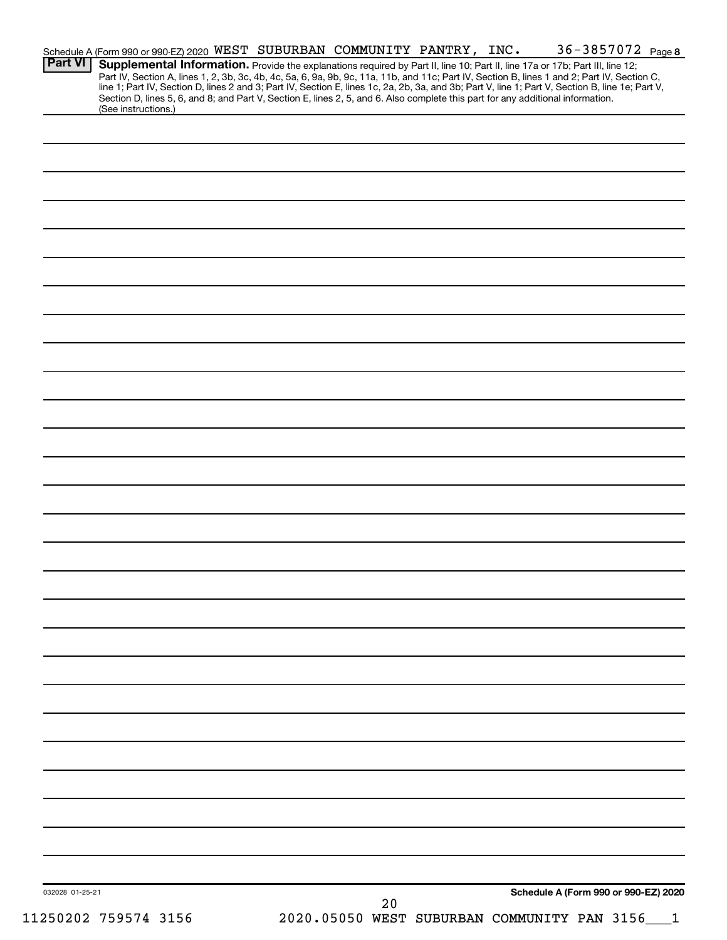| Schedule A (Form 990 or 990-EZ) 2020 WEST SUBURBAN COMMUNITY PANTRY, INC. |                                                                                                                                                                                                                                                                                                                                                                                                                                   |  |    |                                             |                                      | 36-3857072 Page 8 |
|---------------------------------------------------------------------------|-----------------------------------------------------------------------------------------------------------------------------------------------------------------------------------------------------------------------------------------------------------------------------------------------------------------------------------------------------------------------------------------------------------------------------------|--|----|---------------------------------------------|--------------------------------------|-------------------|
| <b>Part VI</b>                                                            | Supplemental Information. Provide the explanations required by Part II, line 10; Part II, line 17a or 17b; Part III, line 12;<br>Part IV, Section A, lines 1, 2, 3b, 3c, 4b, 4c, 5a, 6, 9a, 9b, 9c, 11a, 11b, and 11c; Part IV, Section B, lines 1 and 2; Part IV, Section C,<br>line 1; Part IV, Section D, lines 2 and 3; Part IV, Section E, lines 1c, 2a, 2b, 3a, and 3b; Part V, line 1; Part V, Section B, line 1e; Part V, |  |    |                                             |                                      |                   |
| (See instructions.)                                                       | Section D, lines 5, 6, and 8; and Part V, Section E, lines 2, 5, and 6. Also complete this part for any additional information.                                                                                                                                                                                                                                                                                                   |  |    |                                             |                                      |                   |
|                                                                           |                                                                                                                                                                                                                                                                                                                                                                                                                                   |  |    |                                             |                                      |                   |
|                                                                           |                                                                                                                                                                                                                                                                                                                                                                                                                                   |  |    |                                             |                                      |                   |
|                                                                           |                                                                                                                                                                                                                                                                                                                                                                                                                                   |  |    |                                             |                                      |                   |
|                                                                           |                                                                                                                                                                                                                                                                                                                                                                                                                                   |  |    |                                             |                                      |                   |
|                                                                           |                                                                                                                                                                                                                                                                                                                                                                                                                                   |  |    |                                             |                                      |                   |
|                                                                           |                                                                                                                                                                                                                                                                                                                                                                                                                                   |  |    |                                             |                                      |                   |
|                                                                           |                                                                                                                                                                                                                                                                                                                                                                                                                                   |  |    |                                             |                                      |                   |
|                                                                           |                                                                                                                                                                                                                                                                                                                                                                                                                                   |  |    |                                             |                                      |                   |
|                                                                           |                                                                                                                                                                                                                                                                                                                                                                                                                                   |  |    |                                             |                                      |                   |
|                                                                           |                                                                                                                                                                                                                                                                                                                                                                                                                                   |  |    |                                             |                                      |                   |
|                                                                           |                                                                                                                                                                                                                                                                                                                                                                                                                                   |  |    |                                             |                                      |                   |
|                                                                           |                                                                                                                                                                                                                                                                                                                                                                                                                                   |  |    |                                             |                                      |                   |
|                                                                           |                                                                                                                                                                                                                                                                                                                                                                                                                                   |  |    |                                             |                                      |                   |
|                                                                           |                                                                                                                                                                                                                                                                                                                                                                                                                                   |  |    |                                             |                                      |                   |
|                                                                           |                                                                                                                                                                                                                                                                                                                                                                                                                                   |  |    |                                             |                                      |                   |
|                                                                           |                                                                                                                                                                                                                                                                                                                                                                                                                                   |  |    |                                             |                                      |                   |
|                                                                           |                                                                                                                                                                                                                                                                                                                                                                                                                                   |  |    |                                             |                                      |                   |
|                                                                           |                                                                                                                                                                                                                                                                                                                                                                                                                                   |  |    |                                             |                                      |                   |
|                                                                           |                                                                                                                                                                                                                                                                                                                                                                                                                                   |  |    |                                             |                                      |                   |
|                                                                           |                                                                                                                                                                                                                                                                                                                                                                                                                                   |  |    |                                             |                                      |                   |
|                                                                           |                                                                                                                                                                                                                                                                                                                                                                                                                                   |  |    |                                             |                                      |                   |
|                                                                           |                                                                                                                                                                                                                                                                                                                                                                                                                                   |  |    |                                             |                                      |                   |
|                                                                           |                                                                                                                                                                                                                                                                                                                                                                                                                                   |  |    |                                             |                                      |                   |
|                                                                           |                                                                                                                                                                                                                                                                                                                                                                                                                                   |  |    |                                             |                                      |                   |
|                                                                           |                                                                                                                                                                                                                                                                                                                                                                                                                                   |  |    |                                             |                                      |                   |
|                                                                           |                                                                                                                                                                                                                                                                                                                                                                                                                                   |  |    |                                             |                                      |                   |
|                                                                           |                                                                                                                                                                                                                                                                                                                                                                                                                                   |  |    |                                             |                                      |                   |
|                                                                           |                                                                                                                                                                                                                                                                                                                                                                                                                                   |  |    |                                             |                                      |                   |
|                                                                           |                                                                                                                                                                                                                                                                                                                                                                                                                                   |  |    |                                             |                                      |                   |
|                                                                           |                                                                                                                                                                                                                                                                                                                                                                                                                                   |  |    |                                             |                                      |                   |
|                                                                           |                                                                                                                                                                                                                                                                                                                                                                                                                                   |  |    |                                             |                                      |                   |
|                                                                           |                                                                                                                                                                                                                                                                                                                                                                                                                                   |  |    |                                             |                                      |                   |
|                                                                           |                                                                                                                                                                                                                                                                                                                                                                                                                                   |  |    |                                             |                                      |                   |
|                                                                           |                                                                                                                                                                                                                                                                                                                                                                                                                                   |  |    |                                             |                                      |                   |
| 032028 01-25-21                                                           |                                                                                                                                                                                                                                                                                                                                                                                                                                   |  |    |                                             | Schedule A (Form 990 or 990-EZ) 2020 |                   |
| 11250202 759574 3156                                                      |                                                                                                                                                                                                                                                                                                                                                                                                                                   |  | 20 | 2020.05050 WEST SUBURBAN COMMUNITY PAN 3156 |                                      |                   |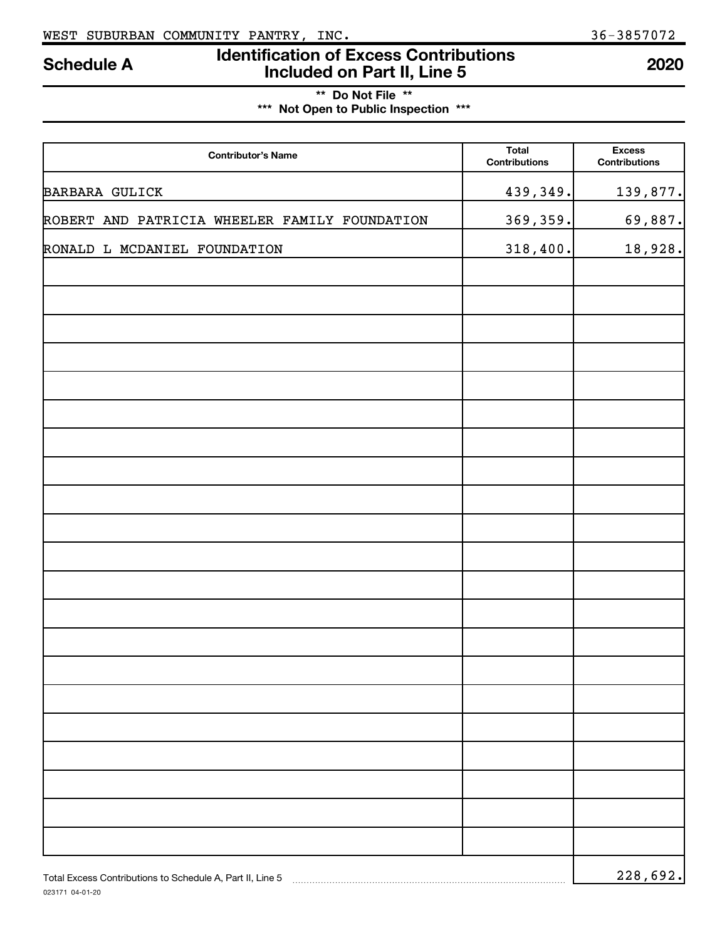## **Identification of Excess Contributions Included on Part II, Line 5 Schedule A <sup>2020</sup>**

## **\*\* Do Not File \*\* \*\*\* Not Open to Public Inspection \*\*\***

| <b>Contributor's Name</b>                                 | <b>Total</b><br><b>Contributions</b> | <b>Excess</b><br><b>Contributions</b> |
|-----------------------------------------------------------|--------------------------------------|---------------------------------------|
| <b>BARBARA GULICK</b>                                     | 439,349.                             | 139,877.                              |
| ROBERT AND PATRICIA WHEELER FAMILY FOUNDATION             | 369,359.                             | 69,887.                               |
| RONALD L MCDANIEL FOUNDATION                              | 318,400.                             | 18,928.                               |
|                                                           |                                      |                                       |
|                                                           |                                      |                                       |
|                                                           |                                      |                                       |
|                                                           |                                      |                                       |
|                                                           |                                      |                                       |
|                                                           |                                      |                                       |
|                                                           |                                      |                                       |
|                                                           |                                      |                                       |
|                                                           |                                      |                                       |
|                                                           |                                      |                                       |
|                                                           |                                      |                                       |
|                                                           |                                      |                                       |
|                                                           |                                      |                                       |
|                                                           |                                      |                                       |
|                                                           |                                      |                                       |
|                                                           |                                      |                                       |
|                                                           |                                      |                                       |
|                                                           |                                      |                                       |
|                                                           |                                      |                                       |
|                                                           |                                      |                                       |
| Total Excess Contributions to Schedule A, Part II, Line 5 |                                      | 228,692.                              |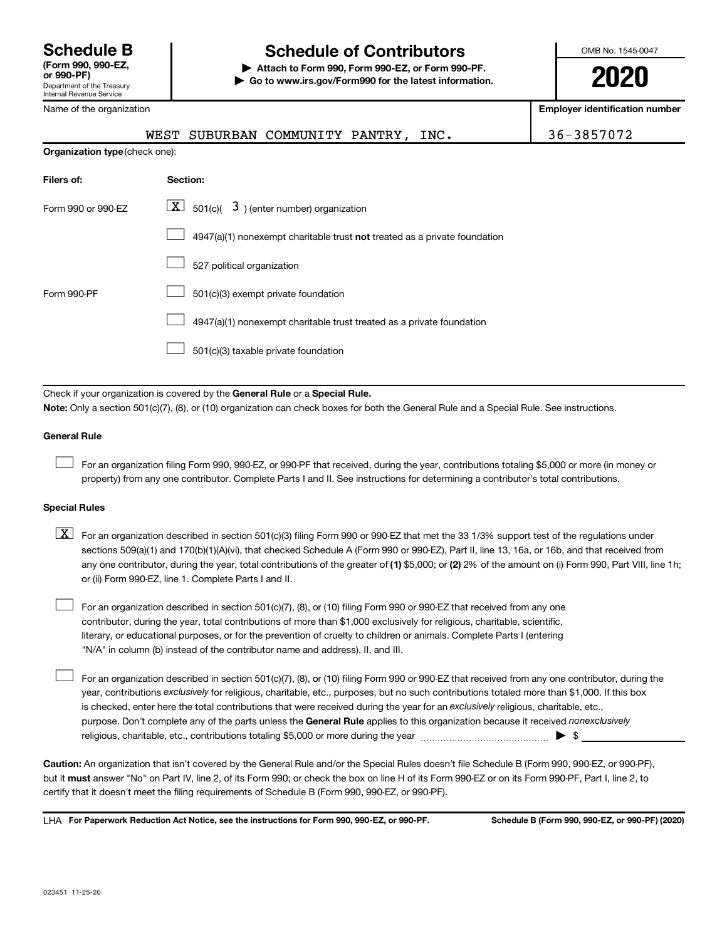# **Schedule B Schedule of Contributors**

**or 990-PF) | Attach to Form 990, Form 990-EZ, or Form 990-PF. | Go to www.irs.gov/Form990 for the latest information.** OMB No. 1545-0047

**2020**

| Internal Revenue Service       |                                                                              |                                                                                                                                                                                                                                                                                         |                                                                                                                                                       |
|--------------------------------|------------------------------------------------------------------------------|-----------------------------------------------------------------------------------------------------------------------------------------------------------------------------------------------------------------------------------------------------------------------------------------|-------------------------------------------------------------------------------------------------------------------------------------------------------|
| Name of the organization       |                                                                              |                                                                                                                                                                                                                                                                                         | <b>Employer identification number</b>                                                                                                                 |
|                                | SUBURBAN COMMUNITY PANTRY,<br>WEST                                           | INC.                                                                                                                                                                                                                                                                                    | 36-3857072                                                                                                                                            |
| Organization type (check one): |                                                                              |                                                                                                                                                                                                                                                                                         |                                                                                                                                                       |
| Filers of:                     | Section:                                                                     |                                                                                                                                                                                                                                                                                         |                                                                                                                                                       |
| Form 990 or 990-EZ             | $\lfloor x \rfloor$ 501(c)( 3) (enter number) organization                   |                                                                                                                                                                                                                                                                                         |                                                                                                                                                       |
|                                |                                                                              | 4947(a)(1) nonexempt charitable trust not treated as a private foundation                                                                                                                                                                                                               |                                                                                                                                                       |
|                                | 527 political organization                                                   |                                                                                                                                                                                                                                                                                         |                                                                                                                                                       |
| Form 990-PF                    | 501(c)(3) exempt private foundation                                          |                                                                                                                                                                                                                                                                                         |                                                                                                                                                       |
|                                |                                                                              | 4947(a)(1) nonexempt charitable trust treated as a private foundation                                                                                                                                                                                                                   |                                                                                                                                                       |
|                                | 501(c)(3) taxable private foundation                                         |                                                                                                                                                                                                                                                                                         |                                                                                                                                                       |
|                                |                                                                              |                                                                                                                                                                                                                                                                                         |                                                                                                                                                       |
|                                | Check if your organization is covered by the General Rule or a Special Rule. | Note: Only a section 501(c)(7), (8), or (10) organization can check boxes for both the General Rule and a Special Rule. See instructions.                                                                                                                                               |                                                                                                                                                       |
| <b>General Rule</b>            |                                                                              |                                                                                                                                                                                                                                                                                         |                                                                                                                                                       |
|                                |                                                                              | For an organization filing Form 990, 990-EZ, or 990-PF that received, during the year, contributions totaling \$5,000 or more (in money or<br>property) from any one contributor. Complete Parts I and II. See instructions for determining a contributor's total contributions.        |                                                                                                                                                       |
| <b>Special Rules</b>           |                                                                              |                                                                                                                                                                                                                                                                                         |                                                                                                                                                       |
| $\boxed{\text{X}}$             | or (ii) Form 990-EZ, line 1. Complete Parts I and II.                        | For an organization described in section 501(c)(3) filing Form 990 or 990-EZ that met the 33 1/3% support test of the regulations under<br>sections 509(a)(1) and 170(b)(1)(A)(vi), that checked Schedule A (Form 990 or 990-EZ), Part II, line 13, 16a, or 16b, and that received from | any one contributor, during the year, total contributions of the greater of (1) \$5,000; or (2) 2% of the amount on (i) Form 990, Part VIII, line 1h; |
|                                |                                                                              | Earlon ergenization described in section $E(1/\sqrt{2})$ (9) or $(10)$ filing Earm 000 or 000 EZ that resolved from any on                                                                                                                                                              |                                                                                                                                                       |

For an organization described in section 501(c)(7), (8), or (10) filing Form 990 or 990-EZ that received from any one contributor, during the year, total contributions of more than \$1,000 exclusively for religious, charitable, scientific, literary, or educational purposes, or for the prevention of cruelty to children or animals. Complete Parts I (entering "N/A" in column (b) instead of the contributor name and address), II, and III.

purpose. Don't complete any of the parts unless the General Rule applies to this organization because it received nonexclusively year, contributions exclusively for religious, charitable, etc., purposes, but no such contributions totaled more than \$1,000. If this box is checked, enter here the total contributions that were received during the year for an exclusively religious, charitable, etc., For an organization described in section 501(c)(7), (8), or (10) filing Form 990 or 990-EZ that received from any one contributor, during the religious, charitable, etc., contributions totaling \$5,000 or more during the year  $\ldots$  $\ldots$  $\ldots$  $\ldots$  $\ldots$  $\ldots$ 

**Caution:**  An organization that isn't covered by the General Rule and/or the Special Rules doesn't file Schedule B (Form 990, 990-EZ, or 990-PF),  **must** but it answer "No" on Part IV, line 2, of its Form 990; or check the box on line H of its Form 990-EZ or on its Form 990-PF, Part I, line 2, to certify that it doesn't meet the filing requirements of Schedule B (Form 990, 990-EZ, or 990-PF).

LHA For Paperwork Reduction Act Notice, see the instructions for Form 990, 990-EZ, or 990-PF. Schedule B (Form 990, 990-EZ, or 990-PF) (2020)

 $\mathcal{L}^{\text{eff}}$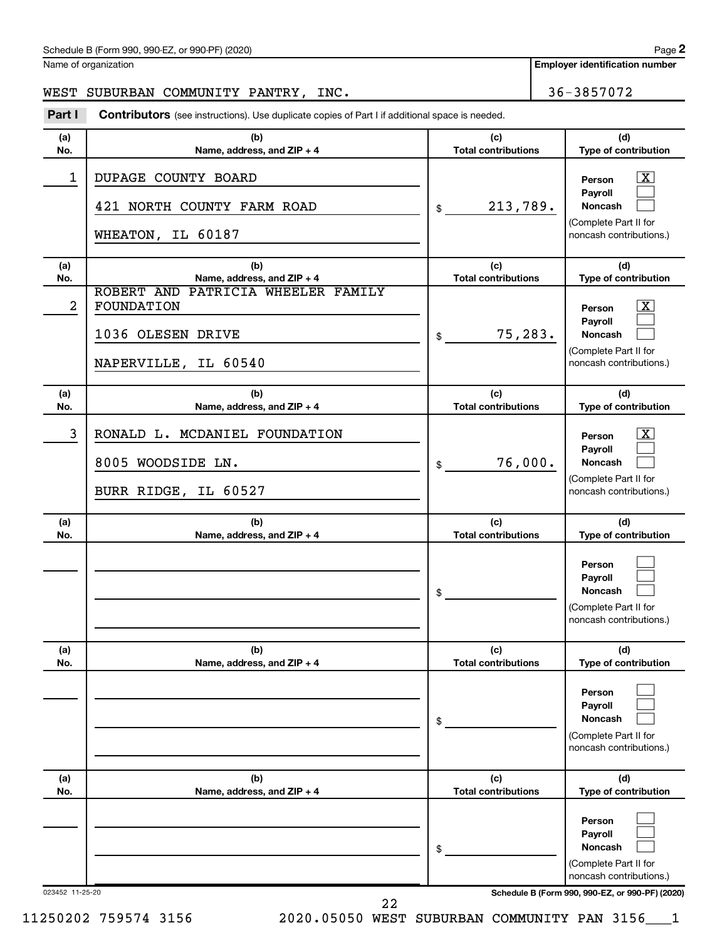| Schedule B (Form 990, 990-EZ, or 990-PF) (2020) | Page |  |
|-------------------------------------------------|------|--|
|                                                 |      |  |

Name of organization

**Employer identification number**

#### WEST SUBURBAN COMMUNITY PANTRY, INC. 36-3857072

Part I Contributors (see instructions). Use duplicate copies of Part I if additional space is needed.

| (a)<br>No.      | (b)<br>Name, address, and ZIP + 4                                                                | (c)<br><b>Total contributions</b> | (d)<br>Type of contribution                                                                                                         |
|-----------------|--------------------------------------------------------------------------------------------------|-----------------------------------|-------------------------------------------------------------------------------------------------------------------------------------|
| 1               | DUPAGE COUNTY BOARD<br>421 NORTH COUNTY FARM ROAD<br>WHEATON, IL 60187                           | 213,789.<br>\$                    | x<br>Person<br>Payroll<br>Noncash<br>(Complete Part II for<br>noncash contributions.)                                               |
| (a)<br>No.      | (b)<br>Name, address, and ZIP + 4                                                                | (c)<br><b>Total contributions</b> | (d)<br>Type of contribution                                                                                                         |
| $\overline{a}$  | PATRICIA WHEELER FAMILY<br>ROBERT AND<br>FOUNDATION<br>1036 OLESEN DRIVE<br>NAPERVILLE, IL 60540 | 75,283.<br>\$                     | x<br>Person<br>Payroll<br>Noncash<br>(Complete Part II for<br>noncash contributions.)                                               |
| (a)<br>No.      | (b)<br>Name, address, and ZIP + 4                                                                | (c)<br><b>Total contributions</b> | (d)<br>Type of contribution                                                                                                         |
| 3               | RONALD L. MCDANIEL FOUNDATION<br>8005 WOODSIDE LN.<br>BURR RIDGE, IL 60527                       | 76,000.<br>\$                     | x<br>Person<br>Payroll<br>Noncash<br>(Complete Part II for<br>noncash contributions.)                                               |
| (a)<br>No.      | (b)<br>Name, address, and ZIP + 4                                                                | (c)<br><b>Total contributions</b> | (d)<br>Type of contribution                                                                                                         |
|                 |                                                                                                  | \$                                | Person<br>Payroll<br>Noncash<br>(Complete Part II for<br>noncash contributions.)                                                    |
| (a)<br>No.      | (b)<br>Name, address, and ZIP + 4                                                                | (c)<br><b>Total contributions</b> | (d)<br>Type of contribution                                                                                                         |
|                 |                                                                                                  | \$                                | Person<br>Payroll<br>Noncash<br>(Complete Part II for<br>noncash contributions.)                                                    |
| (a)<br>No.      | (b)<br>Name, address, and ZIP + 4                                                                | (c)<br><b>Total contributions</b> | (d)<br>Type of contribution                                                                                                         |
| 023452 11-25-20 |                                                                                                  | \$                                | Person<br>Payroll<br>Noncash<br>(Complete Part II for<br>noncash contributions.)<br>Schedule B (Form 990, 990-EZ, or 990-PF) (2020) |
|                 | 22                                                                                               |                                   |                                                                                                                                     |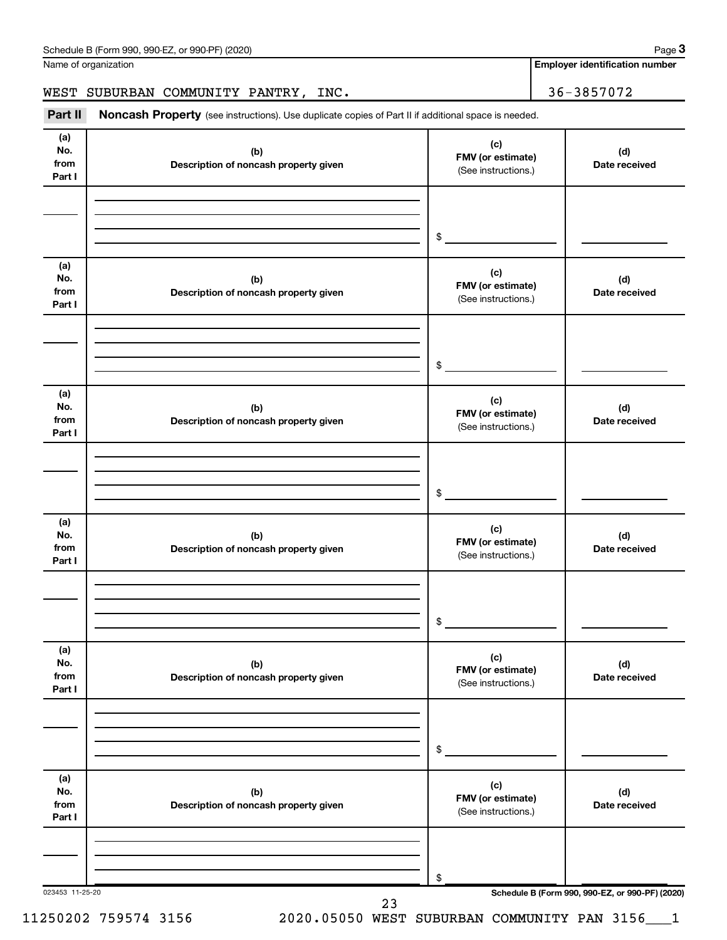Name of organization

**Employer identification number**

WEST SUBURBAN COMMUNITY PANTRY, INC. 4 26-3857072

023453 11-25-20 **Schedule B (Form 990, 990-EZ, or 990-PF) (2020) (a) No. from Part I (c) FMV (or estimate) (b) Description of noncash property given (d) Date received (a) No. from Part I (c) FMV (or estimate) (b) Description of noncash property given (d) Date received (a) No. from Part I (c) FMV (or estimate) (b) Description of noncash property given (d) Date received (a) No. from Part I (c) FMV (or estimate) (b) Description of noncash property given (d) Date received (a) No. from Part I (c) FMV (or estimate) (b) Description of noncash property given (d) Date received (a) No. from Part I (c) FMV (or estimate) (b) Description of noncash property given (d) Date received** Part II Noncash Property (see instructions). Use duplicate copies of Part II if additional space is needed. (See instructions.) \$ (See instructions.) \$ (See instructions.) \$ (See instructions.) \$ (See instructions.) \$ (See instructions.) \$ 23

11250202 759574 3156 2020.05050 WEST SUBURBAN COMMUNITY PAN 3156\_\_\_1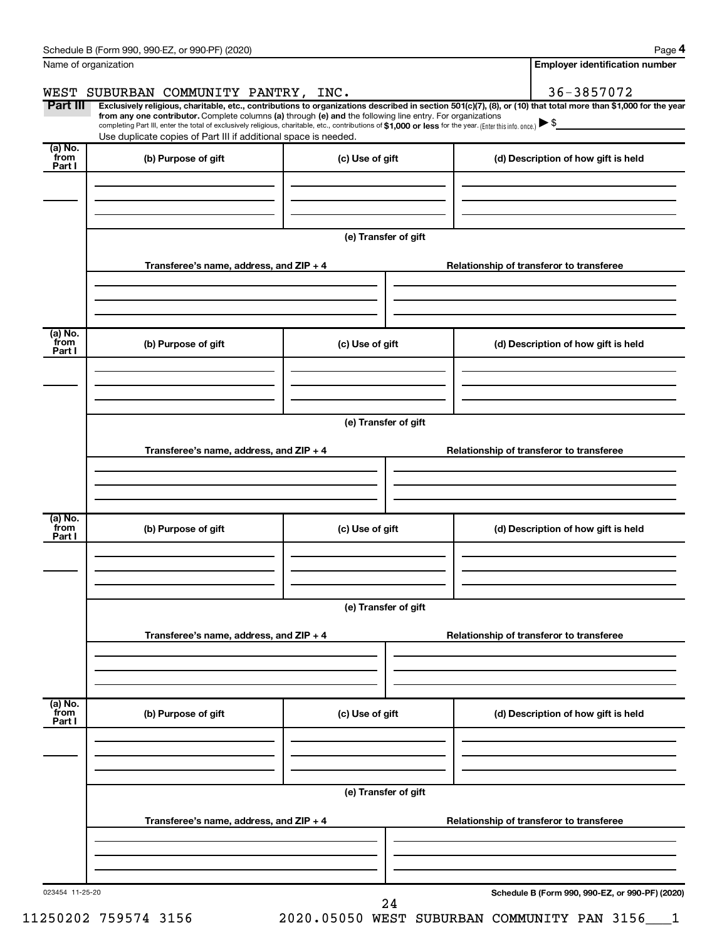| Name of organization      |                                                                                                                                                                                                                                                                                                                                           |                      | <b>Employer identification number</b>                                                                                                                                        |
|---------------------------|-------------------------------------------------------------------------------------------------------------------------------------------------------------------------------------------------------------------------------------------------------------------------------------------------------------------------------------------|----------------------|------------------------------------------------------------------------------------------------------------------------------------------------------------------------------|
| Part III                  | WEST SUBURBAN COMMUNITY PANTRY, INC.                                                                                                                                                                                                                                                                                                      |                      | 36-3857072<br>Exclusively religious, charitable, etc., contributions to organizations described in section 501(c)(7), (8), or (10) that total more than \$1,000 for the year |
|                           | from any one contributor. Complete columns (a) through (e) and the following line entry. For organizations<br>completing Part III, enter the total of exclusively religious, charitable, etc., contributions of \$1,000 or less for the year. (Enter this info. once.)<br>Use duplicate copies of Part III if additional space is needed. |                      |                                                                                                                                                                              |
| (a) No.<br>from<br>Part I | (b) Purpose of gift                                                                                                                                                                                                                                                                                                                       | (c) Use of gift      | (d) Description of how gift is held                                                                                                                                          |
|                           |                                                                                                                                                                                                                                                                                                                                           |                      |                                                                                                                                                                              |
|                           |                                                                                                                                                                                                                                                                                                                                           | (e) Transfer of gift |                                                                                                                                                                              |
|                           | Transferee's name, address, and ZIP + 4                                                                                                                                                                                                                                                                                                   |                      | Relationship of transferor to transferee                                                                                                                                     |
| (a) No.<br>from           | (b) Purpose of gift                                                                                                                                                                                                                                                                                                                       | (c) Use of gift      | (d) Description of how gift is held                                                                                                                                          |
| Part I                    |                                                                                                                                                                                                                                                                                                                                           |                      |                                                                                                                                                                              |
|                           |                                                                                                                                                                                                                                                                                                                                           | (e) Transfer of gift |                                                                                                                                                                              |
|                           | Transferee's name, address, and ZIP + 4                                                                                                                                                                                                                                                                                                   |                      | Relationship of transferor to transferee                                                                                                                                     |
|                           |                                                                                                                                                                                                                                                                                                                                           |                      |                                                                                                                                                                              |
| (a) No.<br>from<br>Part I | (b) Purpose of gift                                                                                                                                                                                                                                                                                                                       | (c) Use of gift      | (d) Description of how gift is held                                                                                                                                          |
|                           |                                                                                                                                                                                                                                                                                                                                           |                      |                                                                                                                                                                              |
|                           |                                                                                                                                                                                                                                                                                                                                           | (e) Transfer of gift |                                                                                                                                                                              |
|                           | Transferee's name, address, and ZIP + 4                                                                                                                                                                                                                                                                                                   |                      | Relationship of transferor to transferee                                                                                                                                     |
| (a) No.<br>from           |                                                                                                                                                                                                                                                                                                                                           |                      |                                                                                                                                                                              |
| Part I                    | (b) Purpose of gift                                                                                                                                                                                                                                                                                                                       | (c) Use of gift      | (d) Description of how gift is held                                                                                                                                          |
|                           |                                                                                                                                                                                                                                                                                                                                           | (e) Transfer of gift |                                                                                                                                                                              |
|                           | Transferee's name, address, and ZIP + 4                                                                                                                                                                                                                                                                                                   |                      | Relationship of transferor to transferee                                                                                                                                     |
|                           |                                                                                                                                                                                                                                                                                                                                           |                      |                                                                                                                                                                              |
| 023454 11-25-20           |                                                                                                                                                                                                                                                                                                                                           | 24                   | Schedule B (Form 990, 990-EZ, or 990-PF) (2020)                                                                                                                              |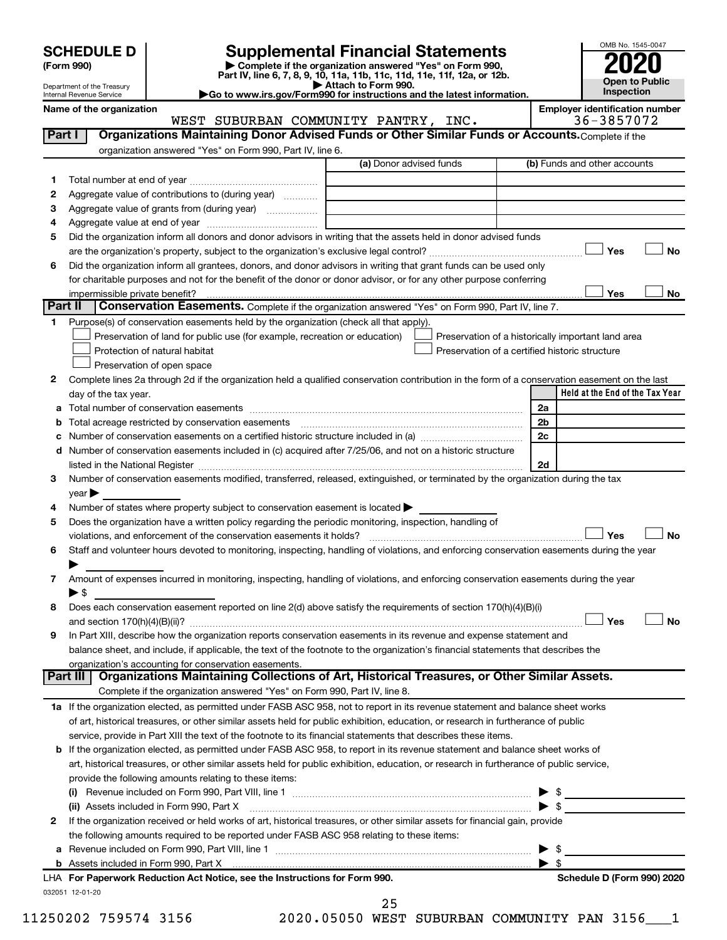# **SCHEDULE D Supplemental Financial Statements**<br>(Form 990) **2020**<br>**2020**

**(Form 990) | Complete if the organization answered "Yes" on Form 990, Part IV, line 6, 7, 8, 9, 10, 11a, 11b, 11c, 11d, 11e, 11f, 12a, or 12b.**



Department of the Treasury Internal Revenue Service **Name of the organization Employer identification number**

**| Attach to Form 990. |Go to www.irs.gov/Form990 for instructions and the latest information.**

|                       | organization answered "Yes" on Form 990, Part IV, line 6.                                                                                                                                                                                                                                    |                                                    |
|-----------------------|----------------------------------------------------------------------------------------------------------------------------------------------------------------------------------------------------------------------------------------------------------------------------------------------|----------------------------------------------------|
|                       | (a) Donor advised funds                                                                                                                                                                                                                                                                      | (b) Funds and other accounts                       |
| 1                     |                                                                                                                                                                                                                                                                                              |                                                    |
| 2                     | Aggregate value of contributions to (during year)                                                                                                                                                                                                                                            |                                                    |
| З                     |                                                                                                                                                                                                                                                                                              |                                                    |
| 4                     |                                                                                                                                                                                                                                                                                              |                                                    |
| 5                     | Did the organization inform all donors and donor advisors in writing that the assets held in donor advised funds                                                                                                                                                                             |                                                    |
|                       |                                                                                                                                                                                                                                                                                              | Yes                                                |
| 6                     | Did the organization inform all grantees, donors, and donor advisors in writing that grant funds can be used only                                                                                                                                                                            |                                                    |
|                       | for charitable purposes and not for the benefit of the donor or donor advisor, or for any other purpose conferring                                                                                                                                                                           |                                                    |
|                       |                                                                                                                                                                                                                                                                                              | <b>Yes</b>                                         |
| Part II               | Conservation Easements. Complete if the organization answered "Yes" on Form 990, Part IV, line 7.                                                                                                                                                                                            |                                                    |
| 1.                    | Purpose(s) of conservation easements held by the organization (check all that apply).                                                                                                                                                                                                        |                                                    |
|                       | Preservation of land for public use (for example, recreation or education)                                                                                                                                                                                                                   | Preservation of a historically important land area |
|                       | Protection of natural habitat                                                                                                                                                                                                                                                                | Preservation of a certified historic structure     |
|                       | Preservation of open space                                                                                                                                                                                                                                                                   |                                                    |
| 2                     | Complete lines 2a through 2d if the organization held a qualified conservation contribution in the form of a conservation easement on the last                                                                                                                                               |                                                    |
|                       | day of the tax year.                                                                                                                                                                                                                                                                         | Held at the End of the Tax Year                    |
| а                     |                                                                                                                                                                                                                                                                                              | 2a                                                 |
| b                     | Total acreage restricted by conservation easements                                                                                                                                                                                                                                           | 2 <sub>b</sub>                                     |
| с                     |                                                                                                                                                                                                                                                                                              | 2c                                                 |
|                       | d Number of conservation easements included in (c) acquired after 7/25/06, and not on a historic structure                                                                                                                                                                                   |                                                    |
|                       |                                                                                                                                                                                                                                                                                              | 2d                                                 |
|                       | listed in the National Register [111] Marshall Register [11] Marshall Register [11] Marshall Register [11] Marshall Register [11] Marshall Register [11] Marshall Register [11] Marshall Register [11] Marshall Register [11]                                                                |                                                    |
| 3                     | Number of conservation easements modified, transferred, released, extinguished, or terminated by the organization during the tax                                                                                                                                                             |                                                    |
|                       | $year \blacktriangleright$<br>Number of states where property subject to conservation easement is located ><br>Does the organization have a written policy regarding the periodic monitoring, inspection, handling of<br>violations, and enforcement of the conservation easements it holds? | Yes                                                |
|                       | Staff and volunteer hours devoted to monitoring, inspecting, handling of violations, and enforcing conservation easements during the year                                                                                                                                                    |                                                    |
|                       | Amount of expenses incurred in monitoring, inspecting, handling of violations, and enforcing conservation easements during the year<br>$\blacktriangleright$ \$                                                                                                                              |                                                    |
| 4<br>5<br>6<br>7<br>8 | Does each conservation easement reported on line 2(d) above satisfy the requirements of section 170(h)(4)(B)(i)                                                                                                                                                                              | Yes                                                |
| 9                     | In Part XIII, describe how the organization reports conservation easements in its revenue and expense statement and                                                                                                                                                                          |                                                    |
|                       | balance sheet, and include, if applicable, the text of the footnote to the organization's financial statements that describes the                                                                                                                                                            |                                                    |
|                       | organization's accounting for conservation easements.                                                                                                                                                                                                                                        |                                                    |
|                       | Organizations Maintaining Collections of Art, Historical Treasures, or Other Similar Assets.<br>Part III<br>Complete if the organization answered "Yes" on Form 990, Part IV, line 8.                                                                                                        |                                                    |
|                       | 1a If the organization elected, as permitted under FASB ASC 958, not to report in its revenue statement and balance sheet works                                                                                                                                                              |                                                    |
|                       | of art, historical treasures, or other similar assets held for public exhibition, education, or research in furtherance of public                                                                                                                                                            |                                                    |
|                       | service, provide in Part XIII the text of the footnote to its financial statements that describes these items.                                                                                                                                                                               |                                                    |
|                       | <b>b</b> If the organization elected, as permitted under FASB ASC 958, to report in its revenue statement and balance sheet works of                                                                                                                                                         |                                                    |
|                       | art, historical treasures, or other similar assets held for public exhibition, education, or research in furtherance of public service,                                                                                                                                                      |                                                    |
|                       | provide the following amounts relating to these items:                                                                                                                                                                                                                                       |                                                    |
|                       |                                                                                                                                                                                                                                                                                              |                                                    |
|                       | (ii) Assets included in Form 990, Part X                                                                                                                                                                                                                                                     | $\blacktriangleright$ \$                           |
|                       | If the organization received or held works of art, historical treasures, or other similar assets for financial gain, provide                                                                                                                                                                 |                                                    |
| 2                     | the following amounts required to be reported under FASB ASC 958 relating to these items:                                                                                                                                                                                                    |                                                    |
|                       |                                                                                                                                                                                                                                                                                              | - \$<br>▶                                          |
|                       |                                                                                                                                                                                                                                                                                              | $\blacktriangleright$ s                            |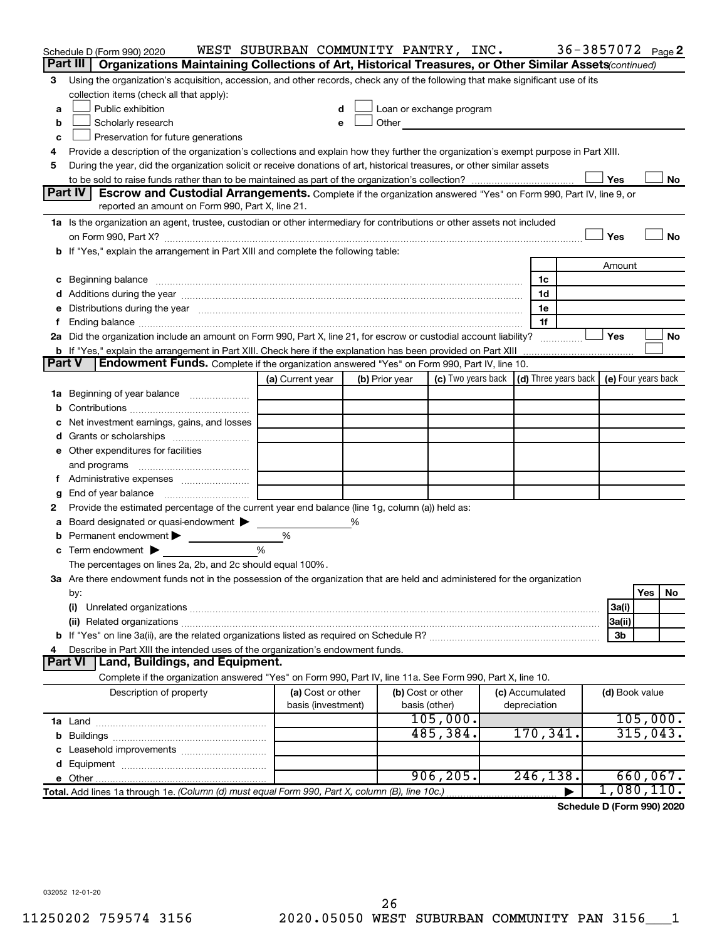|               | Schedule D (Form 990) 2020                                                                                                                                                                                                     | WEST SUBURBAN COMMUNITY PANTRY, INC. |                |                   |                                                                                                                                                                                                                                 |  |                 | 36-3857072 Page 2 |                |          |           |
|---------------|--------------------------------------------------------------------------------------------------------------------------------------------------------------------------------------------------------------------------------|--------------------------------------|----------------|-------------------|---------------------------------------------------------------------------------------------------------------------------------------------------------------------------------------------------------------------------------|--|-----------------|-------------------|----------------|----------|-----------|
|               | Part III<br>Organizations Maintaining Collections of Art, Historical Treasures, or Other Similar Assets (continued)                                                                                                            |                                      |                |                   |                                                                                                                                                                                                                                 |  |                 |                   |                |          |           |
| 3             | Using the organization's acquisition, accession, and other records, check any of the following that make significant use of its                                                                                                |                                      |                |                   |                                                                                                                                                                                                                                 |  |                 |                   |                |          |           |
|               | collection items (check all that apply):                                                                                                                                                                                       |                                      |                |                   |                                                                                                                                                                                                                                 |  |                 |                   |                |          |           |
| a             | Public exhibition                                                                                                                                                                                                              |                                      |                |                   | Loan or exchange program                                                                                                                                                                                                        |  |                 |                   |                |          |           |
| b             | Scholarly research                                                                                                                                                                                                             |                                      |                |                   | Other and the contract of the contract of the contract of the contract of the contract of the contract of the contract of the contract of the contract of the contract of the contract of the contract of the contract of the c |  |                 |                   |                |          |           |
| c             | Preservation for future generations                                                                                                                                                                                            |                                      |                |                   |                                                                                                                                                                                                                                 |  |                 |                   |                |          |           |
| 4             | Provide a description of the organization's collections and explain how they further the organization's exempt purpose in Part XIII.                                                                                           |                                      |                |                   |                                                                                                                                                                                                                                 |  |                 |                   |                |          |           |
| 5             | During the year, did the organization solicit or receive donations of art, historical treasures, or other similar assets                                                                                                       |                                      |                |                   |                                                                                                                                                                                                                                 |  |                 |                   |                |          |           |
|               | Yes<br>No<br>Part IV                                                                                                                                                                                                           |                                      |                |                   |                                                                                                                                                                                                                                 |  |                 |                   |                |          |           |
|               | <b>Escrow and Custodial Arrangements.</b> Complete if the organization answered "Yes" on Form 990, Part IV, line 9, or<br>reported an amount on Form 990, Part X, line 21.                                                     |                                      |                |                   |                                                                                                                                                                                                                                 |  |                 |                   |                |          |           |
|               | 1a Is the organization an agent, trustee, custodian or other intermediary for contributions or other assets not included                                                                                                       |                                      |                |                   |                                                                                                                                                                                                                                 |  |                 |                   |                |          |           |
|               |                                                                                                                                                                                                                                |                                      |                |                   |                                                                                                                                                                                                                                 |  |                 |                   | Yes            |          | <b>No</b> |
|               | b If "Yes," explain the arrangement in Part XIII and complete the following table:                                                                                                                                             |                                      |                |                   |                                                                                                                                                                                                                                 |  |                 |                   |                |          |           |
|               |                                                                                                                                                                                                                                |                                      |                |                   |                                                                                                                                                                                                                                 |  |                 |                   | Amount         |          |           |
|               | c Beginning balance measurements and the contract of the contract of the contract of the contract of the contract of the contract of the contract of the contract of the contract of the contract of the contract of the contr |                                      |                |                   |                                                                                                                                                                                                                                 |  | 1c              |                   |                |          |           |
|               |                                                                                                                                                                                                                                |                                      |                |                   |                                                                                                                                                                                                                                 |  | 1d              |                   |                |          |           |
|               | e Distributions during the year manufactured and continuum control of the control of the control of the state of the control of the control of the control of the control of the control of the control of the control of the  |                                      |                |                   |                                                                                                                                                                                                                                 |  | 1e              |                   |                |          |           |
|               |                                                                                                                                                                                                                                |                                      |                |                   |                                                                                                                                                                                                                                 |  | 1f              |                   |                |          |           |
|               | 2a Did the organization include an amount on Form 990, Part X, line 21, for escrow or custodial account liability?                                                                                                             |                                      |                |                   |                                                                                                                                                                                                                                 |  |                 |                   | Yes            |          | No        |
|               | <b>b</b> If "Yes," explain the arrangement in Part XIII. Check here if the explanation has been provided on Part XIII                                                                                                          |                                      |                |                   |                                                                                                                                                                                                                                 |  |                 |                   |                |          |           |
| <b>Part V</b> | <b>Endowment Funds.</b> Complete if the organization answered "Yes" on Form 990, Part IV, line 10.                                                                                                                             |                                      |                |                   |                                                                                                                                                                                                                                 |  |                 |                   |                |          |           |
|               |                                                                                                                                                                                                                                | (a) Current year                     | (b) Prior year |                   | (c) Two years back $\vert$ (d) Three years back $\vert$ (e) Four years back                                                                                                                                                     |  |                 |                   |                |          |           |
|               | 1a Beginning of year balance                                                                                                                                                                                                   |                                      |                |                   |                                                                                                                                                                                                                                 |  |                 |                   |                |          |           |
| b             |                                                                                                                                                                                                                                |                                      |                |                   |                                                                                                                                                                                                                                 |  |                 |                   |                |          |           |
| c             | Net investment earnings, gains, and losses                                                                                                                                                                                     |                                      |                |                   |                                                                                                                                                                                                                                 |  |                 |                   |                |          |           |
|               |                                                                                                                                                                                                                                |                                      |                |                   |                                                                                                                                                                                                                                 |  |                 |                   |                |          |           |
|               | e Other expenditures for facilities                                                                                                                                                                                            |                                      |                |                   |                                                                                                                                                                                                                                 |  |                 |                   |                |          |           |
|               | and programs                                                                                                                                                                                                                   |                                      |                |                   |                                                                                                                                                                                                                                 |  |                 |                   |                |          |           |
|               |                                                                                                                                                                                                                                |                                      |                |                   |                                                                                                                                                                                                                                 |  |                 |                   |                |          |           |
| g             |                                                                                                                                                                                                                                |                                      |                |                   |                                                                                                                                                                                                                                 |  |                 |                   |                |          |           |
| 2             | Provide the estimated percentage of the current year end balance (line 1g, column (a)) held as:                                                                                                                                |                                      |                |                   |                                                                                                                                                                                                                                 |  |                 |                   |                |          |           |
| а             | Board designated or quasi-endowment                                                                                                                                                                                            |                                      | %              |                   |                                                                                                                                                                                                                                 |  |                 |                   |                |          |           |
| b             | Permanent endowment >                                                                                                                                                                                                          | %                                    |                |                   |                                                                                                                                                                                                                                 |  |                 |                   |                |          |           |
| с             | Term endowment $\blacktriangleright$                                                                                                                                                                                           | %                                    |                |                   |                                                                                                                                                                                                                                 |  |                 |                   |                |          |           |
|               | The percentages on lines 2a, 2b, and 2c should equal 100%.                                                                                                                                                                     |                                      |                |                   |                                                                                                                                                                                                                                 |  |                 |                   |                |          |           |
|               | 3a Are there endowment funds not in the possession of the organization that are held and administered for the organization                                                                                                     |                                      |                |                   |                                                                                                                                                                                                                                 |  |                 |                   |                |          |           |
|               | by:                                                                                                                                                                                                                            |                                      |                |                   |                                                                                                                                                                                                                                 |  |                 |                   |                | Yes      | No        |
|               | (i)                                                                                                                                                                                                                            |                                      |                |                   |                                                                                                                                                                                                                                 |  |                 |                   | 3a(i)          |          |           |
|               |                                                                                                                                                                                                                                |                                      |                |                   |                                                                                                                                                                                                                                 |  |                 |                   | 3a(ii)         |          |           |
|               |                                                                                                                                                                                                                                |                                      |                |                   |                                                                                                                                                                                                                                 |  |                 |                   | 3b             |          |           |
| 4             | Describe in Part XIII the intended uses of the organization's endowment funds.<br><b>Land, Buildings, and Equipment.</b><br><b>Part VI</b>                                                                                     |                                      |                |                   |                                                                                                                                                                                                                                 |  |                 |                   |                |          |           |
|               | Complete if the organization answered "Yes" on Form 990, Part IV, line 11a. See Form 990, Part X, line 10.                                                                                                                     |                                      |                |                   |                                                                                                                                                                                                                                 |  |                 |                   |                |          |           |
|               | Description of property                                                                                                                                                                                                        | (a) Cost or other                    |                | (b) Cost or other |                                                                                                                                                                                                                                 |  | (c) Accumulated |                   | (d) Book value |          |           |
|               |                                                                                                                                                                                                                                | basis (investment)                   |                | basis (other)     |                                                                                                                                                                                                                                 |  | depreciation    |                   |                |          |           |
|               |                                                                                                                                                                                                                                |                                      |                |                   | 105,000.                                                                                                                                                                                                                        |  |                 |                   |                | 105,000. |           |
|               |                                                                                                                                                                                                                                |                                      |                |                   | 485,384.                                                                                                                                                                                                                        |  | 170,341.        |                   |                | 315,043. |           |
|               |                                                                                                                                                                                                                                |                                      |                |                   |                                                                                                                                                                                                                                 |  |                 |                   |                |          |           |
|               |                                                                                                                                                                                                                                |                                      |                |                   |                                                                                                                                                                                                                                 |  |                 |                   |                |          |           |
|               |                                                                                                                                                                                                                                |                                      |                |                   | 906, 205.                                                                                                                                                                                                                       |  | 246, 138.       |                   |                | 660,067. |           |
|               | Total. Add lines 1a through 1e. (Column (d) must equal Form 990, Part X, column (B), line 10c.)                                                                                                                                |                                      |                |                   |                                                                                                                                                                                                                                 |  |                 |                   | 1,080,110.     |          |           |
|               |                                                                                                                                                                                                                                |                                      |                |                   |                                                                                                                                                                                                                                 |  |                 |                   |                |          |           |

**Schedule D (Form 990) 2020**

032052 12-01-20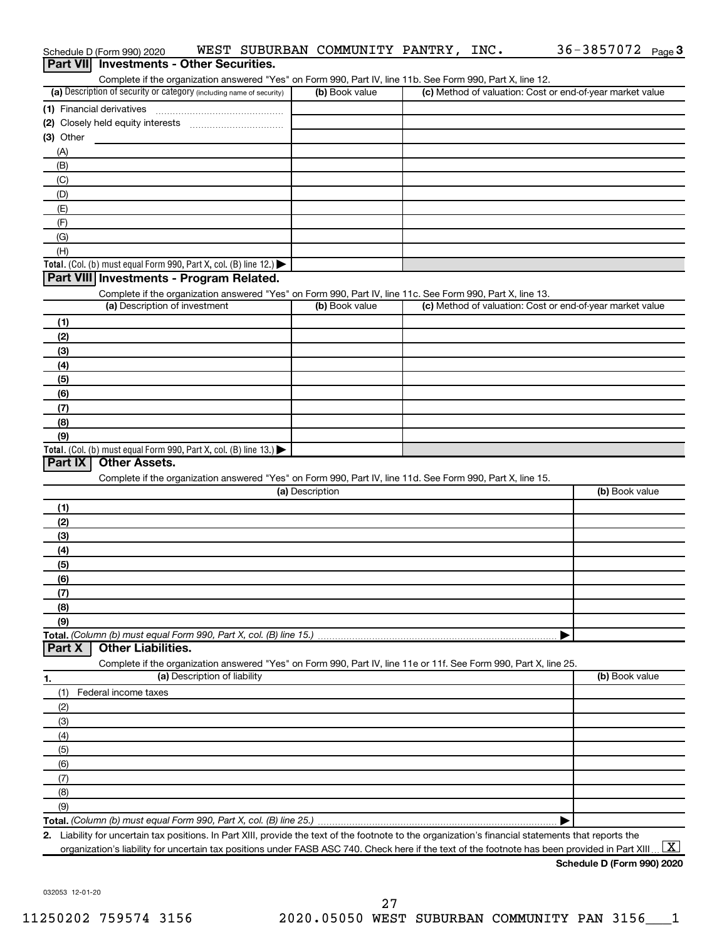|                                           |                                                                                                                   |                 | Complete if the organization answered "Yes" on Form 990, Part IV, line 11b. See Form 990, Part X, line 12. |                |
|-------------------------------------------|-------------------------------------------------------------------------------------------------------------------|-----------------|------------------------------------------------------------------------------------------------------------|----------------|
|                                           | (a) Description of security or category (including name of security)                                              | (b) Book value  | (c) Method of valuation: Cost or end-of-year market value                                                  |                |
|                                           | (1) Financial derivatives                                                                                         |                 |                                                                                                            |                |
|                                           |                                                                                                                   |                 |                                                                                                            |                |
| (3) Other                                 |                                                                                                                   |                 |                                                                                                            |                |
| (A)                                       |                                                                                                                   |                 |                                                                                                            |                |
| (B)                                       |                                                                                                                   |                 |                                                                                                            |                |
| (C)                                       |                                                                                                                   |                 |                                                                                                            |                |
| (D)                                       |                                                                                                                   |                 |                                                                                                            |                |
| (E)                                       |                                                                                                                   |                 |                                                                                                            |                |
| (F)                                       |                                                                                                                   |                 |                                                                                                            |                |
| (G)                                       |                                                                                                                   |                 |                                                                                                            |                |
| (H)                                       |                                                                                                                   |                 |                                                                                                            |                |
|                                           | Total. (Col. (b) must equal Form 990, Part X, col. (B) line 12.) $\blacktriangleright$                            |                 |                                                                                                            |                |
|                                           | Part VIII Investments - Program Related.                                                                          |                 |                                                                                                            |                |
|                                           | Complete if the organization answered "Yes" on Form 990, Part IV, line 11c. See Form 990, Part X, line 13.        |                 |                                                                                                            |                |
|                                           | (a) Description of investment                                                                                     | (b) Book value  | (c) Method of valuation: Cost or end-of-year market value                                                  |                |
| (1)                                       |                                                                                                                   |                 |                                                                                                            |                |
| (2)                                       |                                                                                                                   |                 |                                                                                                            |                |
| (3)                                       |                                                                                                                   |                 |                                                                                                            |                |
| (4)                                       |                                                                                                                   |                 |                                                                                                            |                |
| (5)                                       |                                                                                                                   |                 |                                                                                                            |                |
| (6)                                       |                                                                                                                   |                 |                                                                                                            |                |
| (7)                                       |                                                                                                                   |                 |                                                                                                            |                |
| (8)                                       |                                                                                                                   |                 |                                                                                                            |                |
| (9)                                       |                                                                                                                   |                 |                                                                                                            |                |
|                                           |                                                                                                                   |                 |                                                                                                            |                |
|                                           | Total. (Col. (b) must equal Form 990, Part X, col. (B) line 13.) $\blacktriangleright$                            |                 |                                                                                                            |                |
| Part IX                                   | <b>Other Assets.</b>                                                                                              |                 |                                                                                                            |                |
|                                           | Complete if the organization answered "Yes" on Form 990, Part IV, line 11d. See Form 990, Part X, line 15.        |                 |                                                                                                            |                |
|                                           |                                                                                                                   | (a) Description |                                                                                                            | (b) Book value |
|                                           |                                                                                                                   |                 |                                                                                                            |                |
|                                           |                                                                                                                   |                 |                                                                                                            |                |
|                                           |                                                                                                                   |                 |                                                                                                            |                |
| (1)<br>(2)<br>(3)<br>(4)                  |                                                                                                                   |                 |                                                                                                            |                |
|                                           |                                                                                                                   |                 |                                                                                                            |                |
|                                           |                                                                                                                   |                 |                                                                                                            |                |
|                                           |                                                                                                                   |                 |                                                                                                            |                |
|                                           |                                                                                                                   |                 |                                                                                                            |                |
|                                           |                                                                                                                   |                 |                                                                                                            |                |
|                                           | Total. (Column (b) must equal Form 990, Part X, col. (B) line 15.)                                                |                 |                                                                                                            |                |
| (5)<br>(6)<br>(7)<br>(8)<br>(9)<br>Part X | <b>Other Liabilities.</b>                                                                                         |                 |                                                                                                            |                |
|                                           | Complete if the organization answered "Yes" on Form 990, Part IV, line 11e or 11f. See Form 990, Part X, line 25. |                 |                                                                                                            |                |
|                                           | (a) Description of liability                                                                                      |                 |                                                                                                            | (b) Book value |
|                                           | Federal income taxes                                                                                              |                 |                                                                                                            |                |
|                                           |                                                                                                                   |                 |                                                                                                            |                |
|                                           |                                                                                                                   |                 |                                                                                                            |                |
|                                           |                                                                                                                   |                 |                                                                                                            |                |
| (1)<br>(2)<br>(3)<br>(4)<br>(5)           |                                                                                                                   |                 |                                                                                                            |                |
| (6)                                       |                                                                                                                   |                 |                                                                                                            |                |
| (7)                                       |                                                                                                                   |                 |                                                                                                            |                |
| (8)                                       |                                                                                                                   |                 |                                                                                                            |                |
| (9)                                       |                                                                                                                   |                 |                                                                                                            |                |

Schedule D (Form 990) 2020 Page WEST SUBURBAN COMMUNITY PANTRY, INC. 36-3857072

36-3857072 Page 3

032053 12-01-20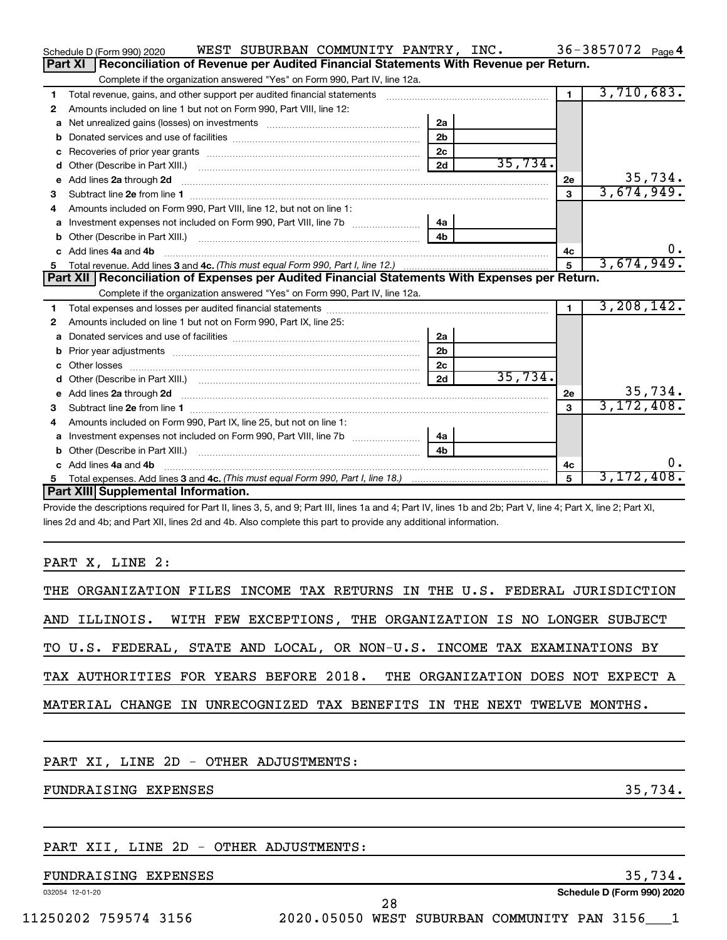|    | WEST SUBURBAN COMMUNITY PANTRY, INC.<br>Schedule D (Form 990) 2020                                                      |                |            |                | 36-3857072 $_{Page 4}$ |
|----|-------------------------------------------------------------------------------------------------------------------------|----------------|------------|----------------|------------------------|
|    | Part XI<br>Reconciliation of Revenue per Audited Financial Statements With Revenue per Return.                          |                |            |                |                        |
|    | Complete if the organization answered "Yes" on Form 990, Part IV, line 12a.                                             |                |            |                |                        |
| 1  | Total revenue, gains, and other support per audited financial statements                                                |                |            | $\mathbf 1$    | 3,710,683.             |
| 2  | Amounts included on line 1 but not on Form 990, Part VIII, line 12:                                                     |                |            |                |                        |
| a  |                                                                                                                         | 2a             |            |                |                        |
| b  |                                                                                                                         | 2 <sub>b</sub> |            |                |                        |
| с  |                                                                                                                         | 2 <sub>c</sub> |            |                |                        |
| d  | Other (Describe in Part XIII.) (2000) (2000) (2000) (2010) (2010) (2010) (2010) (2010) (2010) (2010) (2010) (20         | 2d             | 35,734.    |                |                        |
| е  | Add lines 2a through 2d                                                                                                 |                |            | 2e             | 35,734.                |
| З  | Subtract line 2e from line 1                                                                                            |                |            | 3              | 3,674,949.             |
| 4  | Amounts included on Form 990, Part VIII, line 12, but not on line 1:                                                    |                |            |                |                        |
| a  |                                                                                                                         |                |            |                |                        |
|    |                                                                                                                         | 4 <sub>b</sub> |            |                |                        |
| c. | Add lines 4a and 4b                                                                                                     |                |            | 4с             |                        |
| 5  |                                                                                                                         | 5              | 3,674,949. |                |                        |
|    |                                                                                                                         |                |            |                |                        |
|    | Part XII   Reconciliation of Expenses per Audited Financial Statements With Expenses per Return.                        |                |            |                |                        |
|    | Complete if the organization answered "Yes" on Form 990, Part IV, line 12a.                                             |                |            |                |                        |
| 1  |                                                                                                                         |                |            | $\blacksquare$ | 3, 208, 142.           |
| 2  | Amounts included on line 1 but not on Form 990, Part IX, line 25:                                                       |                |            |                |                        |
| a  |                                                                                                                         | 2a             |            |                |                        |
| b  |                                                                                                                         | 2 <sub>b</sub> |            |                |                        |
| c  | Other losses                                                                                                            | 2c             |            |                |                        |
| d  |                                                                                                                         | 2d             | 35,734.    |                |                        |
| e  | Add lines 2a through 2d <b>continuum contract and all contract and all contract and all contract and all contract a</b> |                |            | 2e             | 35,734.                |
| з  |                                                                                                                         |                |            | $\mathbf{a}$   | 3, 172, 408.           |
| 4  | Amounts included on Form 990, Part IX, line 25, but not on line 1:                                                      |                |            |                |                        |
| a  |                                                                                                                         | 4a             |            |                |                        |
| b  |                                                                                                                         | 4 <sub>b</sub> |            |                |                        |
|    | Add lines 4a and 4b                                                                                                     |                |            | 4c             | 0.                     |
| 5. | Part XIII Supplemental Information.                                                                                     |                |            | $\mathbf{5}$   | 3,172,408.             |

Provide the descriptions required for Part II, lines 3, 5, and 9; Part III, lines 1a and 4; Part IV, lines 1b and 2b; Part V, line 4; Part X, line 2; Part XI, lines 2d and 4b; and Part XII, lines 2d and 4b. Also complete this part to provide any additional information.

PART X, LINE 2:

|  | THE ORGANIZATION FILES INCOME TAX RETURNS IN THE U.S. FEDERAL JURISDICTION |  |  |  |  |  |  |  |
|--|----------------------------------------------------------------------------|--|--|--|--|--|--|--|
|  | AND ILLINOIS. WITH FEW EXCEPTIONS, THE ORGANIZATION IS NO LONGER SUBJECT   |  |  |  |  |  |  |  |
|  | TO U.S. FEDERAL, STATE AND LOCAL, OR NON-U.S. INCOME TAX EXAMINATIONS BY   |  |  |  |  |  |  |  |
|  | TAX AUTHORITIES FOR YEARS BEFORE 2018. THE ORGANIZATION DOES NOT EXPECT A  |  |  |  |  |  |  |  |
|  | MATERIAL CHANGE IN UNRECOGNIZED TAX BENEFITS IN THE NEXT TWELVE MONTHS.    |  |  |  |  |  |  |  |

PART XI, LINE 2D - OTHER ADJUSTMENTS:

FUNDRAISING EXPENSES 35,734.

### PART XII, LINE 2D - OTHER ADJUSTMENTS:

### FUNDRAISING EXPENSES 35,734.

032054 12-01-20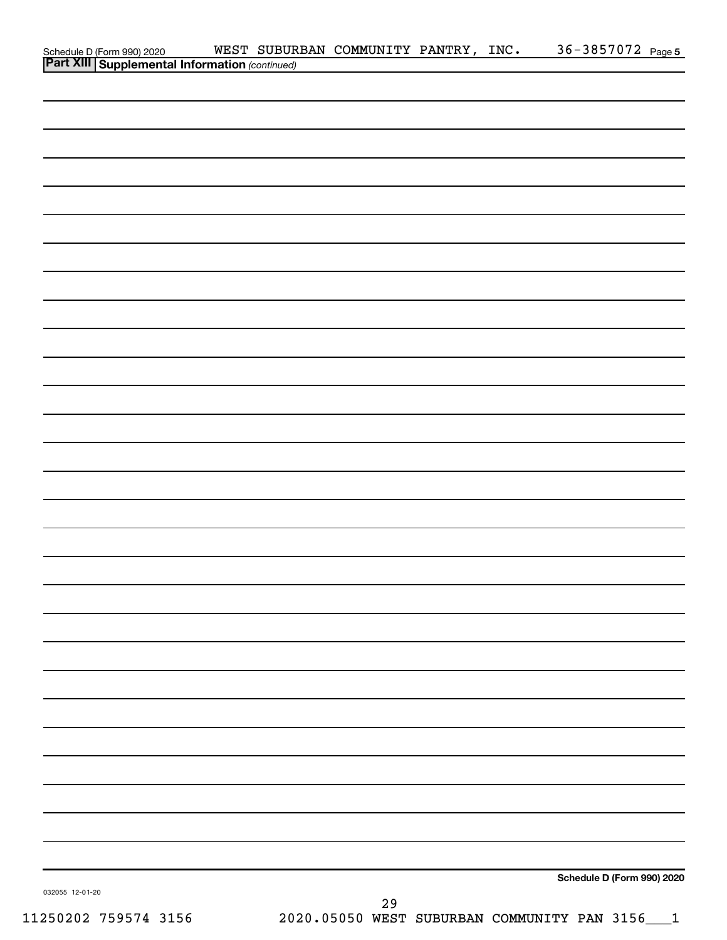| Schedule D (Form 990) 2020 WEST SUBUR<br><b>Part XIII   Supplemental Information</b> (continued) | WEST SUBURBAN COMMUNITY PANTRY, INC. | 36-3857072 Page 5          |
|--------------------------------------------------------------------------------------------------|--------------------------------------|----------------------------|
|                                                                                                  |                                      |                            |
|                                                                                                  |                                      |                            |
|                                                                                                  |                                      |                            |
|                                                                                                  |                                      |                            |
|                                                                                                  |                                      |                            |
|                                                                                                  |                                      |                            |
|                                                                                                  |                                      |                            |
|                                                                                                  |                                      |                            |
|                                                                                                  |                                      |                            |
|                                                                                                  |                                      |                            |
|                                                                                                  |                                      |                            |
|                                                                                                  |                                      |                            |
|                                                                                                  |                                      |                            |
|                                                                                                  |                                      |                            |
|                                                                                                  |                                      |                            |
|                                                                                                  |                                      |                            |
|                                                                                                  |                                      |                            |
|                                                                                                  |                                      |                            |
|                                                                                                  |                                      |                            |
|                                                                                                  |                                      |                            |
|                                                                                                  |                                      |                            |
|                                                                                                  |                                      |                            |
|                                                                                                  |                                      |                            |
|                                                                                                  |                                      |                            |
|                                                                                                  |                                      |                            |
|                                                                                                  |                                      |                            |
|                                                                                                  |                                      |                            |
|                                                                                                  |                                      |                            |
|                                                                                                  |                                      |                            |
|                                                                                                  |                                      |                            |
|                                                                                                  |                                      |                            |
|                                                                                                  |                                      |                            |
|                                                                                                  |                                      |                            |
|                                                                                                  |                                      |                            |
|                                                                                                  |                                      |                            |
|                                                                                                  |                                      |                            |
|                                                                                                  |                                      |                            |
|                                                                                                  |                                      |                            |
|                                                                                                  |                                      |                            |
|                                                                                                  |                                      |                            |
|                                                                                                  |                                      |                            |
|                                                                                                  |                                      | Schedule D (Form 990) 2020 |
| 032055 12-01-20                                                                                  | 29                                   |                            |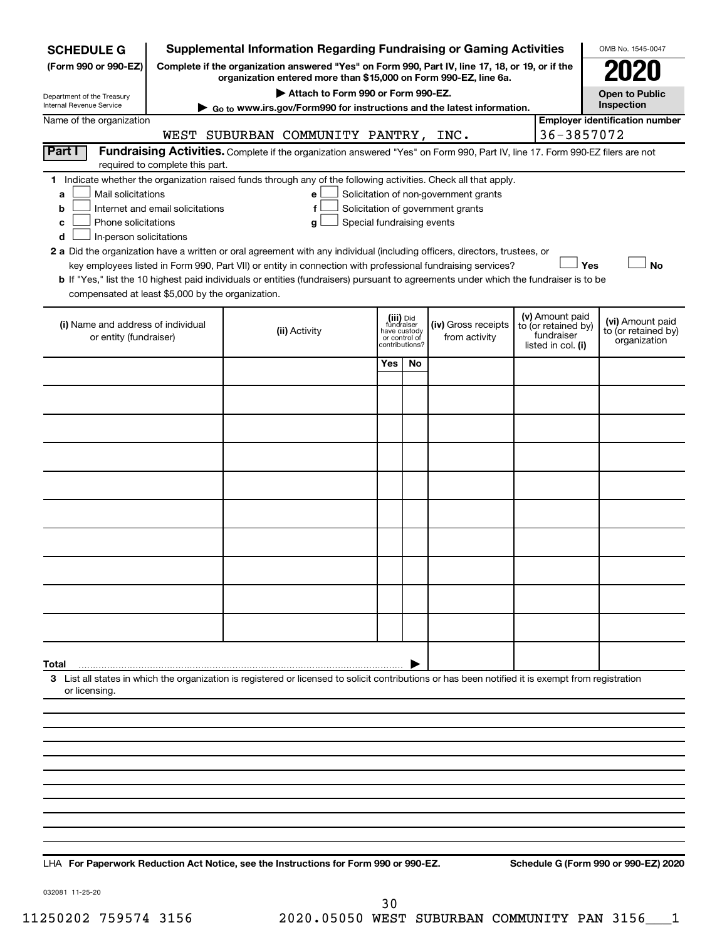| <b>SCHEDULE G</b>                                                                                                                                                                                                                                                                                                                                                                                                                                           |                                 | <b>Supplemental Information Regarding Fundraising or Gaming Activities</b>                                                                                            |                |                                      |  |                                                                            |                                                         | OMB No. 1545-0047                     |  |  |  |
|-------------------------------------------------------------------------------------------------------------------------------------------------------------------------------------------------------------------------------------------------------------------------------------------------------------------------------------------------------------------------------------------------------------------------------------------------------------|---------------------------------|-----------------------------------------------------------------------------------------------------------------------------------------------------------------------|----------------|--------------------------------------|--|----------------------------------------------------------------------------|---------------------------------------------------------|---------------------------------------|--|--|--|
| (Form 990 or 990-EZ)                                                                                                                                                                                                                                                                                                                                                                                                                                        |                                 | Complete if the organization answered "Yes" on Form 990, Part IV, line 17, 18, or 19, or if the<br>organization entered more than \$15,000 on Form 990-EZ, line 6a.   |                |                                      |  |                                                                            |                                                         |                                       |  |  |  |
| Department of the Treasury                                                                                                                                                                                                                                                                                                                                                                                                                                  |                                 | Attach to Form 990 or Form 990-EZ.                                                                                                                                    |                |                                      |  |                                                                            |                                                         | <b>Open to Public</b>                 |  |  |  |
| Internal Revenue Service                                                                                                                                                                                                                                                                                                                                                                                                                                    |                                 | Go to www.irs.gov/Form990 for instructions and the latest information.                                                                                                |                |                                      |  |                                                                            |                                                         | Inspection                            |  |  |  |
| Name of the organization                                                                                                                                                                                                                                                                                                                                                                                                                                    |                                 |                                                                                                                                                                       |                |                                      |  |                                                                            |                                                         | <b>Employer identification number</b> |  |  |  |
| Part I                                                                                                                                                                                                                                                                                                                                                                                                                                                      |                                 | WEST SUBURBAN COMMUNITY PANTRY, INC.<br>Fundraising Activities. Complete if the organization answered "Yes" on Form 990, Part IV, line 17. Form 990-EZ filers are not |                |                                      |  |                                                                            | 36-3857072                                              |                                       |  |  |  |
|                                                                                                                                                                                                                                                                                                                                                                                                                                                             | required to complete this part. |                                                                                                                                                                       |                |                                      |  |                                                                            |                                                         |                                       |  |  |  |
| 1 Indicate whether the organization raised funds through any of the following activities. Check all that apply.<br>Mail solicitations<br>Solicitation of non-government grants<br>a<br>е<br>Internet and email solicitations<br>Solicitation of government grants<br>f<br>b<br>Phone solicitations<br>Special fundraising events<br>g<br>с<br>In-person solicitations<br>d                                                                                  |                                 |                                                                                                                                                                       |                |                                      |  |                                                                            |                                                         |                                       |  |  |  |
| 2 a Did the organization have a written or oral agreement with any individual (including officers, directors, trustees, or<br>Yes<br><b>No</b><br>key employees listed in Form 990, Part VII) or entity in connection with professional fundraising services?<br>b If "Yes," list the 10 highest paid individuals or entities (fundraisers) pursuant to agreements under which the fundraiser is to be<br>compensated at least \$5,000 by the organization. |                                 |                                                                                                                                                                       |                |                                      |  |                                                                            |                                                         |                                       |  |  |  |
| (i) Name and address of individual<br>or entity (fundraiser)                                                                                                                                                                                                                                                                                                                                                                                                | (ii) Activity                   | (iii) Did<br>fundraiser<br>have custody<br>or control of                                                                                                              | contributions? | (iv) Gross receipts<br>from activity |  | (v) Amount paid<br>to (or retained by)<br>fundraiser<br>listed in col. (i) | (vi) Amount paid<br>to (or retained by)<br>organization |                                       |  |  |  |
|                                                                                                                                                                                                                                                                                                                                                                                                                                                             |                                 |                                                                                                                                                                       | Yes            | No                                   |  |                                                                            |                                                         |                                       |  |  |  |
|                                                                                                                                                                                                                                                                                                                                                                                                                                                             |                                 |                                                                                                                                                                       |                |                                      |  |                                                                            |                                                         |                                       |  |  |  |
|                                                                                                                                                                                                                                                                                                                                                                                                                                                             |                                 |                                                                                                                                                                       |                |                                      |  |                                                                            |                                                         |                                       |  |  |  |
|                                                                                                                                                                                                                                                                                                                                                                                                                                                             |                                 |                                                                                                                                                                       |                |                                      |  |                                                                            |                                                         |                                       |  |  |  |
|                                                                                                                                                                                                                                                                                                                                                                                                                                                             |                                 |                                                                                                                                                                       |                |                                      |  |                                                                            |                                                         |                                       |  |  |  |
|                                                                                                                                                                                                                                                                                                                                                                                                                                                             |                                 |                                                                                                                                                                       |                |                                      |  |                                                                            |                                                         |                                       |  |  |  |
|                                                                                                                                                                                                                                                                                                                                                                                                                                                             |                                 |                                                                                                                                                                       |                |                                      |  |                                                                            |                                                         |                                       |  |  |  |
|                                                                                                                                                                                                                                                                                                                                                                                                                                                             |                                 |                                                                                                                                                                       |                |                                      |  |                                                                            |                                                         |                                       |  |  |  |
|                                                                                                                                                                                                                                                                                                                                                                                                                                                             |                                 |                                                                                                                                                                       |                |                                      |  |                                                                            |                                                         |                                       |  |  |  |
|                                                                                                                                                                                                                                                                                                                                                                                                                                                             |                                 |                                                                                                                                                                       |                |                                      |  |                                                                            |                                                         |                                       |  |  |  |
| Total                                                                                                                                                                                                                                                                                                                                                                                                                                                       |                                 |                                                                                                                                                                       |                |                                      |  |                                                                            |                                                         |                                       |  |  |  |
| or licensing.                                                                                                                                                                                                                                                                                                                                                                                                                                               |                                 | 3 List all states in which the organization is registered or licensed to solicit contributions or has been notified it is exempt from registration                    |                |                                      |  |                                                                            |                                                         |                                       |  |  |  |
|                                                                                                                                                                                                                                                                                                                                                                                                                                                             |                                 |                                                                                                                                                                       |                |                                      |  |                                                                            |                                                         |                                       |  |  |  |
|                                                                                                                                                                                                                                                                                                                                                                                                                                                             |                                 |                                                                                                                                                                       |                |                                      |  |                                                                            |                                                         |                                       |  |  |  |
|                                                                                                                                                                                                                                                                                                                                                                                                                                                             |                                 |                                                                                                                                                                       |                |                                      |  |                                                                            |                                                         |                                       |  |  |  |
|                                                                                                                                                                                                                                                                                                                                                                                                                                                             |                                 |                                                                                                                                                                       |                |                                      |  |                                                                            |                                                         |                                       |  |  |  |
|                                                                                                                                                                                                                                                                                                                                                                                                                                                             |                                 |                                                                                                                                                                       |                |                                      |  |                                                                            |                                                         |                                       |  |  |  |
|                                                                                                                                                                                                                                                                                                                                                                                                                                                             |                                 |                                                                                                                                                                       |                |                                      |  |                                                                            |                                                         |                                       |  |  |  |
|                                                                                                                                                                                                                                                                                                                                                                                                                                                             |                                 |                                                                                                                                                                       |                |                                      |  |                                                                            |                                                         |                                       |  |  |  |
|                                                                                                                                                                                                                                                                                                                                                                                                                                                             |                                 |                                                                                                                                                                       |                |                                      |  |                                                                            |                                                         |                                       |  |  |  |

**For Paperwork Reduction Act Notice, see the Instructions for Form 990 or 990-EZ. Schedule G (Form 990 or 990-EZ) 2020** LHA

032081 11-25-20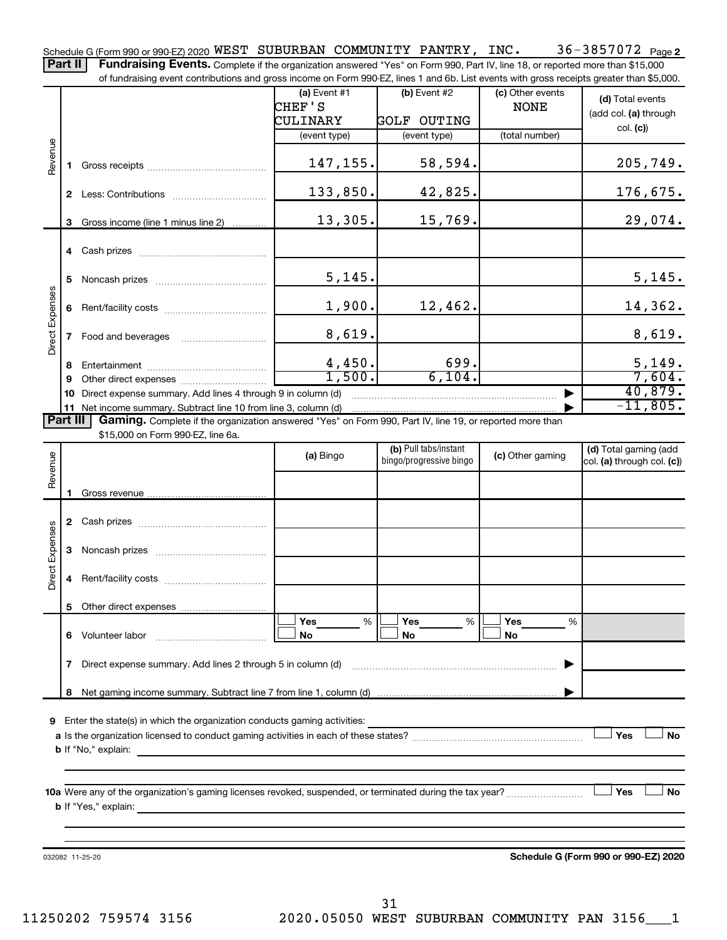36-3857072 Page 2 Schedule G (Form 990 or 990-EZ) 2020  $\tt{WEST}$   $\tt{SUBURBAN}$   $\tt{COMMUNITY}$   $\tt{PANTRY}$ ,  $\tt{INC.}$   $\tt{36-3857072}$   $\tt{Page}$ Part II | Fundraising Events. Complete if the organization answered "Yes" on Form 990, Part IV, line 18, or reported more than \$15,000

of fundraising event contributions and gross income on Form 990-EZ, lines 1 and 6b. List events with gross receipts greater than \$5,000.

|                        |          | OF RINGLASHIY CVENT CONTINUATIONS AND GIVES INCOME ON FOND 330°CZ, IINCS T AND OD. EIST CVCHIS WILH GIVSS TECCIPIS GREEK THAN \$0,000.                                                                                                    |                          |                                                  |                                 |                                                     |
|------------------------|----------|-------------------------------------------------------------------------------------------------------------------------------------------------------------------------------------------------------------------------------------------|--------------------------|--------------------------------------------------|---------------------------------|-----------------------------------------------------|
|                        |          |                                                                                                                                                                                                                                           | (a) Event $#1$<br>CHEF'S | $(b)$ Event #2                                   | (c) Other events<br><b>NONE</b> | (d) Total events                                    |
|                        |          |                                                                                                                                                                                                                                           | CULINARY                 | <b>GOLF OUTING</b>                               |                                 | (add col. (a) through                               |
|                        |          |                                                                                                                                                                                                                                           | (event type)             | (event type)                                     | (total number)                  | col. (c)                                            |
|                        |          |                                                                                                                                                                                                                                           |                          |                                                  |                                 |                                                     |
| Revenue                |          |                                                                                                                                                                                                                                           | 147,155.                 | 58,594.                                          |                                 | 205,749.                                            |
|                        |          |                                                                                                                                                                                                                                           | 133,850.                 | 42,825.                                          |                                 | 176,675.                                            |
|                        | 3        | Gross income (line 1 minus line 2)                                                                                                                                                                                                        | 13,305.                  | 15,769.                                          |                                 | 29,074.                                             |
|                        |          |                                                                                                                                                                                                                                           |                          |                                                  |                                 |                                                     |
|                        | 5        |                                                                                                                                                                                                                                           | 5,145.                   |                                                  |                                 | 5,145.                                              |
|                        |          |                                                                                                                                                                                                                                           | 1,900.                   | 12,462.                                          |                                 | 14,362.                                             |
| <b>Direct Expenses</b> |          |                                                                                                                                                                                                                                           | 8,619.                   |                                                  |                                 | 8,619.                                              |
|                        |          |                                                                                                                                                                                                                                           | 4,450.                   | 699.                                             |                                 | 5,149.                                              |
|                        | 9        |                                                                                                                                                                                                                                           | 1,500.                   | 6,104.                                           |                                 | 7,604.                                              |
|                        | 10       | Direct expense summary. Add lines 4 through 9 in column (d)                                                                                                                                                                               |                          |                                                  |                                 | 40,879.                                             |
|                        |          |                                                                                                                                                                                                                                           |                          |                                                  |                                 | $-11,805.$                                          |
|                        | Part III | Gaming. Complete if the organization answered "Yes" on Form 990, Part IV, line 19, or reported more than                                                                                                                                  |                          |                                                  |                                 |                                                     |
|                        |          | \$15,000 on Form 990-EZ, line 6a.                                                                                                                                                                                                         |                          |                                                  |                                 |                                                     |
| Revenue                |          |                                                                                                                                                                                                                                           | (a) Bingo                | (b) Pull tabs/instant<br>bingo/progressive bingo | (c) Other gaming                | (d) Total gaming (add<br>col. (a) through col. (c)) |
|                        |          |                                                                                                                                                                                                                                           |                          |                                                  |                                 |                                                     |
|                        |          |                                                                                                                                                                                                                                           |                          |                                                  |                                 |                                                     |
|                        |          |                                                                                                                                                                                                                                           |                          |                                                  |                                 |                                                     |
| <b>Direct Expenses</b> | 3        |                                                                                                                                                                                                                                           |                          |                                                  |                                 |                                                     |
|                        |          |                                                                                                                                                                                                                                           |                          |                                                  |                                 |                                                     |
|                        |          |                                                                                                                                                                                                                                           |                          |                                                  |                                 |                                                     |
|                        |          |                                                                                                                                                                                                                                           | Yes<br>%                 | Yes<br>%                                         | Yes<br>%                        |                                                     |
|                        | 6        | Volunteer labor                                                                                                                                                                                                                           | No                       | No                                               | No                              |                                                     |
|                        | 7        | Direct expense summary. Add lines 2 through 5 in column (d)                                                                                                                                                                               |                          |                                                  |                                 |                                                     |
|                        | 8        |                                                                                                                                                                                                                                           |                          |                                                  |                                 |                                                     |
|                        |          |                                                                                                                                                                                                                                           |                          |                                                  |                                 |                                                     |
| 9                      |          | Enter the state(s) in which the organization conducts gaming activities:                                                                                                                                                                  |                          |                                                  |                                 |                                                     |
|                        |          |                                                                                                                                                                                                                                           |                          |                                                  |                                 | Yes<br>No                                           |
|                        |          |                                                                                                                                                                                                                                           |                          |                                                  |                                 |                                                     |
|                        |          |                                                                                                                                                                                                                                           |                          |                                                  |                                 |                                                     |
|                        |          |                                                                                                                                                                                                                                           |                          |                                                  |                                 |                                                     |
|                        |          |                                                                                                                                                                                                                                           |                          |                                                  |                                 | Yes<br>No                                           |
|                        |          | <b>b</b> If "Yes," explain: <u>All and the set of the set of the set of the set of the set of the set of the set of the set of the set of the set of the set of the set of the set of the set of the set of the set of the set of the</u> |                          |                                                  |                                 |                                                     |
|                        |          |                                                                                                                                                                                                                                           |                          |                                                  |                                 |                                                     |
|                        |          |                                                                                                                                                                                                                                           |                          |                                                  |                                 |                                                     |
|                        |          | 032082 11-25-20                                                                                                                                                                                                                           |                          |                                                  |                                 | Schedule G (Form 990 or 990-EZ) 2020                |

11250202 759574 3156 2020.05050 WEST SUBURBAN COMMUNITY PAN 3156\_\_\_1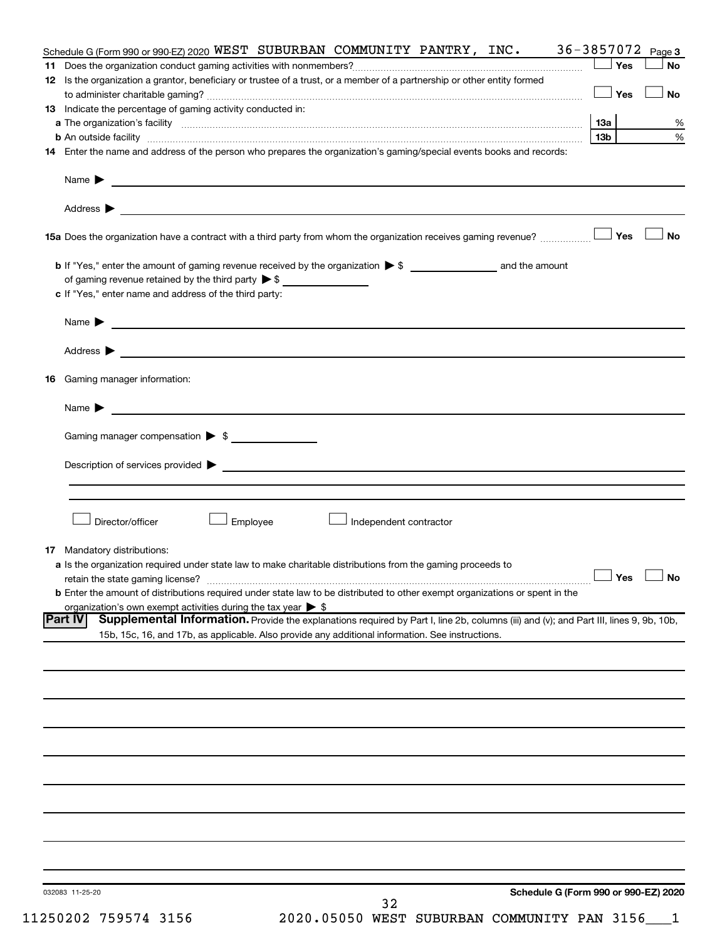| Schedule G (Form 990 or 990-EZ) 2020 WEST SUBURBAN COMMUNITY PANTRY, INC.                                                                                                                                                                | 36-3857072 Page 3    |           |
|------------------------------------------------------------------------------------------------------------------------------------------------------------------------------------------------------------------------------------------|----------------------|-----------|
|                                                                                                                                                                                                                                          | Yes                  | <b>No</b> |
| 12 Is the organization a grantor, beneficiary or trustee of a trust, or a member of a partnership or other entity formed                                                                                                                 |                      |           |
|                                                                                                                                                                                                                                          | ⊥Yes                 | <b>No</b> |
| 13 Indicate the percentage of gaming activity conducted in:                                                                                                                                                                              |                      |           |
|                                                                                                                                                                                                                                          |                      | %         |
|                                                                                                                                                                                                                                          | 13b l                | %         |
| 14 Enter the name and address of the person who prepares the organization's gaming/special events books and records:                                                                                                                     |                      |           |
|                                                                                                                                                                                                                                          |                      |           |
| Name $\blacktriangleright$<br><u> 1989 - Johann Barbara, marka a shekara tsara ma masharida a shekara tsara ma masharida a shekara tsara ma sh</u>                                                                                       |                      |           |
|                                                                                                                                                                                                                                          |                      |           |
|                                                                                                                                                                                                                                          |                      |           |
|                                                                                                                                                                                                                                          |                      |           |
|                                                                                                                                                                                                                                          |                      | No        |
|                                                                                                                                                                                                                                          |                      |           |
|                                                                                                                                                                                                                                          |                      |           |
|                                                                                                                                                                                                                                          |                      |           |
| c If "Yes," enter name and address of the third party:                                                                                                                                                                                   |                      |           |
|                                                                                                                                                                                                                                          |                      |           |
|                                                                                                                                                                                                                                          |                      |           |
|                                                                                                                                                                                                                                          |                      |           |
|                                                                                                                                                                                                                                          |                      |           |
|                                                                                                                                                                                                                                          |                      |           |
| <b>16</b> Gaming manager information:                                                                                                                                                                                                    |                      |           |
|                                                                                                                                                                                                                                          |                      |           |
|                                                                                                                                                                                                                                          |                      |           |
|                                                                                                                                                                                                                                          |                      |           |
| Gaming manager compensation > \$                                                                                                                                                                                                         |                      |           |
|                                                                                                                                                                                                                                          |                      |           |
|                                                                                                                                                                                                                                          |                      |           |
|                                                                                                                                                                                                                                          |                      |           |
|                                                                                                                                                                                                                                          |                      |           |
|                                                                                                                                                                                                                                          |                      |           |
| Director/officer<br>Employee<br>Independent contractor                                                                                                                                                                                   |                      |           |
|                                                                                                                                                                                                                                          |                      |           |
| 17 Mandatory distributions:                                                                                                                                                                                                              |                      |           |
| a Is the organization required under state law to make charitable distributions from the gaming proceeds to                                                                                                                              |                      |           |
|                                                                                                                                                                                                                                          | $\Box$ Yes $\Box$ No |           |
| <b>b</b> Enter the amount of distributions required under state law to be distributed to other exempt organizations or spent in the                                                                                                      |                      |           |
| organization's own exempt activities during the tax year $\triangleright$ \$<br>Supplemental Information. Provide the explanations required by Part I, line 2b, columns (iii) and (v); and Part III, lines 9, 9b, 10b,<br><b>Part IV</b> |                      |           |
|                                                                                                                                                                                                                                          |                      |           |
| 15b, 15c, 16, and 17b, as applicable. Also provide any additional information. See instructions.                                                                                                                                         |                      |           |
|                                                                                                                                                                                                                                          |                      |           |
|                                                                                                                                                                                                                                          |                      |           |
|                                                                                                                                                                                                                                          |                      |           |
|                                                                                                                                                                                                                                          |                      |           |
|                                                                                                                                                                                                                                          |                      |           |
|                                                                                                                                                                                                                                          |                      |           |
|                                                                                                                                                                                                                                          |                      |           |
|                                                                                                                                                                                                                                          |                      |           |
|                                                                                                                                                                                                                                          |                      |           |
|                                                                                                                                                                                                                                          |                      |           |
|                                                                                                                                                                                                                                          |                      |           |
|                                                                                                                                                                                                                                          |                      |           |
|                                                                                                                                                                                                                                          |                      |           |
|                                                                                                                                                                                                                                          |                      |           |
|                                                                                                                                                                                                                                          |                      |           |
|                                                                                                                                                                                                                                          |                      |           |
| Schedule G (Form 990 or 990-EZ) 2020<br>032083 11-25-20                                                                                                                                                                                  |                      |           |
| 32                                                                                                                                                                                                                                       |                      |           |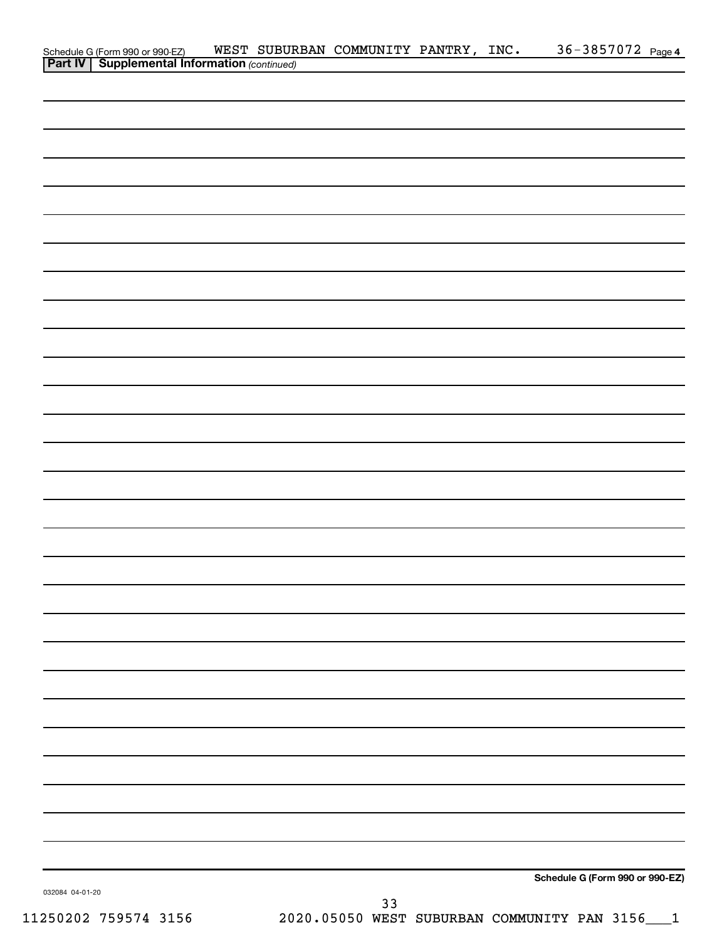|                 | Schedule G (Form 990 or 990-EZ) WEST SUBUR<br><b>Part IV   Supplemental Information</b> (continued) |  | WEST SUBURBAN COMMUNITY PANTRY, INC. |  | 36-3857072 Page 4               |  |
|-----------------|-----------------------------------------------------------------------------------------------------|--|--------------------------------------|--|---------------------------------|--|
|                 |                                                                                                     |  |                                      |  |                                 |  |
|                 |                                                                                                     |  |                                      |  |                                 |  |
|                 |                                                                                                     |  |                                      |  |                                 |  |
|                 |                                                                                                     |  |                                      |  |                                 |  |
|                 |                                                                                                     |  |                                      |  |                                 |  |
|                 |                                                                                                     |  |                                      |  |                                 |  |
|                 |                                                                                                     |  |                                      |  |                                 |  |
|                 |                                                                                                     |  |                                      |  |                                 |  |
|                 |                                                                                                     |  |                                      |  |                                 |  |
|                 |                                                                                                     |  |                                      |  |                                 |  |
|                 |                                                                                                     |  |                                      |  |                                 |  |
|                 |                                                                                                     |  |                                      |  |                                 |  |
|                 |                                                                                                     |  |                                      |  |                                 |  |
|                 |                                                                                                     |  |                                      |  |                                 |  |
|                 |                                                                                                     |  |                                      |  |                                 |  |
|                 |                                                                                                     |  |                                      |  |                                 |  |
|                 |                                                                                                     |  |                                      |  |                                 |  |
|                 |                                                                                                     |  |                                      |  |                                 |  |
|                 |                                                                                                     |  |                                      |  |                                 |  |
|                 |                                                                                                     |  |                                      |  |                                 |  |
|                 |                                                                                                     |  |                                      |  |                                 |  |
|                 |                                                                                                     |  |                                      |  |                                 |  |
|                 |                                                                                                     |  |                                      |  |                                 |  |
|                 |                                                                                                     |  |                                      |  |                                 |  |
|                 |                                                                                                     |  |                                      |  |                                 |  |
|                 |                                                                                                     |  |                                      |  |                                 |  |
|                 |                                                                                                     |  |                                      |  |                                 |  |
|                 |                                                                                                     |  |                                      |  |                                 |  |
|                 |                                                                                                     |  |                                      |  |                                 |  |
|                 |                                                                                                     |  |                                      |  |                                 |  |
|                 |                                                                                                     |  |                                      |  |                                 |  |
|                 |                                                                                                     |  |                                      |  |                                 |  |
|                 |                                                                                                     |  |                                      |  |                                 |  |
|                 |                                                                                                     |  |                                      |  |                                 |  |
|                 |                                                                                                     |  |                                      |  |                                 |  |
|                 |                                                                                                     |  |                                      |  |                                 |  |
|                 |                                                                                                     |  |                                      |  |                                 |  |
|                 |                                                                                                     |  |                                      |  |                                 |  |
|                 |                                                                                                     |  |                                      |  |                                 |  |
|                 |                                                                                                     |  |                                      |  |                                 |  |
|                 |                                                                                                     |  |                                      |  |                                 |  |
|                 |                                                                                                     |  |                                      |  |                                 |  |
|                 |                                                                                                     |  |                                      |  |                                 |  |
|                 |                                                                                                     |  |                                      |  | Schedule G (Form 990 or 990-EZ) |  |
| 032084 04-01-20 |                                                                                                     |  |                                      |  |                                 |  |
|                 |                                                                                                     |  | 33                                   |  |                                 |  |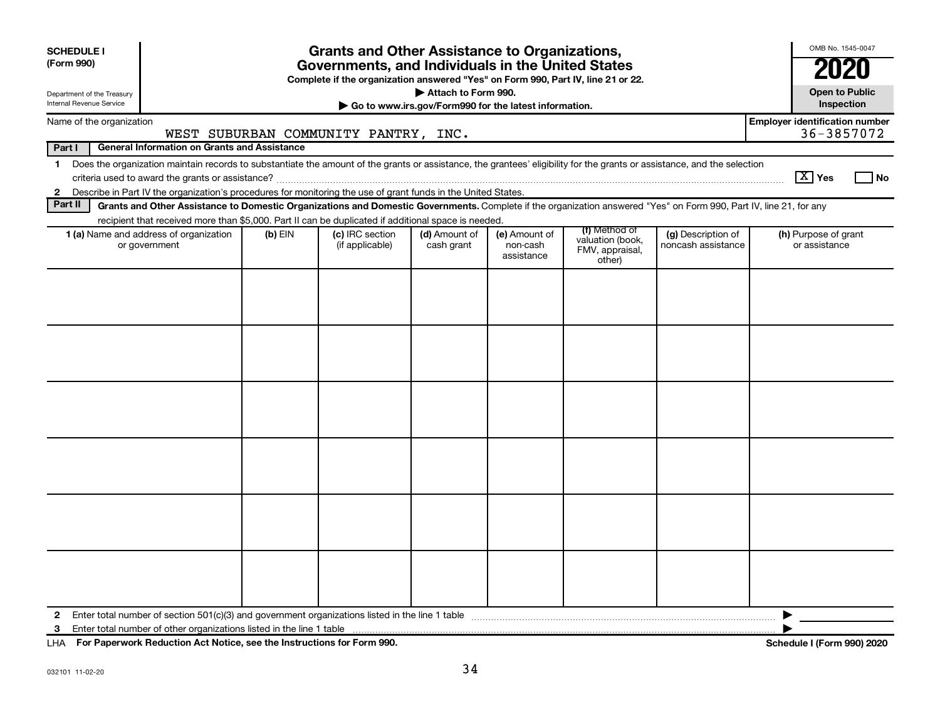| <b>SCHEDULE I</b><br>(Form 990)                                                                                                                                                         |           | <b>Grants and Other Assistance to Organizations,</b><br>Governments, and Individuals in the United States<br>Complete if the organization answered "Yes" on Form 990, Part IV, line 21 or 22. | Attach to Form 990.                                   |                                         |                                                                                                                                                                    |                                          | OMB No. 1545-0047<br><b>Open to Public</b>          |
|-----------------------------------------------------------------------------------------------------------------------------------------------------------------------------------------|-----------|-----------------------------------------------------------------------------------------------------------------------------------------------------------------------------------------------|-------------------------------------------------------|-----------------------------------------|--------------------------------------------------------------------------------------------------------------------------------------------------------------------|------------------------------------------|-----------------------------------------------------|
| Department of the Treasury<br><b>Internal Revenue Service</b>                                                                                                                           |           |                                                                                                                                                                                               | Go to www.irs.gov/Form990 for the latest information. |                                         |                                                                                                                                                                    |                                          | Inspection                                          |
| Name of the organization                                                                                                                                                                |           | WEST SUBURBAN COMMUNITY PANTRY, INC.                                                                                                                                                          |                                                       |                                         |                                                                                                                                                                    |                                          | <b>Employer identification number</b><br>36-3857072 |
| Part I<br><b>General Information on Grants and Assistance</b>                                                                                                                           |           |                                                                                                                                                                                               |                                                       |                                         |                                                                                                                                                                    |                                          |                                                     |
| Does the organization maintain records to substantiate the amount of the grants or assistance, the grantees' eligibility for the grants or assistance, and the selection<br>$\mathbf 1$ |           |                                                                                                                                                                                               |                                                       |                                         |                                                                                                                                                                    |                                          | $\boxed{\text{X}}$ Yes<br>No                        |
| 2 Describe in Part IV the organization's procedures for monitoring the use of grant funds in the United States.<br>Part II                                                              |           |                                                                                                                                                                                               |                                                       |                                         |                                                                                                                                                                    |                                          |                                                     |
|                                                                                                                                                                                         |           | recipient that received more than \$5,000. Part II can be duplicated if additional space is needed.                                                                                           |                                                       |                                         | Grants and Other Assistance to Domestic Organizations and Domestic Governments. Complete if the organization answered "Yes" on Form 990, Part IV, line 21, for any |                                          |                                                     |
| 1 (a) Name and address of organization<br>or government                                                                                                                                 | $(b)$ EIN | (c) IRC section<br>(if applicable)                                                                                                                                                            | (d) Amount of<br>cash grant                           | (e) Amount of<br>non-cash<br>assistance | (f) Method of<br>valuation (book,<br>FMV, appraisal,<br>other)                                                                                                     | (g) Description of<br>noncash assistance | (h) Purpose of grant<br>or assistance               |
|                                                                                                                                                                                         |           |                                                                                                                                                                                               |                                                       |                                         |                                                                                                                                                                    |                                          |                                                     |
| $\mathbf{2}$<br>3                                                                                                                                                                       |           |                                                                                                                                                                                               |                                                       |                                         |                                                                                                                                                                    |                                          | ▶                                                   |

**For Paperwork Reduction Act Notice, see the Instructions for Form 990. Schedule I (Form 990) 2020** LHA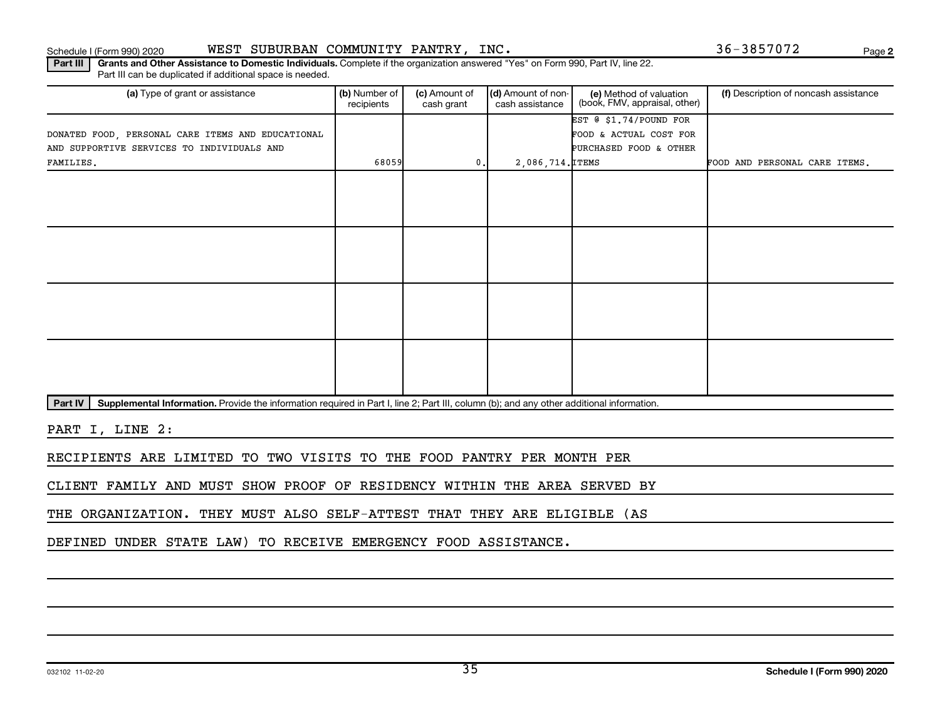Schedule I (Form 990) 2020 Page WEST SUBURBAN COMMUNITY PANTRY, INC. 36-3857072

**2**

Part III | Grants and Other Assistance to Domestic Individuals. Complete if the organization answered "Yes" on Form 990, Part IV, line 22. Part III can be duplicated if additional space is needed.

| (a) Type of grant or assistance                   | (b) Number of<br>(c) Amount of<br>recipients<br>cash grant |                 | (d) Amount of non-<br>(e) Method of valuation<br>(book, FMV, appraisal, other)<br>cash assistance |                        | (f) Description of noncash assistance |  |
|---------------------------------------------------|------------------------------------------------------------|-----------------|---------------------------------------------------------------------------------------------------|------------------------|---------------------------------------|--|
|                                                   |                                                            |                 |                                                                                                   | EST @ \$1.74/POUND FOR |                                       |  |
| DONATED FOOD, PERSONAL CARE ITEMS AND EDUCATIONAL |                                                            |                 |                                                                                                   | FOOD & ACTUAL COST FOR |                                       |  |
| AND SUPPORTIVE SERVICES TO INDIVIDUALS AND        |                                                            |                 |                                                                                                   | PURCHASED FOOD & OTHER |                                       |  |
| FAMILIES.                                         | 68059                                                      | $\mathfrak o$ . | 2,086,714. ITEMS                                                                                  |                        | FOOD AND PERSONAL CARE ITEMS.         |  |
|                                                   |                                                            |                 |                                                                                                   |                        |                                       |  |
|                                                   |                                                            |                 |                                                                                                   |                        |                                       |  |
|                                                   |                                                            |                 |                                                                                                   |                        |                                       |  |
|                                                   |                                                            |                 |                                                                                                   |                        |                                       |  |
|                                                   |                                                            |                 |                                                                                                   |                        |                                       |  |
|                                                   |                                                            |                 |                                                                                                   |                        |                                       |  |
|                                                   |                                                            |                 |                                                                                                   |                        |                                       |  |
|                                                   |                                                            |                 |                                                                                                   |                        |                                       |  |
|                                                   |                                                            |                 |                                                                                                   |                        |                                       |  |
|                                                   |                                                            |                 |                                                                                                   |                        |                                       |  |
|                                                   |                                                            |                 |                                                                                                   |                        |                                       |  |
|                                                   |                                                            |                 |                                                                                                   |                        |                                       |  |
|                                                   |                                                            |                 |                                                                                                   |                        |                                       |  |
|                                                   |                                                            |                 |                                                                                                   |                        |                                       |  |
|                                                   |                                                            |                 |                                                                                                   |                        |                                       |  |
|                                                   |                                                            |                 |                                                                                                   |                        |                                       |  |

Part IV | Supplemental Information. Provide the information required in Part I, line 2; Part III, column (b); and any other additional information.

PART I, LINE 2:

RECIPIENTS ARE LIMITED TO TWO VISITS TO THE FOOD PANTRY PER MONTH PER

CLIENT FAMILY AND MUST SHOW PROOF OF RESIDENCY WITHIN THE AREA SERVED BY

THE ORGANIZATION. THEY MUST ALSO SELF-ATTEST THAT THEY ARE ELIGIBLE (AS

DEFINED UNDER STATE LAW) TO RECEIVE EMERGENCY FOOD ASSISTANCE.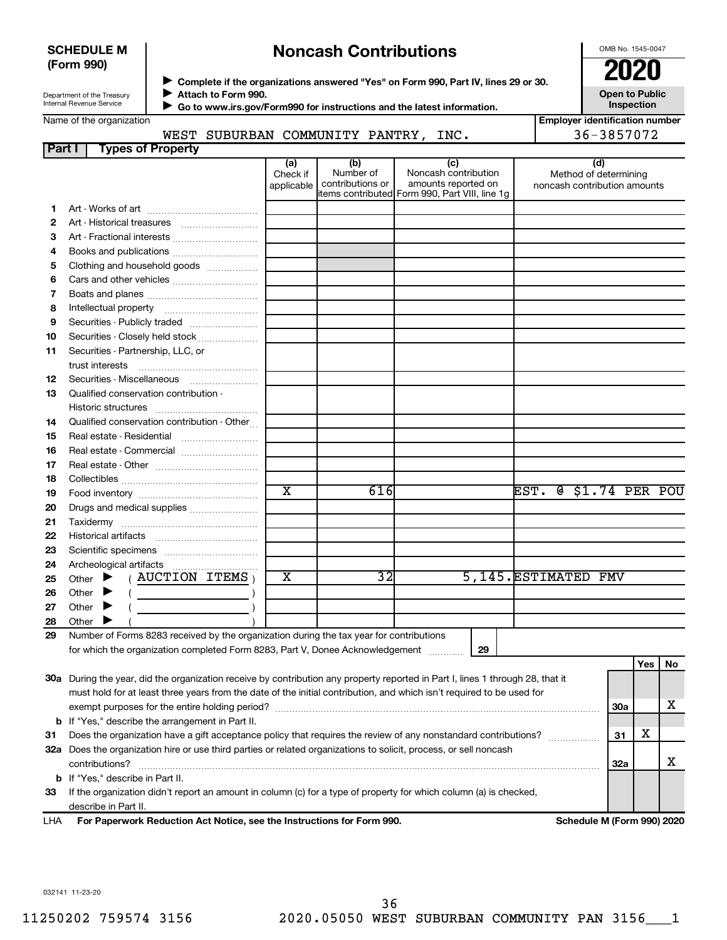#### **SCHEDULE M (Form 990)**

# **Noncash Contributions**

OMB No. 1545-0047

Department of the Treasury Internal Revenue Service

Name of the organization

**Complete if the organizations answered "Yes" on Form 990, Part IV, lines 29 or 30.**<br>Complete if the organizations answered "Yes" on Form 990, Part IV, lines 29 or 30. **Attach to Form 990.**  $\blacktriangleright$ 

 **Go to www.irs.gov/Form990 for instructions and the latest information.** J

**Open to Public Inspection Employer identification number**

| WEST SUBURBAN COMMUNITY PANTRY, INC. | 36-3857072 |
|--------------------------------------|------------|
|--------------------------------------|------------|

| Part I | <b>Types of Property</b>                                                                                                       |                               |                                      |                                                                                                      |                                                              |            |     |    |
|--------|--------------------------------------------------------------------------------------------------------------------------------|-------------------------------|--------------------------------------|------------------------------------------------------------------------------------------------------|--------------------------------------------------------------|------------|-----|----|
|        |                                                                                                                                | (a)<br>Check if<br>applicable | (b)<br>Number of<br>contributions or | (c)<br>Noncash contribution<br>amounts reported on<br>items contributed Form 990, Part VIII, line 1g | (d)<br>Method of determining<br>noncash contribution amounts |            |     |    |
| 1.     |                                                                                                                                |                               |                                      |                                                                                                      |                                                              |            |     |    |
| 2      | Art - Historical treasures                                                                                                     |                               |                                      |                                                                                                      |                                                              |            |     |    |
| 3      |                                                                                                                                |                               |                                      |                                                                                                      |                                                              |            |     |    |
| 4      |                                                                                                                                |                               |                                      |                                                                                                      |                                                              |            |     |    |
| 5      | Clothing and household goods                                                                                                   |                               |                                      |                                                                                                      |                                                              |            |     |    |
| 6      |                                                                                                                                |                               |                                      |                                                                                                      |                                                              |            |     |    |
| 7      |                                                                                                                                |                               |                                      |                                                                                                      |                                                              |            |     |    |
| 8      |                                                                                                                                |                               |                                      |                                                                                                      |                                                              |            |     |    |
| 9      | Securities - Publicly traded                                                                                                   |                               |                                      |                                                                                                      |                                                              |            |     |    |
| 10     | Securities - Closely held stock                                                                                                |                               |                                      |                                                                                                      |                                                              |            |     |    |
| 11     | Securities - Partnership, LLC, or                                                                                              |                               |                                      |                                                                                                      |                                                              |            |     |    |
|        | trust interests                                                                                                                |                               |                                      |                                                                                                      |                                                              |            |     |    |
| 12     | Securities - Miscellaneous                                                                                                     |                               |                                      |                                                                                                      |                                                              |            |     |    |
| 13     | Qualified conservation contribution -                                                                                          |                               |                                      |                                                                                                      |                                                              |            |     |    |
|        |                                                                                                                                |                               |                                      |                                                                                                      |                                                              |            |     |    |
| 14     | Qualified conservation contribution - Other                                                                                    |                               |                                      |                                                                                                      |                                                              |            |     |    |
| 15     | Real estate - Residential                                                                                                      |                               |                                      |                                                                                                      |                                                              |            |     |    |
| 16     |                                                                                                                                |                               |                                      |                                                                                                      |                                                              |            |     |    |
| 17     |                                                                                                                                |                               |                                      |                                                                                                      |                                                              |            |     |    |
| 18     |                                                                                                                                |                               |                                      |                                                                                                      |                                                              |            |     |    |
| 19     |                                                                                                                                | $\overline{\text{x}}$         | 616                                  |                                                                                                      | @ \$1.74 PER POU<br>$\overline{\texttt{EST}}$ .              |            |     |    |
| 20     | Drugs and medical supplies                                                                                                     |                               |                                      |                                                                                                      |                                                              |            |     |    |
| 21     |                                                                                                                                |                               |                                      |                                                                                                      |                                                              |            |     |    |
| 22     |                                                                                                                                |                               |                                      |                                                                                                      |                                                              |            |     |    |
| 23     |                                                                                                                                |                               |                                      |                                                                                                      |                                                              |            |     |    |
| 24     | Archeological artifacts                                                                                                        |                               |                                      |                                                                                                      |                                                              |            |     |    |
| 25     | $($ AUCTION ITEMS $)$<br>▶<br>Other                                                                                            | X                             | 32                                   |                                                                                                      | 5,145. ESTIMATED FMV                                         |            |     |    |
| 26     | Other                                                                                                                          |                               |                                      |                                                                                                      |                                                              |            |     |    |
| 27     | Other<br>▸                                                                                                                     |                               |                                      |                                                                                                      |                                                              |            |     |    |
| 28     | Other                                                                                                                          |                               |                                      |                                                                                                      |                                                              |            |     |    |
| 29     | Number of Forms 8283 received by the organization during the tax year for contributions                                        |                               |                                      |                                                                                                      |                                                              |            |     |    |
|        | for which the organization completed Form 8283, Part V, Donee Acknowledgement                                                  |                               |                                      | 29                                                                                                   |                                                              |            |     |    |
|        |                                                                                                                                |                               |                                      |                                                                                                      |                                                              |            | Yes | No |
|        | 30a During the year, did the organization receive by contribution any property reported in Part I, lines 1 through 28, that it |                               |                                      |                                                                                                      |                                                              |            |     |    |
|        | must hold for at least three years from the date of the initial contribution, and which isn't required to be used for          |                               |                                      |                                                                                                      |                                                              |            |     |    |
|        |                                                                                                                                |                               |                                      |                                                                                                      |                                                              | 30a        |     | х  |
|        | <b>b</b> If "Yes," describe the arrangement in Part II.                                                                        |                               |                                      |                                                                                                      |                                                              |            |     |    |
| 31     | Does the organization have a gift acceptance policy that requires the review of any nonstandard contributions?                 |                               |                                      |                                                                                                      |                                                              | 31         | х   |    |
|        | 32a Does the organization hire or use third parties or related organizations to solicit, process, or sell noncash              |                               |                                      |                                                                                                      |                                                              |            |     |    |
|        | contributions?                                                                                                                 |                               |                                      |                                                                                                      |                                                              | <b>32a</b> |     | х  |
|        | <b>b</b> If "Yes," describe in Part II.                                                                                        |                               |                                      |                                                                                                      |                                                              |            |     |    |
| 33     | If the organization didn't report an amount in column (c) for a type of property for which column (a) is checked,              |                               |                                      |                                                                                                      |                                                              |            |     |    |
|        | describe in Part II.                                                                                                           |                               |                                      |                                                                                                      |                                                              |            |     |    |

For Paperwork Reduction Act Notice, see the Instructions for Form 990. Schedule M (Form 990) 2020 LHA

032141 11-23-20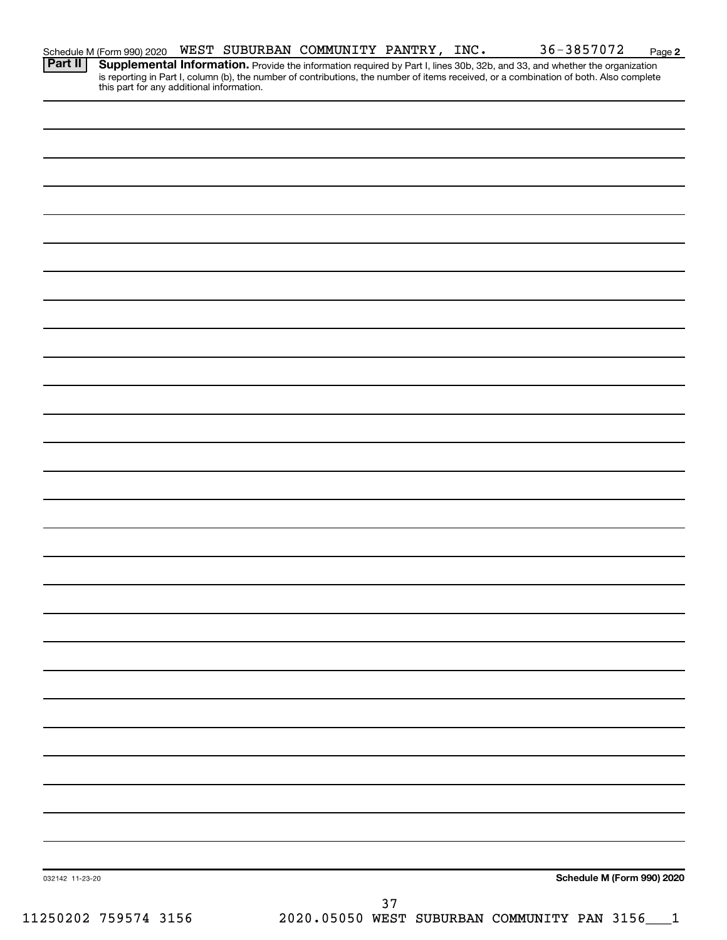| 032142 11-23-20 | Schedule M (Form 990) 2020 |
|-----------------|----------------------------|
|                 | 37                         |

**Part II Supplemental Information.** 

**2**

Provide the information required by Part I, lines 30b, 32b, and 33, and whether the organization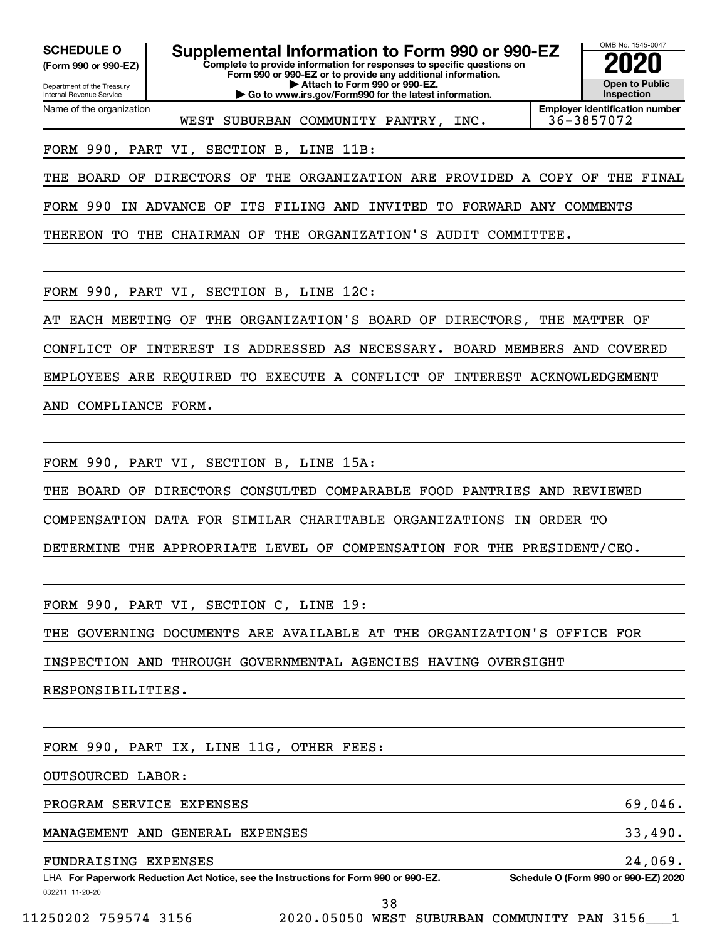**(Form 990 or 990-EZ)**

Department of the Treasury Internal Revenue Service Name of the organization

**Complete to provide information for responses to specific questions on Form 990 or 990-EZ or to provide any additional information. | Attach to Form 990 or 990-EZ. | Go to www.irs.gov/Form990 for the latest information. SCHEDULE O Supplemental Information to Form 990 or 990-EZ 2020**<br>(Form 990 or 990-EZ)



WEST SUBURBAN COMMUNITY PANTRY, INC. | 36-3857072

**Employer identification number**

FORM 990, PART VI, SECTION B, LINE 11B:

THE BOARD OF DIRECTORS OF THE ORGANIZATION ARE PROVIDED A COPY OF THE FINAL

FORM 990 IN ADVANCE OF ITS FILING AND INVITED TO FORWARD ANY COMMENTS

THEREON TO THE CHAIRMAN OF THE ORGANIZATION'S AUDIT COMMITTEE.

FORM 990, PART VI, SECTION B, LINE 12C:

AT EACH MEETING OF THE ORGANIZATION'S BOARD OF DIRECTORS, THE MATTER OF

CONFLICT OF INTEREST IS ADDRESSED AS NECESSARY. BOARD MEMBERS AND COVERED

EMPLOYEES ARE REQUIRED TO EXECUTE A CONFLICT OF INTEREST ACKNOWLEDGEMENT

AND COMPLIANCE FORM.

FORM 990, PART VI, SECTION B, LINE 15A:

THE BOARD OF DIRECTORS CONSULTED COMPARABLE FOOD PANTRIES AND REVIEWED

COMPENSATION DATA FOR SIMILAR CHARITABLE ORGANIZATIONS IN ORDER TO

DETERMINE THE APPROPRIATE LEVEL OF COMPENSATION FOR THE PRESIDENT/CEO.

FORM 990, PART VI, SECTION C, LINE 19:

THE GOVERNING DOCUMENTS ARE AVAILABLE AT THE ORGANIZATION'S OFFICE FOR

INSPECTION AND THROUGH GOVERNMENTAL AGENCIES HAVING OVERSIGHT

RESPONSIBILITIES.

FORM 990, PART IX, LINE 11G, OTHER FEES:

OUTSOURCED LABOR:

PROGRAM SERVICE EXPENSES 69,046.

MANAGEMENT AND GENERAL EXPENSES 33,490.

FUNDRAISING EXPENSES 24,069.

032211 11-20-20 **For Paperwork Reduction Act Notice, see the Instructions for Form 990 or 990-EZ. Schedule O (Form 990 or 990-EZ) 2020** LHA

38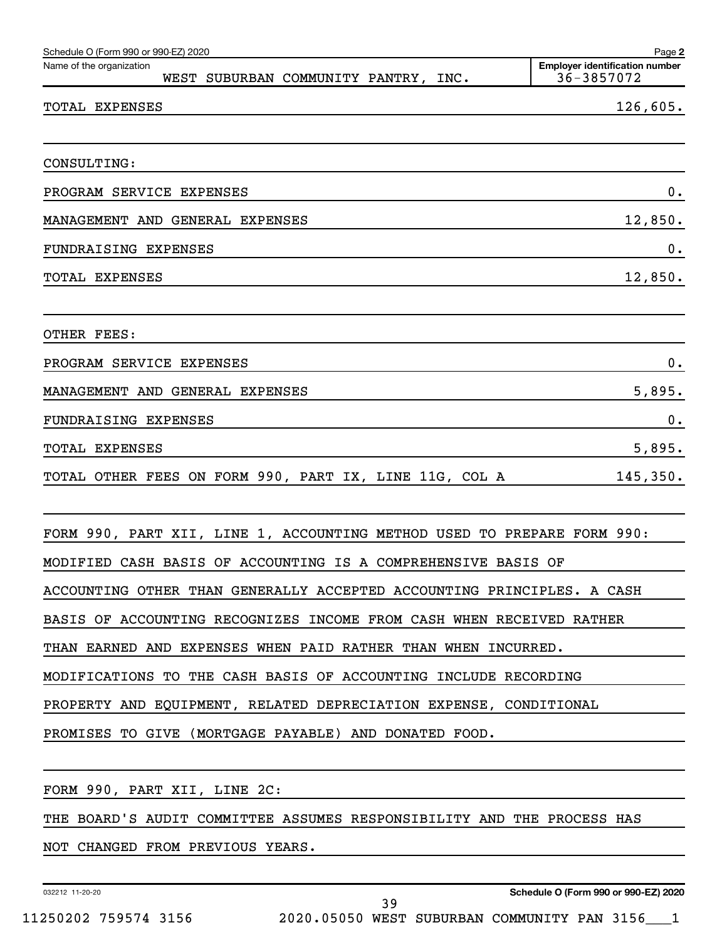| Schedule O (Form 990 or 990-EZ) 2020                                    | Page 2                                              |
|-------------------------------------------------------------------------|-----------------------------------------------------|
| Name of the organization<br>WEST SUBURBAN COMMUNITY PANTRY, INC.        | <b>Employer identification number</b><br>36-3857072 |
| TOTAL EXPENSES                                                          | 126,605.                                            |
|                                                                         |                                                     |
| CONSULTING:                                                             |                                                     |
| PROGRAM SERVICE EXPENSES                                                | 0.                                                  |
| MANAGEMENT AND GENERAL EXPENSES                                         | 12,850.                                             |
| FUNDRAISING EXPENSES                                                    | 0.                                                  |
| TOTAL EXPENSES                                                          | 12,850.                                             |
| OTHER FEES:                                                             |                                                     |
| PROGRAM SERVICE EXPENSES                                                | 0.                                                  |
| MANAGEMENT AND GENERAL EXPENSES                                         | 5,895.                                              |
| FUNDRAISING EXPENSES                                                    | 0.                                                  |
| TOTAL EXPENSES                                                          | 5,895.                                              |
| TOTAL OTHER FEES ON FORM 990, PART IX, LINE 11G, COL A                  | 145,350.                                            |
| FORM 990, PART XII, LINE 1, ACCOUNTING METHOD USED TO PREPARE FORM 990: |                                                     |
| MODIFIED CASH BASIS OF ACCOUNTING IS A COMPREHENSIVE BASIS OF           |                                                     |
| ACCOUNTING OTHER THAN GENERALLY ACCEPTED ACCOUNTING PRINCIPLES. A CASH  |                                                     |
| BASIS OF ACCOUNTING RECOGNIZES INCOME FROM CASH WHEN RECEIVED RATHER    |                                                     |
| THAN EARNED AND EXPENSES WHEN PAID RATHER THAN WHEN INCURRED.           |                                                     |
| MODIFICATIONS TO THE CASH BASIS OF ACCOUNTING INCLUDE RECORDING         |                                                     |
| PROPERTY AND EQUIPMENT, RELATED DEPRECIATION EXPENSE, CONDITIONAL       |                                                     |
| PROMISES TO GIVE (MORTGAGE PAYABLE) AND DONATED FOOD.                   |                                                     |
|                                                                         |                                                     |
| FORM 990, PART XII, LINE 2C:                                            |                                                     |
| THE BOARD'S AUDIT COMMITTEE ASSUMES RESPONSIBILITY AND THE PROCESS HAS  |                                                     |
| NOT CHANGED FROM PREVIOUS YEARS.                                        |                                                     |

032212 11-20-20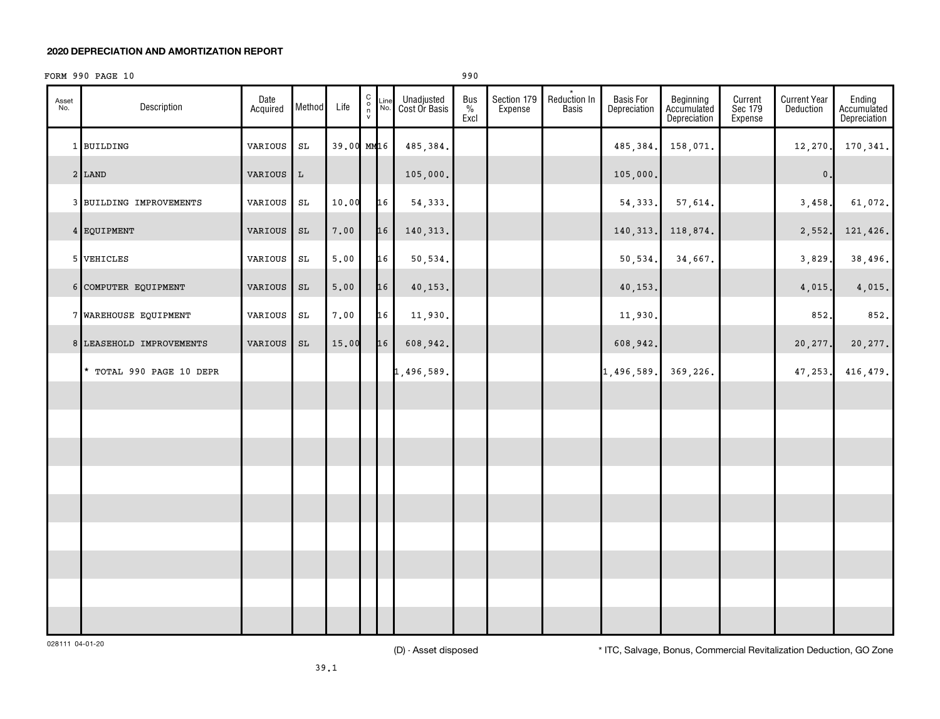#### **2020 DEPRECIATION AND AMORTIZATION REPORT**

#### FORM 990 PAGE 10 990

| Asset<br>No. | Description              | Date<br>Acquired | Method        | Life       | $\begin{matrix} 0 \\ 0 \\ n \end{matrix}$<br>$\mathsf{v}$ | Line<br>No. | Unadjusted<br>Cost Or Basis | Bus<br>$\%$<br>Excl | Section 179<br>Expense | $\star$<br>Reduction In<br><b>Basis</b> | <b>Basis For</b><br>Depreciation | Beginning<br>Accumulated<br>Depreciation | Current<br>Sec 179<br>Expense | <b>Current Year</b><br>Deduction | Ending<br>Accumulated<br>Depreciation |
|--------------|--------------------------|------------------|---------------|------------|-----------------------------------------------------------|-------------|-----------------------------|---------------------|------------------------|-----------------------------------------|----------------------------------|------------------------------------------|-------------------------------|----------------------------------|---------------------------------------|
|              | 1 BUILDING               | VARIOUS          | $\mathtt{SL}$ | 39.00 MM16 |                                                           |             | 485,384.                    |                     |                        |                                         | 485,384.                         | 158,071.                                 |                               | 12, 270.                         | 170,341.                              |
|              | $2$ LAND                 | VARIOUS          | $\mathbf L$   |            |                                                           |             | 105,000.                    |                     |                        |                                         | 105,000.                         |                                          |                               | $\mathsf{0}$ .                   |                                       |
|              | 3 BUILDING IMPROVEMENTS  | VARIOUS          | $\mathtt{SL}$ | 10.00      |                                                           | 16          | 54, 333.                    |                     |                        |                                         | 54, 333.                         | 57,614.                                  |                               | 3,458.                           | 61,072.                               |
|              | 4 EQUIPMENT              | VARIOUS          | $\mathtt{SL}$ | 7.00       |                                                           | 16          | 140, 313.                   |                     |                        |                                         | 140, 313.                        | 118,874.                                 |                               | 2,552.                           | 121,426.                              |
|              | 5 VEHICLES               | VARIOUS          | $\mathtt{SL}$ | 5.00       |                                                           | 16          | 50,534.                     |                     |                        |                                         | 50,534.                          | 34,667.                                  |                               | 3,829                            | 38,496.                               |
|              | 6 COMPUTER EQUIPMENT     | VARIOUS          | $\mathtt{SL}$ | 5.00       |                                                           | 16          | 40,153.                     |                     |                        |                                         | 40,153.                          |                                          |                               | 4,015.                           | 4,015.                                |
|              | 7 WAREHOUSE EQUIPMENT    | VARIOUS          | $\mathtt{SL}$ | 7.00       |                                                           | 16          | 11,930.                     |                     |                        |                                         | 11,930.                          |                                          |                               | 852.                             | 852.                                  |
|              | 8 LEASEHOLD IMPROVEMENTS | VARIOUS          | $\mathtt{SL}$ | 15.00      |                                                           | 16          | 608,942.                    |                     |                        |                                         | 608,942.                         |                                          |                               | 20,277.                          | 20,277.                               |
|              | * TOTAL 990 PAGE 10 DEPR |                  |               |            |                                                           |             | 1,496,589.                  |                     |                        |                                         | 1,496,589.                       | 369,226.                                 |                               | 47,253.                          | 416,479.                              |
|              |                          |                  |               |            |                                                           |             |                             |                     |                        |                                         |                                  |                                          |                               |                                  |                                       |
|              |                          |                  |               |            |                                                           |             |                             |                     |                        |                                         |                                  |                                          |                               |                                  |                                       |
|              |                          |                  |               |            |                                                           |             |                             |                     |                        |                                         |                                  |                                          |                               |                                  |                                       |
|              |                          |                  |               |            |                                                           |             |                             |                     |                        |                                         |                                  |                                          |                               |                                  |                                       |
|              |                          |                  |               |            |                                                           |             |                             |                     |                        |                                         |                                  |                                          |                               |                                  |                                       |
|              |                          |                  |               |            |                                                           |             |                             |                     |                        |                                         |                                  |                                          |                               |                                  |                                       |
|              |                          |                  |               |            |                                                           |             |                             |                     |                        |                                         |                                  |                                          |                               |                                  |                                       |
|              |                          |                  |               |            |                                                           |             |                             |                     |                        |                                         |                                  |                                          |                               |                                  |                                       |
|              |                          |                  |               |            |                                                           |             |                             |                     |                        |                                         |                                  |                                          |                               |                                  |                                       |

028111 04-01-20

(D) - Asset disposed \* ITC, Salvage, Bonus, Commercial Revitalization Deduction, GO Zone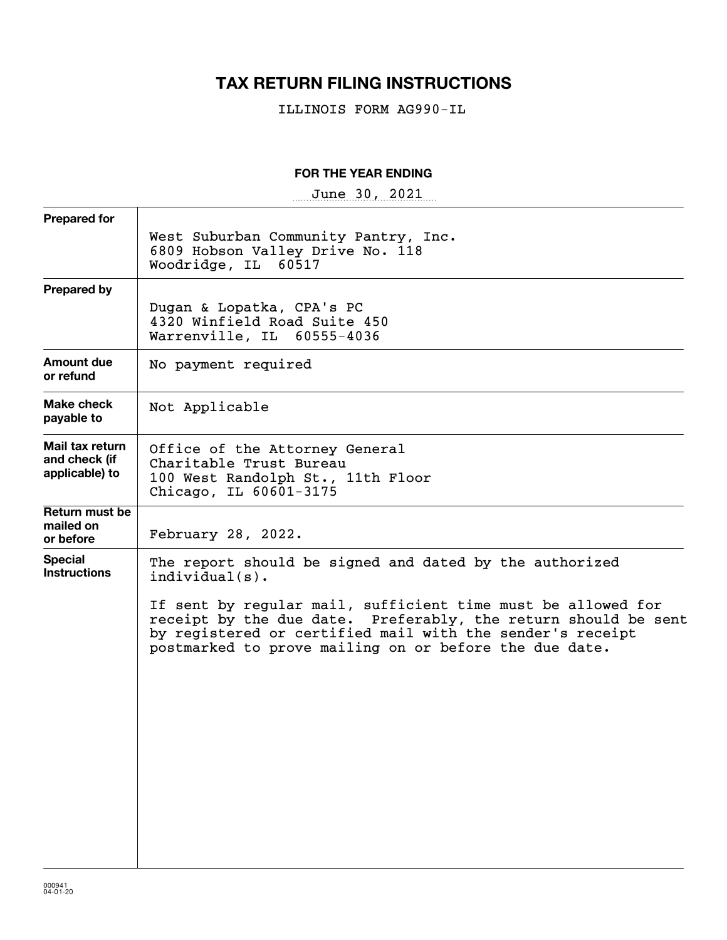# **TAX RETURN FILING INSTRUCTIONS**

ILLINOIS FORM AG990-IL

### **FOR THE YEAR ENDING**

 $June~30, 2021$ 

| West Suburban Community Pantry, Inc.<br>6809 Hobson Valley Drive No. 118<br>Woodridge, IL 60517<br>Dugan & Lopatka, CPA's PC<br>4320 Winfield Road Suite 450<br>Warrenville, IL 60555-4036                                                                                                                                             |
|----------------------------------------------------------------------------------------------------------------------------------------------------------------------------------------------------------------------------------------------------------------------------------------------------------------------------------------|
|                                                                                                                                                                                                                                                                                                                                        |
|                                                                                                                                                                                                                                                                                                                                        |
| No payment required                                                                                                                                                                                                                                                                                                                    |
| Not Applicable                                                                                                                                                                                                                                                                                                                         |
| Office of the Attorney General<br>Charitable Trust Bureau<br>100 West Randolph St., 11th Floor<br>Chicago, IL 60601-3175                                                                                                                                                                                                               |
| February 28, 2022.                                                                                                                                                                                                                                                                                                                     |
| The report should be signed and dated by the authorized<br>$indivialual(s)$ .<br>If sent by regular mail, sufficient time must be allowed for<br>receipt by the due date. Preferably, the return should be sent<br>by registered or certified mail with the sender's receipt<br>postmarked to prove mailing on or before the due date. |
|                                                                                                                                                                                                                                                                                                                                        |
|                                                                                                                                                                                                                                                                                                                                        |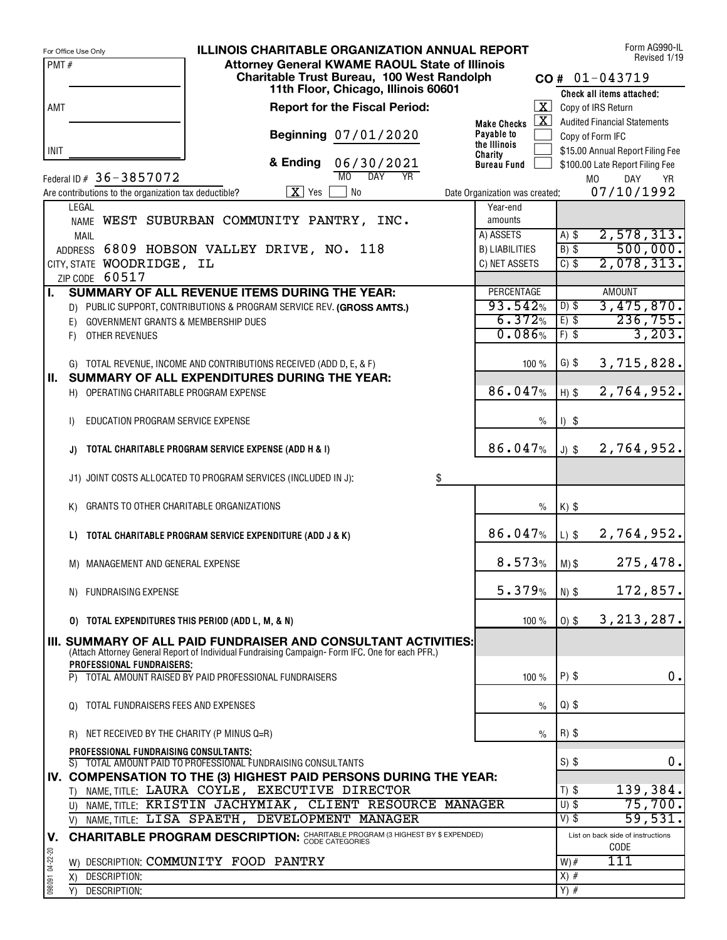|                 | <b>ILLINOIS CHARITABLE ORGANIZATION ANNUAL REPORT</b><br>For Office Use Only                                                        |                                                  | Form AG990-IL<br>Revised 1/19                        |
|-----------------|-------------------------------------------------------------------------------------------------------------------------------------|--------------------------------------------------|------------------------------------------------------|
| PMT#            | <b>Attorney General KWAME RAOUL State of Illinois</b>                                                                               |                                                  |                                                      |
|                 | Charitable Trust Bureau, 100 West Randolph<br>11th Floor, Chicago, Illinois 60601                                                   |                                                  | $CO# 01-043719$                                      |
|                 |                                                                                                                                     |                                                  | Check all items attached:                            |
| AMT             | <b>Report for the Fiscal Period:</b>                                                                                                | $\overline{\mathbf{x}}$                          | Copy of IRS Return                                   |
|                 | Beginning 07/01/2020                                                                                                                | $\mathbf{X}$<br><b>Make Checks</b><br>Payable to | <b>Audited Financial Statements</b>                  |
| INIT            |                                                                                                                                     | the Illinois                                     | Copy of Form IFC<br>\$15.00 Annual Report Filing Fee |
|                 | & Ending<br>06/30/2021                                                                                                              | Charity<br><b>Bureau Fund</b>                    | \$100.00 Late Report Filing Fee                      |
|                 | M <sub>0</sub><br>$\overline{DAY}$<br><b>YR</b><br>Federal ID # 36 - 3857072                                                        |                                                  | M <sub>0</sub><br>DAY<br>YR.                         |
|                 | $\boxed{\mathbf{X}}$ Yes<br><b>No</b><br>Are contributions to the organization tax deductible?                                      | Date Organization was created:                   | 07/10/1992                                           |
|                 | LEGAL                                                                                                                               | Year-end                                         |                                                      |
|                 | NAME WEST SUBURBAN COMMUNITY PANTRY, INC.                                                                                           | amounts                                          |                                                      |
|                 | MAIL                                                                                                                                | A) ASSETS                                        | 2,578,313.<br>$A)$ \$                                |
|                 | ADDRESS 6809 HOBSON VALLEY DRIVE, NO. 118                                                                                           | <b>B) LIABILITIES</b>                            | 500,000.<br>$B)$ \$                                  |
|                 | CITY, STATE WOODRIDGE, IL                                                                                                           | C) NET ASSETS                                    | 2,078,313.<br>$C)$ \$                                |
|                 | ZIP CODE 60517                                                                                                                      |                                                  |                                                      |
| Π.              | SUMMARY OF ALL REVENUE ITEMS DURING THE YEAR:                                                                                       | <b>PERCENTAGE</b>                                | <b>AMOUNT</b>                                        |
|                 | D) PUBLIC SUPPORT, CONTRIBUTIONS & PROGRAM SERVICE REV. (GROSS AMTS.)                                                               | 93.542%<br>6.372%                                | 3,475,870.<br>$D)$ \$<br>236,755.<br>$E)$ \$         |
|                 | <b>GOVERNMENT GRANTS &amp; MEMBERSHIP DUES</b><br>E)<br>OTHER REVENUES                                                              | 0.086%                                           | 3,203.<br>$F)$ \$                                    |
|                 | F)                                                                                                                                  |                                                  |                                                      |
|                 | G) TOTAL REVENUE, INCOME AND CONTRIBUTIONS RECEIVED (ADD D, E, & F)                                                                 | 100%                                             | $G)$ \$<br>3,715,828.                                |
| Ш.              | SUMMARY OF ALL EXPENDITURES DURING THE YEAR:                                                                                        |                                                  |                                                      |
|                 | H) OPERATING CHARITABLE PROGRAM EXPENSE                                                                                             | 86.047%                                          | 2,764,952.<br>$H)$ \$                                |
|                 |                                                                                                                                     |                                                  |                                                      |
|                 | EDUCATION PROGRAM SERVICE EXPENSE<br>I)                                                                                             | $\frac{0}{0}$                                    | $1)$ \$                                              |
|                 |                                                                                                                                     |                                                  |                                                      |
|                 | TOTAL CHARITABLE PROGRAM SERVICE EXPENSE (ADD H & I)<br>J)                                                                          | 86.047%                                          | 2,764,952.<br>$J)$ \$                                |
|                 |                                                                                                                                     |                                                  |                                                      |
|                 | J1) JOINT COSTS ALLOCATED TO PROGRAM SERVICES (INCLUDED IN J):<br>\$                                                                |                                                  |                                                      |
|                 | GRANTS TO OTHER CHARITABLE ORGANIZATIONS<br>K)                                                                                      | $\frac{0}{0}$                                    | $K)$ \$                                              |
|                 |                                                                                                                                     |                                                  |                                                      |
|                 | TOTAL CHARITABLE PROGRAM SERVICE EXPENDITURE (ADD J & K)<br>L)                                                                      | 86.047%                                          | 2,764,952.<br>$L)$ \$                                |
|                 |                                                                                                                                     |                                                  |                                                      |
|                 | M) MANAGEMENT AND GENERAL EXPENSE                                                                                                   | 8.573%                                           | 275,478.<br>$M)$ \$                                  |
|                 |                                                                                                                                     |                                                  |                                                      |
|                 | N) FUNDRAISING EXPENSE                                                                                                              | 5.379%                                           | 172,857.<br>$N)$ $$$                                 |
|                 |                                                                                                                                     |                                                  |                                                      |
|                 | TOTAL EXPENDITURES THIS PERIOD (ADD L, M, & N)<br>O)                                                                                | 100 $%$                                          | 3, 213, 287.<br>$0)$ \$                              |
|                 | III. SUMMARY OF ALL PAID FUNDRAISER AND CONSULTANT ACTIVITIES:                                                                      |                                                  |                                                      |
|                 | (Attach Attorney General Report of Individual Fundraising Campaign-Form IFC. One for each PFR.)<br><b>PROFESSIONAL FUNDRAISERS:</b> |                                                  |                                                      |
|                 | TOTAL AMOUNT RAISED BY PAID PROFESSIONAL FUNDRAISERS                                                                                | 100%                                             | 0.<br>$P)$ \$                                        |
|                 |                                                                                                                                     |                                                  |                                                      |
|                 | TOTAL FUNDRAISERS FEES AND EXPENSES<br>Q)                                                                                           | $\%$                                             | $Q)$ \$                                              |
|                 |                                                                                                                                     |                                                  |                                                      |
|                 | NET RECEIVED BY THE CHARITY (P MINUS Q=R)<br>R)                                                                                     | $\frac{0}{0}$                                    | $R)$ \$                                              |
|                 | PROFESSIONAL FUNDRAISING CONSULTANTS;                                                                                               |                                                  |                                                      |
|                 | S) TOTAL AMOUNT PAID TO PROFESSIONAL FUNDRAISING CONSULTANTS                                                                        |                                                  | $S)$ \$<br>0.                                        |
|                 | IV. COMPENSATION TO THE (3) HIGHEST PAID PERSONS DURING THE YEAR:<br>T) NAME, TITLE: LAURA COYLE, EXECUTIVE DIRECTOR                |                                                  | 139,384.<br>$T)$ \$                                  |
|                 | U) NAME, TITLE: KRISTIN JACHYMIAK, CLIENT RESOURCE MANAGER                                                                          |                                                  | $U)$ \$<br>75,700.                                   |
|                 | NAME, TITLE: LISA SPAETH, DEVELOPMENT MANAGER<br>V)                                                                                 |                                                  | 59,531.<br>$V)$ \$                                   |
| V.              | <b>CHARITABLE PROGRAM DESCRIPTION: CHARITABLE PROGRAM (3 HIGHEST BY \$ EXPENDED)</b>                                                |                                                  | List on back side of instructions                    |
|                 |                                                                                                                                     |                                                  | <b>CODE</b>                                          |
| 098091 04-22-20 | W) DESCRIPTION: COMMUNITY FOOD PANTRY                                                                                               |                                                  | 111<br>$W)$ #                                        |
|                 | DESCRIPTION:<br>X)                                                                                                                  |                                                  | $X)$ #                                               |
|                 | DESCRIPTION:<br>Y)                                                                                                                  |                                                  | $Y)$ #                                               |